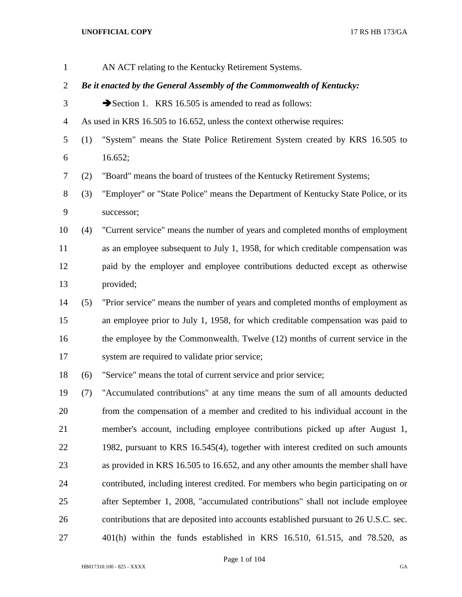| $\mathbf{1}$   |     | AN ACT relating to the Kentucky Retirement Systems.                                   |
|----------------|-----|---------------------------------------------------------------------------------------|
| $\overline{2}$ |     | Be it enacted by the General Assembly of the Commonwealth of Kentucky:                |
| 3              |     | Section 1. KRS 16.505 is amended to read as follows:                                  |
| $\overline{4}$ |     | As used in KRS 16.505 to 16.652, unless the context otherwise requires:               |
| 5              | (1) | "System" means the State Police Retirement System created by KRS 16.505 to            |
| 6              |     | 16.652;                                                                               |
| 7              | (2) | "Board" means the board of trustees of the Kentucky Retirement Systems;               |
| 8              | (3) | "Employer" or "State Police" means the Department of Kentucky State Police, or its    |
| 9              |     | successor;                                                                            |
| 10             | (4) | "Current service" means the number of years and completed months of employment        |
| 11             |     | as an employee subsequent to July 1, 1958, for which creditable compensation was      |
| 12             |     | paid by the employer and employee contributions deducted except as otherwise          |
| 13             |     | provided;                                                                             |
| 14             | (5) | "Prior service" means the number of years and completed months of employment as       |
| 15             |     | an employee prior to July 1, 1958, for which creditable compensation was paid to      |
| 16             |     | the employee by the Commonwealth. Twelve (12) months of current service in the        |
| 17             |     | system are required to validate prior service;                                        |
| 18             | (6) | "Service" means the total of current service and prior service;                       |
| 19             | (7) | "Accumulated contributions" at any time means the sum of all amounts deducted         |
| 20             |     | from the compensation of a member and credited to his individual account in the       |
| 21             |     | member's account, including employee contributions picked up after August 1,          |
| 22             |     | 1982, pursuant to KRS 16.545(4), together with interest credited on such amounts      |
| 23             |     | as provided in KRS 16.505 to 16.652, and any other amounts the member shall have      |
| 24             |     | contributed, including interest credited. For members who begin participating on or   |
| 25             |     | after September 1, 2008, "accumulated contributions" shall not include employee       |
| 26             |     | contributions that are deposited into accounts established pursuant to 26 U.S.C. sec. |
| 27             |     | 401(h) within the funds established in KRS 16.510, 61.515, and 78.520, as             |

Page 1 of 104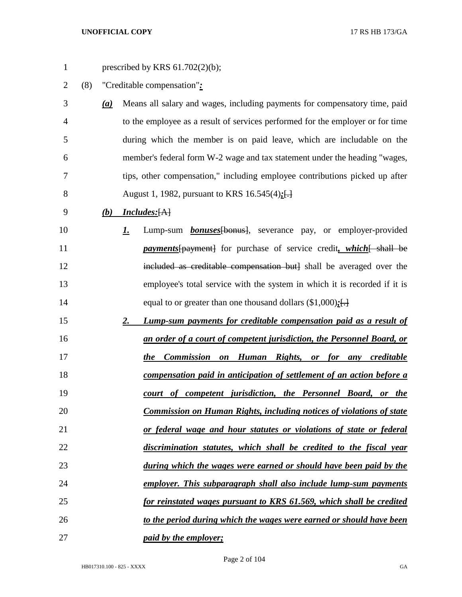| $\mathbf{1}$   |     |     |           | prescribed by KRS $61.702(2)(b)$ ;                                             |
|----------------|-----|-----|-----------|--------------------------------------------------------------------------------|
| $\overline{2}$ | (8) |     |           | "Creditable compensation":                                                     |
| 3              |     | (a) |           | Means all salary and wages, including payments for compensatory time, paid     |
| 4              |     |     |           | to the employee as a result of services performed for the employer or for time |
| 5              |     |     |           | during which the member is on paid leave, which are includable on the          |
| 6              |     |     |           | member's federal form W-2 wage and tax statement under the heading "wages,     |
| 7              |     |     |           | tips, other compensation," including employee contributions picked up after    |
| 8              |     |     |           | August 1, 1982, pursuant to KRS 16.545(4);[-                                   |
| 9              |     | (b) |           | <i>Includes:</i> [A]                                                           |
| 10             |     |     | <u>I.</u> | Lump-sum <b>bonuses</b> [bonus], severance pay, or employer-provided           |
| 11             |     |     |           | <i>payments</i> [payment] for purchase of service credit, which [ shall be     |
| 12             |     |     |           | included as creditable compensation but] shall be averaged over the            |
| 13             |     |     |           | employee's total service with the system in which it is recorded if it is      |
| 14             |     |     |           | equal to or greater than one thousand dollars $(\$1,000)$ ; []                 |
| 15             |     |     | 2.        | Lump-sum payments for creditable compensation paid as a result of              |
| 16             |     |     |           | an order of a court of competent jurisdiction, the Personnel Board, or         |
| 17             |     |     |           | Commission on Human Rights,<br><i>the</i><br>or for any creditable             |
| 18             |     |     |           | compensation paid in anticipation of settlement of an action before a          |
| 19             |     |     |           | court of competent jurisdiction, the Personnel Board, or the                   |
| 20             |     |     |           | <b>Commission on Human Rights, including notices of violations of state</b>    |
| 21             |     |     |           | or federal wage and hour statutes or violations of state or federal            |
| 22             |     |     |           | discrimination statutes, which shall be credited to the fiscal year            |
| 23             |     |     |           | during which the wages were earned or should have been paid by the             |
| 24             |     |     |           | employer. This subparagraph shall also include lump-sum payments               |
| 25             |     |     |           | for reinstated wages pursuant to KRS 61.569, which shall be credited           |
| 26             |     |     |           | to the period during which the wages were earned or should have been           |
| 27             |     |     |           | <i>paid by the employer;</i>                                                   |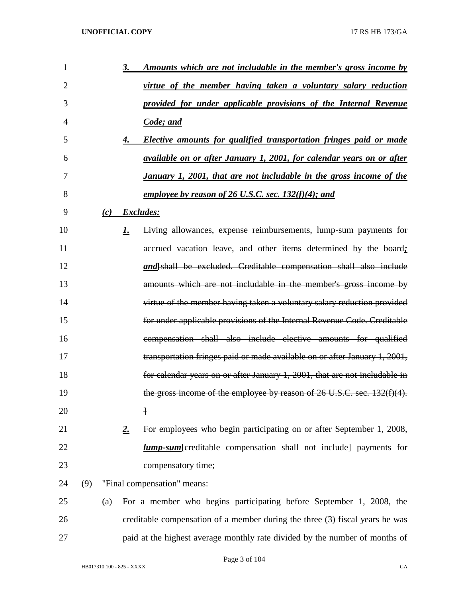| 1              |     |     | <u>3.</u> | Amounts which are not includable in the member's gross income by             |
|----------------|-----|-----|-----------|------------------------------------------------------------------------------|
| 2              |     |     |           | virtue of the member having taken a voluntary salary reduction               |
| 3              |     |     |           | provided for under applicable provisions of the Internal Revenue             |
| $\overline{4}$ |     |     |           | Code; and                                                                    |
| 5              |     |     | 4.        | Elective amounts for qualified transportation fringes paid or made           |
| 6              |     |     |           | <u>available on or after January 1, 2001, for calendar years on or after</u> |
| 7              |     |     |           | January 1, 2001, that are not includable in the gross income of the          |
| 8              |     |     |           | employee by reason of 26 U.S.C. sec. 132(f)(4); and                          |
| 9              |     | (c) |           | Excludes:                                                                    |
| 10             |     |     | 1.        | Living allowances, expense reimbursements, lump-sum payments for             |
| 11             |     |     |           | accrued vacation leave, and other items determined by the board;             |
| 12             |     |     |           | and[shall be excluded. Creditable compensation shall also include            |
| 13             |     |     |           | amounts which are not includable in the member's gross income by             |
| 14             |     |     |           | virtue of the member having taken a voluntary salary reduction provided      |
| 15             |     |     |           | for under applicable provisions of the Internal Revenue Code. Creditable     |
| 16             |     |     |           | compensation shall also include elective amounts for qualified               |
| 17             |     |     |           | transportation fringes paid or made available on or after January 1, 2001,   |
| 18             |     |     |           | for calendar years on or after January 1, 2001, that are not includable in   |
| 19             |     |     |           | the gross income of the employee by reason of 26 U.S.C. sec. 132(f)(4).      |
| 20             |     |     |           | $\mathbf{1}$                                                                 |
| 21             |     |     | 2.        | For employees who begin participating on or after September 1, 2008,         |
| 22             |     |     |           | <i>lump-sum</i> -fereditable compensation shall not include payments for     |
| 23             |     |     |           | compensatory time;                                                           |
| 24             | (9) |     |           | "Final compensation" means:                                                  |
| 25             |     | (a) |           | For a member who begins participating before September 1, 2008, the          |
| 26             |     |     |           | creditable compensation of a member during the three (3) fiscal years he was |
| 27             |     |     |           | paid at the highest average monthly rate divided by the number of months of  |

Page 3 of 104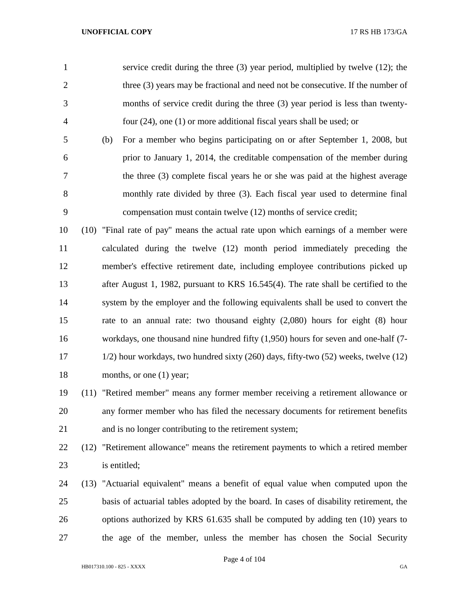|                | service credit during the three $(3)$ year period, multiplied by twelve $(12)$ ; the |
|----------------|--------------------------------------------------------------------------------------|
| 2              | three (3) years may be fractional and need not be consecutive. If the number of      |
| 3              | months of service credit during the three (3) year period is less than twenty-       |
| $\overline{4}$ | four $(24)$ , one $(1)$ or more additional fiscal years shall be used; or            |
|                |                                                                                      |

 (b) For a member who begins participating on or after September 1, 2008, but prior to January 1, 2014, the creditable compensation of the member during the three (3) complete fiscal years he or she was paid at the highest average monthly rate divided by three (3). Each fiscal year used to determine final compensation must contain twelve (12) months of service credit;

 (10) "Final rate of pay" means the actual rate upon which earnings of a member were calculated during the twelve (12) month period immediately preceding the member's effective retirement date, including employee contributions picked up after August 1, 1982, pursuant to KRS 16.545(4). The rate shall be certified to the system by the employer and the following equivalents shall be used to convert the rate to an annual rate: two thousand eighty (2,080) hours for eight (8) hour workdays, one thousand nine hundred fifty (1,950) hours for seven and one-half (7- 1/2) hour workdays, two hundred sixty (260) days, fifty-two (52) weeks, twelve (12) 18 months, or one (1) year;

# (11) "Retired member" means any former member receiving a retirement allowance or any former member who has filed the necessary documents for retirement benefits and is no longer contributing to the retirement system;

 (12) "Retirement allowance" means the retirement payments to which a retired member is entitled;

 (13) "Actuarial equivalent" means a benefit of equal value when computed upon the basis of actuarial tables adopted by the board. In cases of disability retirement, the options authorized by KRS 61.635 shall be computed by adding ten (10) years to the age of the member, unless the member has chosen the Social Security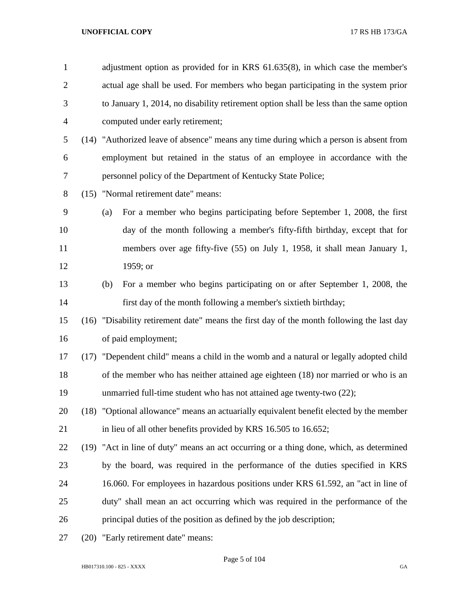| $\mathbf{1}$   | adjustment option as provided for in KRS 61.635(8), in which case the member's            |
|----------------|-------------------------------------------------------------------------------------------|
| $\overline{c}$ | actual age shall be used. For members who began participating in the system prior         |
| 3              | to January 1, 2014, no disability retirement option shall be less than the same option    |
| 4              | computed under early retirement;                                                          |
| 5              | (14) "Authorized leave of absence" means any time during which a person is absent from    |
| 6              | employment but retained in the status of an employee in accordance with the               |
| 7              | personnel policy of the Department of Kentucky State Police;                              |
| 8              | (15) "Normal retirement date" means:                                                      |
| 9              | For a member who begins participating before September 1, 2008, the first<br>(a)          |
| 10             | day of the month following a member's fifty-fifth birthday, except that for               |
| 11             | members over age fifty-five (55) on July 1, 1958, it shall mean January 1,                |
| 12             | 1959; or                                                                                  |
| 13             | For a member who begins participating on or after September 1, 2008, the<br>(b)           |
| 14             | first day of the month following a member's sixtieth birthday;                            |
| 15             | (16) "Disability retirement date" means the first day of the month following the last day |
| 16             | of paid employment;                                                                       |
| 17             | (17) "Dependent child" means a child in the womb and a natural or legally adopted child   |
| 18             | of the member who has neither attained age eighteen (18) nor married or who is an         |
| 19             | unmarried full-time student who has not attained age twenty-two (22);                     |
| 20             | (18) "Optional allowance" means an actuarially equivalent benefit elected by the member   |
| 21             | in lieu of all other benefits provided by KRS 16.505 to 16.652;                           |
| 22             | (19) "Act in line of duty" means an act occurring or a thing done, which, as determined   |
| 23             | by the board, was required in the performance of the duties specified in KRS              |
| 24             | 16.060. For employees in hazardous positions under KRS 61.592, an "act in line of         |
| 25             | duty" shall mean an act occurring which was required in the performance of the            |
| 26             | principal duties of the position as defined by the job description;                       |
| $\mathcal{L}$  | بالمفواد بفعده ومرومته فيومر وجاء                                                         |

(20) "Early retirement date" means: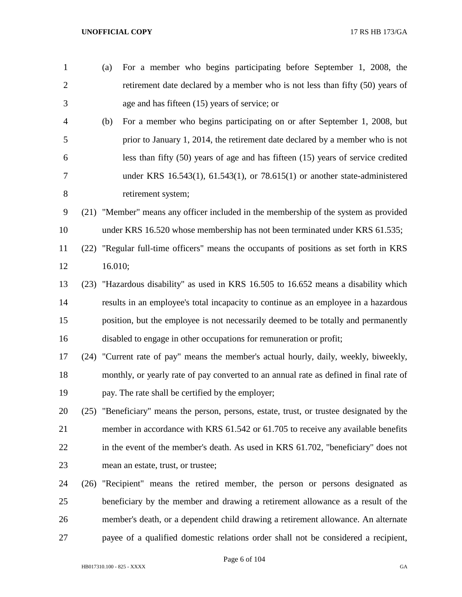| $\mathbf{1}$   |      | For a member who begins participating before September 1, 2008, the<br>(a)                |
|----------------|------|-------------------------------------------------------------------------------------------|
| $\overline{2}$ |      | retirement date declared by a member who is not less than fifty (50) years of             |
| 3              |      | age and has fifteen (15) years of service; or                                             |
| 4              |      | For a member who begins participating on or after September 1, 2008, but<br>(b)           |
| 5              |      | prior to January 1, 2014, the retirement date declared by a member who is not             |
| 6              |      | less than fifty $(50)$ years of age and has fifteen $(15)$ years of service credited      |
| 7              |      | under KRS $16.543(1)$ , $61.543(1)$ , or $78.615(1)$ or another state-administered        |
| 8              |      | retirement system;                                                                        |
| 9              |      | (21) "Member" means any officer included in the membership of the system as provided      |
| 10             |      | under KRS 16.520 whose membership has not been terminated under KRS 61.535;               |
| 11             |      | (22) "Regular full-time officers" means the occupants of positions as set forth in KRS    |
| 12             |      | 16.010;                                                                                   |
| 13             |      | (23) "Hazardous disability" as used in KRS 16.505 to 16.652 means a disability which      |
| 14             |      | results in an employee's total incapacity to continue as an employee in a hazardous       |
| 15             |      | position, but the employee is not necessarily deemed to be totally and permanently        |
| 16             |      | disabled to engage in other occupations for remuneration or profit;                       |
| 17             |      | (24) "Current rate of pay" means the member's actual hourly, daily, weekly, biweekly,     |
| 18             |      | monthly, or yearly rate of pay converted to an annual rate as defined in final rate of    |
| 19             |      | pay. The rate shall be certified by the employer;                                         |
| 20             |      | (25) "Beneficiary" means the person, persons, estate, trust, or trustee designated by the |
| 21             |      | member in accordance with KRS 61.542 or 61.705 to receive any available benefits          |
| 22             |      | in the event of the member's death. As used in KRS 61.702, "beneficiary" does not         |
| 23             |      | mean an estate, trust, or trustee;                                                        |
| 24             | (26) | "Recipient" means the retired member, the person or persons designated as                 |
| 25             |      | beneficiary by the member and drawing a retirement allowance as a result of the           |
| 26             |      | member's death, or a dependent child drawing a retirement allowance. An alternate         |
| 27             |      | payee of a qualified domestic relations order shall not be considered a recipient,        |

Page 6 of 104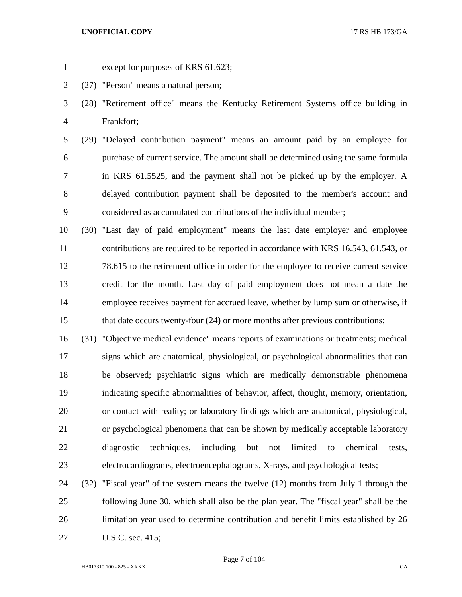- 
- except for purposes of KRS 61.623;
- (27) "Person" means a natural person;
- (28) "Retirement office" means the Kentucky Retirement Systems office building in Frankfort;
- (29) "Delayed contribution payment" means an amount paid by an employee for purchase of current service. The amount shall be determined using the same formula in KRS 61.5525, and the payment shall not be picked up by the employer. A delayed contribution payment shall be deposited to the member's account and considered as accumulated contributions of the individual member;
- (30) "Last day of paid employment" means the last date employer and employee contributions are required to be reported in accordance with KRS 16.543, 61.543, or 78.615 to the retirement office in order for the employee to receive current service credit for the month. Last day of paid employment does not mean a date the employee receives payment for accrued leave, whether by lump sum or otherwise, if that date occurs twenty-four (24) or more months after previous contributions;
- (31) "Objective medical evidence" means reports of examinations or treatments; medical signs which are anatomical, physiological, or psychological abnormalities that can be observed; psychiatric signs which are medically demonstrable phenomena indicating specific abnormalities of behavior, affect, thought, memory, orientation, or contact with reality; or laboratory findings which are anatomical, physiological, or psychological phenomena that can be shown by medically acceptable laboratory diagnostic techniques, including but not limited to chemical tests, electrocardiograms, electroencephalograms, X-rays, and psychological tests;
- (32) "Fiscal year" of the system means the twelve (12) months from July 1 through the following June 30, which shall also be the plan year. The "fiscal year" shall be the limitation year used to determine contribution and benefit limits established by 26 U.S.C. sec. 415;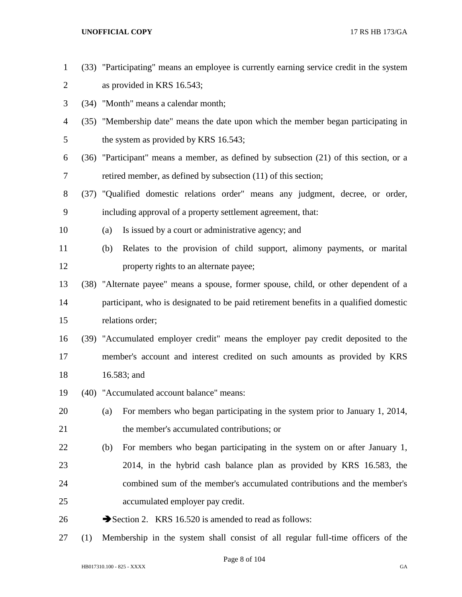- (33) "Participating" means an employee is currently earning service credit in the system as provided in KRS 16.543;
- (34) "Month" means a calendar month;
- (35) "Membership date" means the date upon which the member began participating in 5 the system as provided by KRS 16.543;
- (36) "Participant" means a member, as defined by subsection (21) of this section, or a retired member, as defined by subsection (11) of this section;
- (37) "Qualified domestic relations order" means any judgment, decree, or order, including approval of a property settlement agreement, that:
- (a) Is issued by a court or administrative agency; and
- (b) Relates to the provision of child support, alimony payments, or marital **property rights to an alternate payee;**
- (38) "Alternate payee" means a spouse, former spouse, child, or other dependent of a participant, who is designated to be paid retirement benefits in a qualified domestic relations order;
- (39) "Accumulated employer credit" means the employer pay credit deposited to the member's account and interest credited on such amounts as provided by KRS 16.583; and
- (40) "Accumulated account balance" means:
- (a) For members who began participating in the system prior to January 1, 2014, the member's accumulated contributions; or
- (b) For members who began participating in the system on or after January 1, 2014, in the hybrid cash balance plan as provided by KRS 16.583, the combined sum of the member's accumulated contributions and the member's accumulated employer pay credit.
- 26  $\rightarrow$  Section 2. KRS 16.520 is amended to read as follows:
- (1) Membership in the system shall consist of all regular full-time officers of the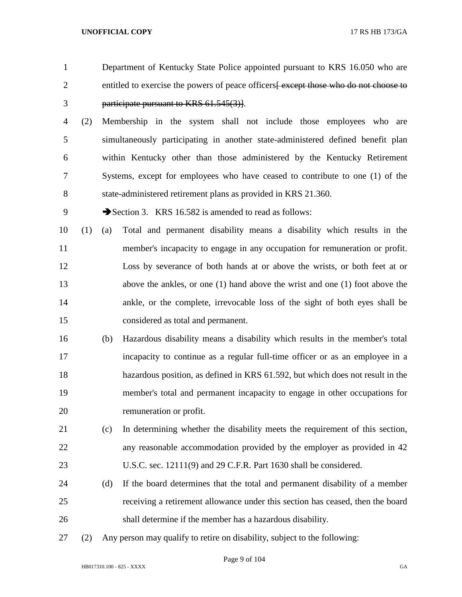- Department of Kentucky State Police appointed pursuant to KRS 16.050 who are 2 entitled to exercise the powers of peace officers except those who do not choose to participate pursuant to KRS 61.545(3)]. (2) Membership in the system shall not include those employees who are simultaneously participating in another state-administered defined benefit plan within Kentucky other than those administered by the Kentucky Retirement Systems, except for employees who have ceased to contribute to one (1) of the state-administered retirement plans as provided in KRS 21.360. 9 Section 3. KRS 16.582 is amended to read as follows: (1) (a) Total and permanent disability means a disability which results in the member's incapacity to engage in any occupation for remuneration or profit. Loss by severance of both hands at or above the wrists, or both feet at or above the ankles, or one (1) hand above the wrist and one (1) foot above the ankle, or the complete, irrevocable loss of the sight of both eyes shall be considered as total and permanent. (b) Hazardous disability means a disability which results in the member's total incapacity to continue as a regular full-time officer or as an employee in a
- hazardous position, as defined in KRS 61.592, but which does not result in the member's total and permanent incapacity to engage in other occupations for remuneration or profit.
- (c) In determining whether the disability meets the requirement of this section, any reasonable accommodation provided by the employer as provided in 42 U.S.C. sec. 12111(9) and 29 C.F.R. Part 1630 shall be considered.
- (d) If the board determines that the total and permanent disability of a member receiving a retirement allowance under this section has ceased, then the board shall determine if the member has a hazardous disability.
- (2) Any person may qualify to retire on disability, subject to the following: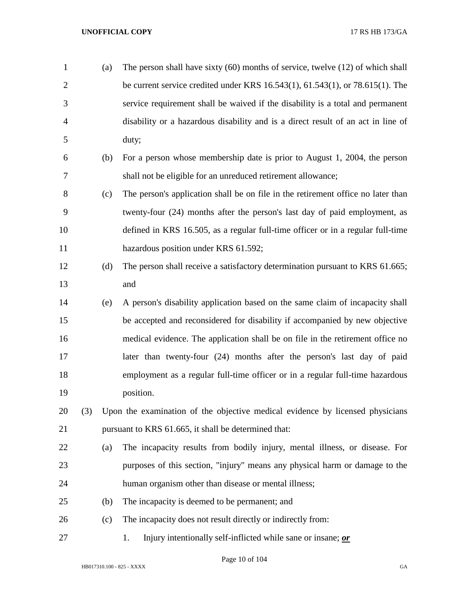| $\mathbf{1}$   |     | (a) | The person shall have sixty $(60)$ months of service, twelve $(12)$ of which shall     |
|----------------|-----|-----|----------------------------------------------------------------------------------------|
| $\overline{2}$ |     |     | be current service credited under KRS $16.543(1)$ , $61.543(1)$ , or $78.615(1)$ . The |
| 3              |     |     | service requirement shall be waived if the disability is a total and permanent         |
| $\overline{4}$ |     |     | disability or a hazardous disability and is a direct result of an act in line of       |
| 5              |     |     | duty;                                                                                  |
| 6              |     | (b) | For a person whose membership date is prior to August 1, 2004, the person              |
| 7              |     |     | shall not be eligible for an unreduced retirement allowance;                           |
| 8              |     | (c) | The person's application shall be on file in the retirement office no later than       |
| 9              |     |     | twenty-four (24) months after the person's last day of paid employment, as             |
| 10             |     |     | defined in KRS 16.505, as a regular full-time officer or in a regular full-time        |
| 11             |     |     | hazardous position under KRS 61.592;                                                   |
| 12             |     | (d) | The person shall receive a satisfactory determination pursuant to KRS 61.665;          |
| 13             |     |     | and                                                                                    |
| 14             |     | (e) | A person's disability application based on the same claim of incapacity shall          |
| 15             |     |     | be accepted and reconsidered for disability if accompanied by new objective            |
| 16             |     |     | medical evidence. The application shall be on file in the retirement office no         |
| 17             |     |     | later than twenty-four (24) months after the person's last day of paid                 |
| 18             |     |     | employment as a regular full-time officer or in a regular full-time hazardous          |
| 19             |     |     | position.                                                                              |
| 20             | (3) |     | Upon the examination of the objective medical evidence by licensed physicians          |
| 21             |     |     | pursuant to KRS 61.665, it shall be determined that:                                   |
| 22             |     | (a) | The incapacity results from bodily injury, mental illness, or disease. For             |
| 23             |     |     | purposes of this section, "injury" means any physical harm or damage to the            |
| 24             |     |     | human organism other than disease or mental illness;                                   |
| 25             |     | (b) | The incapacity is deemed to be permanent; and                                          |
| 26             |     | (c) | The incapacity does not result directly or indirectly from:                            |
| 27             |     |     | Injury intentionally self-inflicted while sane or insane; or<br>1.                     |

Page 10 of 104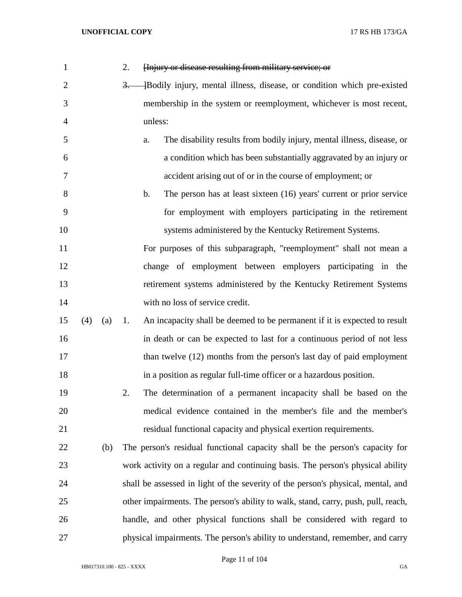| 1              |     |     | 2.   | Hnjury or disease resulting from military service; or                                 |
|----------------|-----|-----|------|---------------------------------------------------------------------------------------|
| $\overline{2}$ |     |     | $3-$ | -Bodily injury, mental illness, disease, or condition which pre-existed               |
| 3              |     |     |      | membership in the system or reemployment, whichever is most recent,                   |
| $\overline{4}$ |     |     |      | unless:                                                                               |
| 5              |     |     |      | The disability results from bodily injury, mental illness, disease, or<br>a.          |
| 6              |     |     |      | a condition which has been substantially aggravated by an injury or                   |
| 7              |     |     |      | accident arising out of or in the course of employment; or                            |
| 8              |     |     |      | The person has at least sixteen (16) years' current or prior service<br>$\mathbf b$ . |
| 9              |     |     |      | for employment with employers participating in the retirement                         |
| 10             |     |     |      | systems administered by the Kentucky Retirement Systems.                              |
| 11             |     |     |      | For purposes of this subparagraph, "reemployment" shall not mean a                    |
| 12             |     |     |      | change of employment between employers participating in the                           |
| 13             |     |     |      | retirement systems administered by the Kentucky Retirement Systems                    |
| 14             |     |     |      | with no loss of service credit.                                                       |
| 15             | (4) | (a) | 1.   | An incapacity shall be deemed to be permanent if it is expected to result             |
| 16             |     |     |      | in death or can be expected to last for a continuous period of not less               |
| 17             |     |     |      | than twelve (12) months from the person's last day of paid employment                 |
| 18             |     |     |      | in a position as regular full-time officer or a hazardous position.                   |
| 19             |     |     | 2.   | The determination of a permanent incapacity shall be based on the                     |
| 20             |     |     |      | medical evidence contained in the member's file and the member's                      |
| 21             |     |     |      | residual functional capacity and physical exertion requirements.                      |
| 22             |     | (b) |      | The person's residual functional capacity shall be the person's capacity for          |
| 23             |     |     |      | work activity on a regular and continuing basis. The person's physical ability        |
| 24             |     |     |      | shall be assessed in light of the severity of the person's physical, mental, and      |
| 25             |     |     |      | other impairments. The person's ability to walk, stand, carry, push, pull, reach,     |
| 26             |     |     |      | handle, and other physical functions shall be considered with regard to               |
| 27             |     |     |      | physical impairments. The person's ability to understand, remember, and carry         |

Page 11 of 104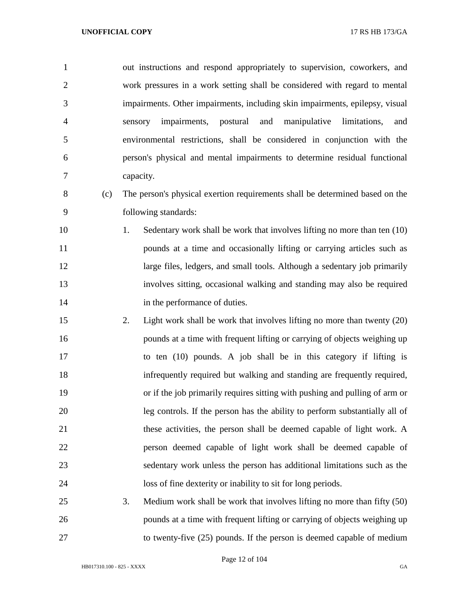| $\mathbf{1}$   |     | out instructions and respond appropriately to supervision, coworkers, and      |
|----------------|-----|--------------------------------------------------------------------------------|
| $\overline{2}$ |     | work pressures in a work setting shall be considered with regard to mental     |
| 3              |     | impairments. Other impairments, including skin impairments, epilepsy, visual   |
| $\overline{4}$ |     | impairments,<br>postural<br>and manipulative<br>limitations,<br>sensory<br>and |
| 5              |     | environmental restrictions, shall be considered in conjunction with the        |
| 6              |     | person's physical and mental impairments to determine residual functional      |
| 7              |     | capacity.                                                                      |
| 8              | (c) | The person's physical exertion requirements shall be determined based on the   |
| 9              |     | following standards:                                                           |
| 10             |     | Sedentary work shall be work that involves lifting no more than ten (10)<br>1. |
| 11             |     | pounds at a time and occasionally lifting or carrying articles such as         |
| 12             |     | large files, ledgers, and small tools. Although a sedentary job primarily      |
| 13             |     | involves sitting, occasional walking and standing may also be required         |
| 14             |     | in the performance of duties.                                                  |
| 15             |     | Light work shall be work that involves lifting no more than twenty (20)<br>2.  |
| 16             |     | pounds at a time with frequent lifting or carrying of objects weighing up      |
| 17             |     | to ten (10) pounds. A job shall be in this category if lifting is              |
| 18             |     | infrequently required but walking and standing are frequently required,        |
| 19             |     | or if the job primarily requires sitting with pushing and pulling of arm or    |
| 20             |     | leg controls. If the person has the ability to perform substantially all of    |
| 21             |     | these activities, the person shall be deemed capable of light work. A          |
| 22             |     | person deemed capable of light work shall be deemed capable of                 |
| 23             |     | sedentary work unless the person has additional limitations such as the        |
| 24             |     | loss of fine dexterity or inability to sit for long periods.                   |

 3. Medium work shall be work that involves lifting no more than fifty (50) pounds at a time with frequent lifting or carrying of objects weighing up to twenty-five (25) pounds. If the person is deemed capable of medium

Page 12 of 104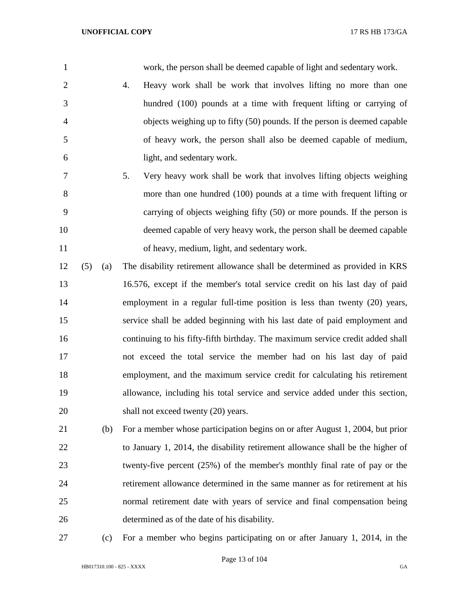work, the person shall be deemed capable of light and sedentary work.

- 4. Heavy work shall be work that involves lifting no more than one hundred (100) pounds at a time with frequent lifting or carrying of objects weighing up to fifty (50) pounds. If the person is deemed capable of heavy work, the person shall also be deemed capable of medium, light, and sedentary work.
- 5. Very heavy work shall be work that involves lifting objects weighing more than one hundred (100) pounds at a time with frequent lifting or carrying of objects weighing fifty (50) or more pounds. If the person is deemed capable of very heavy work, the person shall be deemed capable of heavy, medium, light, and sedentary work.
- (5) (a) The disability retirement allowance shall be determined as provided in KRS 16.576, except if the member's total service credit on his last day of paid employment in a regular full-time position is less than twenty (20) years, service shall be added beginning with his last date of paid employment and continuing to his fifty-fifth birthday. The maximum service credit added shall not exceed the total service the member had on his last day of paid employment, and the maximum service credit for calculating his retirement allowance, including his total service and service added under this section, 20 shall not exceed twenty (20) years.
- (b) For a member whose participation begins on or after August 1, 2004, but prior to January 1, 2014, the disability retirement allowance shall be the higher of twenty-five percent (25%) of the member's monthly final rate of pay or the retirement allowance determined in the same manner as for retirement at his normal retirement date with years of service and final compensation being determined as of the date of his disability.
- 

(c) For a member who begins participating on or after January 1, 2014, in the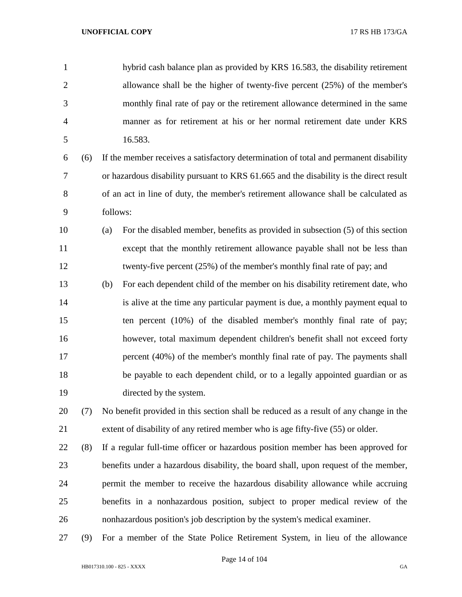hybrid cash balance plan as provided by KRS 16.583, the disability retirement allowance shall be the higher of twenty-five percent (25%) of the member's monthly final rate of pay or the retirement allowance determined in the same manner as for retirement at his or her normal retirement date under KRS 16.583.

 (6) If the member receives a satisfactory determination of total and permanent disability or hazardous disability pursuant to KRS 61.665 and the disability is the direct result of an act in line of duty, the member's retirement allowance shall be calculated as follows:

 (a) For the disabled member, benefits as provided in subsection (5) of this section except that the monthly retirement allowance payable shall not be less than twenty-five percent (25%) of the member's monthly final rate of pay; and

 (b) For each dependent child of the member on his disability retirement date, who is alive at the time any particular payment is due, a monthly payment equal to ten percent (10%) of the disabled member's monthly final rate of pay; however, total maximum dependent children's benefit shall not exceed forty percent (40%) of the member's monthly final rate of pay. The payments shall be payable to each dependent child, or to a legally appointed guardian or as directed by the system.

 (7) No benefit provided in this section shall be reduced as a result of any change in the extent of disability of any retired member who is age fifty-five (55) or older.

 (8) If a regular full-time officer or hazardous position member has been approved for benefits under a hazardous disability, the board shall, upon request of the member, permit the member to receive the hazardous disability allowance while accruing benefits in a nonhazardous position, subject to proper medical review of the nonhazardous position's job description by the system's medical examiner.

(9) For a member of the State Police Retirement System, in lieu of the allowance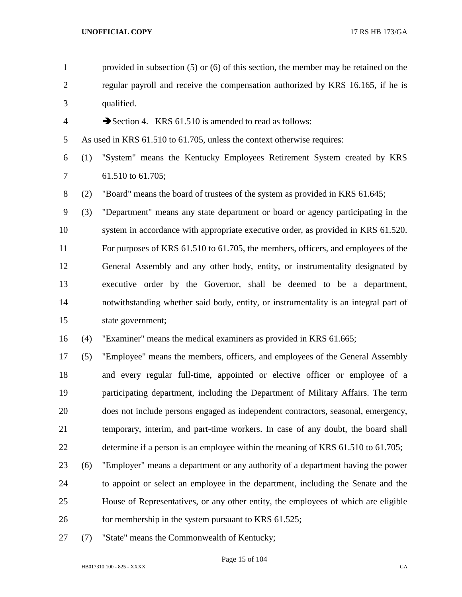| $\mathbf{1}$     |     | provided in subsection $(5)$ or $(6)$ of this section, the member may be retained on the |
|------------------|-----|------------------------------------------------------------------------------------------|
| $\overline{2}$   |     | regular payroll and receive the compensation authorized by KRS 16.165, if he is          |
| 3                |     | qualified.                                                                               |
| $\overline{4}$   |     | Section 4. KRS 61.510 is amended to read as follows:                                     |
| 5                |     | As used in KRS 61.510 to 61.705, unless the context otherwise requires:                  |
| 6                | (1) | "System" means the Kentucky Employees Retirement System created by KRS                   |
| $\overline{7}$   |     | 61.510 to 61.705;                                                                        |
| $8\,$            | (2) | "Board" means the board of trustees of the system as provided in KRS 61.645;             |
| $\boldsymbol{9}$ | (3) | "Department" means any state department or board or agency participating in the          |
| 10               |     | system in accordance with appropriate executive order, as provided in KRS 61.520.        |
| 11               |     | For purposes of KRS 61.510 to 61.705, the members, officers, and employees of the        |
| 12               |     | General Assembly and any other body, entity, or instrumentality designated by            |
| 13               |     | executive order by the Governor, shall be deemed to be a department,                     |
| 14               |     | notwithstanding whether said body, entity, or instrumentality is an integral part of     |
| 15               |     | state government;                                                                        |
| 16               | (4) | "Examiner" means the medical examiners as provided in KRS 61.665;                        |
| 17               | (5) | "Employee" means the members, officers, and employees of the General Assembly            |
| 18               |     | and every regular full-time, appointed or elective officer or employee of a              |
| 19               |     | participating department, including the Department of Military Affairs. The term         |
| 20               |     | does not include persons engaged as independent contractors, seasonal, emergency,        |
| 21               |     | temporary, interim, and part-time workers. In case of any doubt, the board shall         |
| 22               |     | determine if a person is an employee within the meaning of KRS 61.510 to 61.705;         |
| 23               | (6) | "Employer" means a department or any authority of a department having the power          |
| 24               |     | to appoint or select an employee in the department, including the Senate and the         |
| 25               |     | House of Representatives, or any other entity, the employees of which are eligible       |
| 26               |     | for membership in the system pursuant to KRS 61.525;                                     |
| 27               | (7) | "State" means the Commonwealth of Kentucky;                                              |

HB017310.100 - 825 - XXXX GA

Page 15 of 104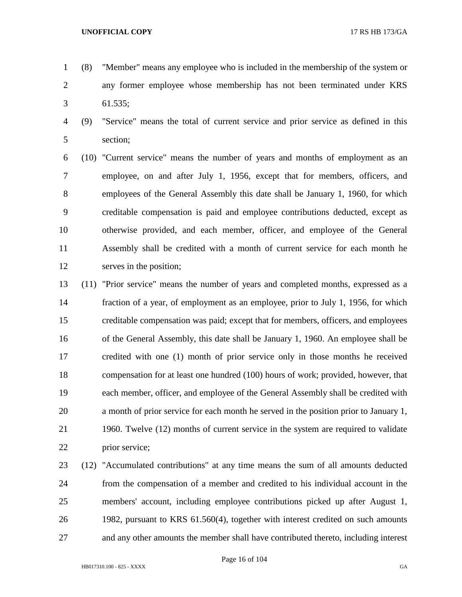- (8) "Member" means any employee who is included in the membership of the system or any former employee whose membership has not been terminated under KRS 61.535;
- (9) "Service" means the total of current service and prior service as defined in this section;
- (10) "Current service" means the number of years and months of employment as an employee, on and after July 1, 1956, except that for members, officers, and employees of the General Assembly this date shall be January 1, 1960, for which creditable compensation is paid and employee contributions deducted, except as otherwise provided, and each member, officer, and employee of the General Assembly shall be credited with a month of current service for each month he serves in the position;
- (11) "Prior service" means the number of years and completed months, expressed as a fraction of a year, of employment as an employee, prior to July 1, 1956, for which creditable compensation was paid; except that for members, officers, and employees of the General Assembly, this date shall be January 1, 1960. An employee shall be credited with one (1) month of prior service only in those months he received compensation for at least one hundred (100) hours of work; provided, however, that each member, officer, and employee of the General Assembly shall be credited with a month of prior service for each month he served in the position prior to January 1, 1960. Twelve (12) months of current service in the system are required to validate prior service;
- (12) "Accumulated contributions" at any time means the sum of all amounts deducted from the compensation of a member and credited to his individual account in the members' account, including employee contributions picked up after August 1, 1982, pursuant to KRS 61.560(4), together with interest credited on such amounts and any other amounts the member shall have contributed thereto, including interest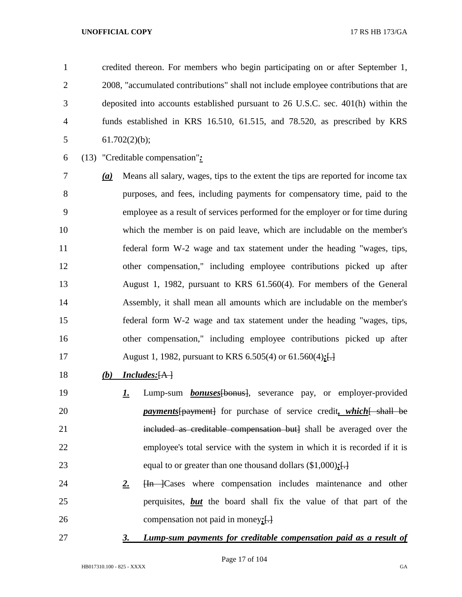credited thereon. For members who begin participating on or after September 1, 2008, "accumulated contributions" shall not include employee contributions that are deposited into accounts established pursuant to 26 U.S.C. sec. 401(h) within the funds established in KRS 16.510, 61.515, and 78.520, as prescribed by KRS 5 61.702 $(2)(b)$ ;

(13) "Creditable compensation"*:*

 *(a)* Means all salary, wages, tips to the extent the tips are reported for income tax purposes, and fees, including payments for compensatory time, paid to the employee as a result of services performed for the employer or for time during which the member is on paid leave, which are includable on the member's federal form W-2 wage and tax statement under the heading "wages, tips, other compensation," including employee contributions picked up after August 1, 1982, pursuant to KRS 61.560(4). For members of the General Assembly, it shall mean all amounts which are includable on the member's federal form W-2 wage and tax statement under the heading "wages, tips, other compensation," including employee contributions picked up after August 1, 1982, pursuant to KRS 6.505(4) or 61.560(4)*;*[.]

- *(b) Includes:*[A ]
- *1.* Lump-sum *bonuses*[bonus], severance pay, or employer-provided *payments* [payment] for purchase of service credit, which [ shall be 21 included as creditable compensation but] shall be averaged over the employee's total service with the system in which it is recorded if it is equal to or greater than one thousand dollars (\$1,000)*;*[.]
- 24 **2. H<sub>n</sub>** Cases where compensation includes maintenance and other perquisites, *but* the board shall fix the value of that part of the compensation not paid in money*;*[.]
- 

## *3. Lump-sum payments for creditable compensation paid as a result of*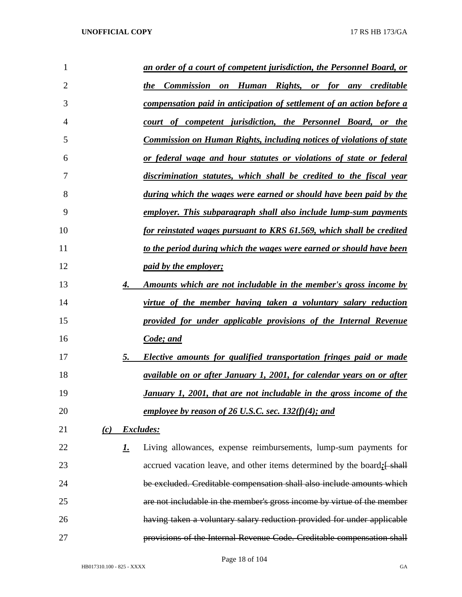| 1              |     |           | an order of a court of competent jurisdiction, the Personnel Board, or       |
|----------------|-----|-----------|------------------------------------------------------------------------------|
| $\overline{2}$ |     |           | Commission on Human Rights, or for any creditable<br>the                     |
| 3              |     |           | <u>compensation paid in anticipation of settlement of an action before a</u> |
| 4              |     |           | court of competent jurisdiction, the Personnel Board, or the                 |
| 5              |     |           | <b>Commission on Human Rights, including notices of violations of state</b>  |
| 6              |     |           | <u>or federal wage and hour statutes or violations of state or federal</u>   |
| 7              |     |           | discrimination statutes, which shall be credited to the fiscal year          |
| 8              |     |           | during which the wages were earned or should have been paid by the           |
| 9              |     |           | employer. This subparagraph shall also include lump-sum payments             |
| 10             |     |           | for reinstated wages pursuant to KRS 61.569, which shall be credited         |
| 11             |     |           | to the period during which the wages were earned or should have been         |
| 12             |     |           | <i>paid by the employer;</i>                                                 |
| 13             |     | 4.        | <u>Amounts which are not includable in the member's gross income by</u>      |
| 14             |     |           | virtue of the member having taken a voluntary salary reduction               |
| 15             |     |           | provided for under applicable provisions of the Internal Revenue             |
| 16             |     |           | Code; and                                                                    |
| 17             |     | 5.        | <b>Elective amounts for qualified transportation fringes paid or made</b>    |
| 18             |     |           | available on or after January 1, 2001, for calendar years on or after        |
| 19             |     |           | January 1, 2001, that are not includable in the gross income of the          |
| 20             |     |           | employee by reason of 26 U.S.C. sec. $132(f)(4)$ ; and                       |
| 21             | (c) |           | Excludes:                                                                    |
| 22             |     | <u>I.</u> | Living allowances, expense reimbursements, lump-sum payments for             |
| 23             |     |           | accrued vacation leave, and other items determined by the board; [shall]     |
| 24             |     |           | be excluded. Creditable compensation shall also include amounts which        |
| 25             |     |           | are not includable in the member's gross income by virtue of the member      |
| 26             |     |           | having taken a voluntary salary reduction provided for under applicable      |
| 27             |     |           | provisions of the Internal Revenue Code. Creditable compensation shall       |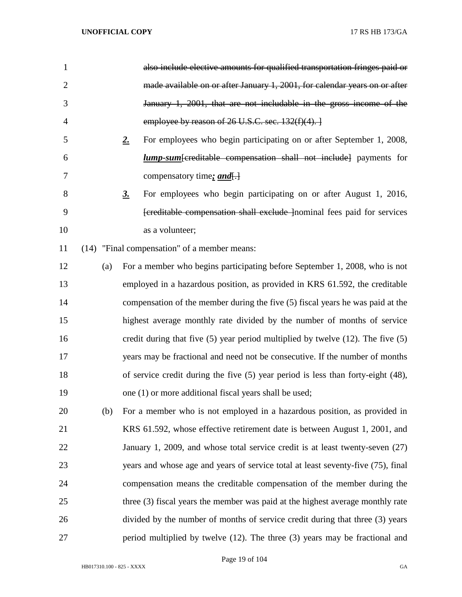| 1              |     | also include elective amounts for qualified transportation fringes paid or             |
|----------------|-----|----------------------------------------------------------------------------------------|
| $\overline{2}$ |     | made available on or after January 1, 2001, for calendar years on or after             |
| 3              |     | January 1, 2001, that are not includable in the gross income of the                    |
| 4              |     | employee by reason of $26$ U.S.C. sec. $132(f)(4)$ .                                   |
| 5              |     | For employees who begin participating on or after September 1, 2008,<br>2.             |
| 6              |     | <i>lump-sum</i> [creditable compensation shall not include] payments for               |
| 7              |     | compensatory time: <i>and</i> .                                                        |
| 8              |     | For employees who begin participating on or after August 1, 2016,<br><u>3.</u>         |
| 9              |     | [creditable compensation shall exclude ] nominal fees paid for services                |
| 10             |     | as a volunteer;                                                                        |
| 11             |     | (14) "Final compensation" of a member means:                                           |
| 12             | (a) | For a member who begins participating before September 1, 2008, who is not             |
| 13             |     | employed in a hazardous position, as provided in KRS 61.592, the creditable            |
| 14             |     | compensation of the member during the five (5) fiscal years he was paid at the         |
| 15             |     | highest average monthly rate divided by the number of months of service                |
| 16             |     | credit during that five $(5)$ year period multiplied by twelve $(12)$ . The five $(5)$ |
| 17             |     | years may be fractional and need not be consecutive. If the number of months           |
| 18             |     | of service credit during the five $(5)$ year period is less than forty-eight $(48)$ ,  |
| 19             |     | one (1) or more additional fiscal years shall be used;                                 |
| 20             | (b) | For a member who is not employed in a hazardous position, as provided in               |
| 21             |     | KRS 61.592, whose effective retirement date is between August 1, 2001, and             |
| 22             |     | January 1, 2009, and whose total service credit is at least twenty-seven (27)          |
| 23             |     | years and whose age and years of service total at least seventy-five (75), final       |
| 24             |     | compensation means the creditable compensation of the member during the                |
| 25             |     | three (3) fiscal years the member was paid at the highest average monthly rate         |
| 26             |     | divided by the number of months of service credit during that three (3) years          |
| 27             |     | period multiplied by twelve (12). The three (3) years may be fractional and            |

Page 19 of 104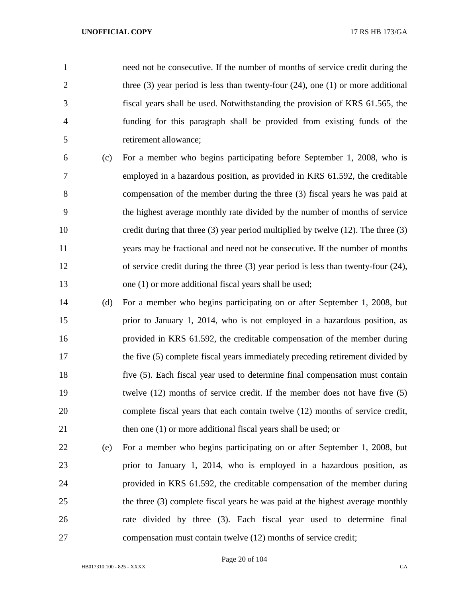need not be consecutive. If the number of months of service credit during the 2 three (3) year period is less than twenty-four (24), one (1) or more additional fiscal years shall be used. Notwithstanding the provision of KRS 61.565, the funding for this paragraph shall be provided from existing funds of the retirement allowance;

- (c) For a member who begins participating before September 1, 2008, who is employed in a hazardous position, as provided in KRS 61.592, the creditable compensation of the member during the three (3) fiscal years he was paid at the highest average monthly rate divided by the number of months of service credit during that three (3) year period multiplied by twelve (12). The three (3) years may be fractional and need not be consecutive. If the number of months of service credit during the three (3) year period is less than twenty-four (24), 13 one (1) or more additional fiscal years shall be used;
- (d) For a member who begins participating on or after September 1, 2008, but prior to January 1, 2014, who is not employed in a hazardous position, as provided in KRS 61.592, the creditable compensation of the member during 17 the five (5) complete fiscal years immediately preceding retirement divided by five (5). Each fiscal year used to determine final compensation must contain twelve (12) months of service credit. If the member does not have five (5) complete fiscal years that each contain twelve (12) months of service credit, 21 then one (1) or more additional fiscal years shall be used; or
- (e) For a member who begins participating on or after September 1, 2008, but prior to January 1, 2014, who is employed in a hazardous position, as provided in KRS 61.592, the creditable compensation of the member during the three (3) complete fiscal years he was paid at the highest average monthly rate divided by three (3). Each fiscal year used to determine final compensation must contain twelve (12) months of service credit;

Page 20 of 104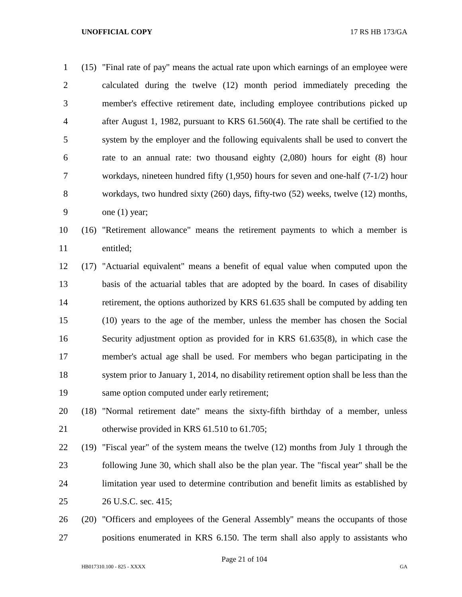(15) "Final rate of pay" means the actual rate upon which earnings of an employee were calculated during the twelve (12) month period immediately preceding the member's effective retirement date, including employee contributions picked up after August 1, 1982, pursuant to KRS 61.560(4). The rate shall be certified to the system by the employer and the following equivalents shall be used to convert the rate to an annual rate: two thousand eighty (2,080) hours for eight (8) hour workdays, nineteen hundred fifty (1,950) hours for seven and one-half (7-1/2) hour workdays, two hundred sixty (260) days, fifty-two (52) weeks, twelve (12) months, one (1) year; (16) "Retirement allowance" means the retirement payments to which a member is

entitled;

 (17) "Actuarial equivalent" means a benefit of equal value when computed upon the basis of the actuarial tables that are adopted by the board. In cases of disability retirement, the options authorized by KRS 61.635 shall be computed by adding ten (10) years to the age of the member, unless the member has chosen the Social Security adjustment option as provided for in KRS 61.635(8), in which case the member's actual age shall be used. For members who began participating in the system prior to January 1, 2014, no disability retirement option shall be less than the same option computed under early retirement;

- (18) "Normal retirement date" means the sixty-fifth birthday of a member, unless 21 otherwise provided in KRS 61.510 to 61.705;
- (19) "Fiscal year" of the system means the twelve (12) months from July 1 through the following June 30, which shall also be the plan year. The "fiscal year" shall be the limitation year used to determine contribution and benefit limits as established by 26 U.S.C. sec. 415;
- (20) "Officers and employees of the General Assembly" means the occupants of those positions enumerated in KRS 6.150. The term shall also apply to assistants who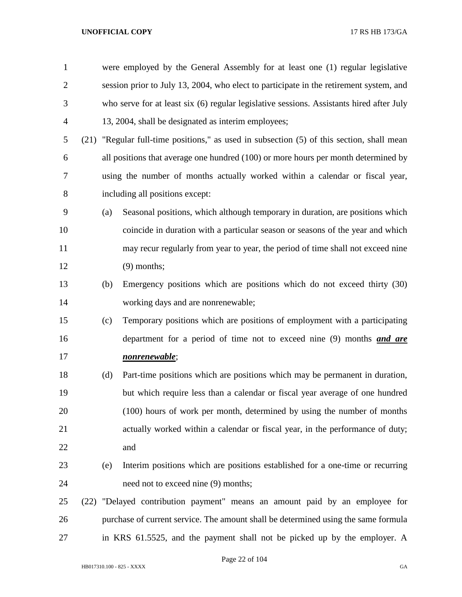| $\mathbf{1}$   |      |                                                                                        | were employed by the General Assembly for at least one (1) regular legislative           |  |  |  |
|----------------|------|----------------------------------------------------------------------------------------|------------------------------------------------------------------------------------------|--|--|--|
| $\overline{2}$ |      | session prior to July 13, 2004, who elect to participate in the retirement system, and |                                                                                          |  |  |  |
| 3              |      |                                                                                        | who serve for at least six (6) regular legislative sessions. Assistants hired after July |  |  |  |
| $\overline{4}$ |      |                                                                                        | 13, 2004, shall be designated as interim employees;                                      |  |  |  |
| 5              | (21) |                                                                                        | "Regular full-time positions," as used in subsection (5) of this section, shall mean     |  |  |  |
| 6              |      |                                                                                        | all positions that average one hundred (100) or more hours per month determined by       |  |  |  |
| 7              |      |                                                                                        | using the number of months actually worked within a calendar or fiscal year,             |  |  |  |
| 8              |      |                                                                                        | including all positions except:                                                          |  |  |  |
| 9              |      | (a)                                                                                    | Seasonal positions, which although temporary in duration, are positions which            |  |  |  |
| 10             |      |                                                                                        | coincide in duration with a particular season or seasons of the year and which           |  |  |  |
| 11             |      |                                                                                        | may recur regularly from year to year, the period of time shall not exceed nine          |  |  |  |
| 12             |      |                                                                                        | $(9)$ months;                                                                            |  |  |  |
| 13             |      | (b)                                                                                    | Emergency positions which are positions which do not exceed thirty (30)                  |  |  |  |
| 14             |      |                                                                                        | working days and are nonrenewable;                                                       |  |  |  |
| 15             |      | (c)                                                                                    | Temporary positions which are positions of employment with a participating               |  |  |  |
| 16             |      |                                                                                        | department for a period of time not to exceed nine (9) months <i>and are</i>             |  |  |  |
| 17             |      |                                                                                        | <u>nonrenewable;</u>                                                                     |  |  |  |
| 18             |      | (d)                                                                                    | Part-time positions which are positions which may be permanent in duration,              |  |  |  |
| 19             |      |                                                                                        | but which require less than a calendar or fiscal year average of one hundred             |  |  |  |
| 20             |      |                                                                                        | (100) hours of work per month, determined by using the number of months                  |  |  |  |
| 21             |      |                                                                                        | actually worked within a calendar or fiscal year, in the performance of duty;            |  |  |  |
| 22             |      |                                                                                        | and                                                                                      |  |  |  |
| 23             |      | (e)                                                                                    | Interim positions which are positions established for a one-time or recurring            |  |  |  |
| 24             |      |                                                                                        | need not to exceed nine (9) months;                                                      |  |  |  |
| 25             |      |                                                                                        | (22) "Delayed contribution payment" means an amount paid by an employee for              |  |  |  |
| 26             |      |                                                                                        | purchase of current service. The amount shall be determined using the same formula       |  |  |  |
| 27             |      |                                                                                        | in KRS 61.5525, and the payment shall not be picked up by the employer. A                |  |  |  |

Page 22 of 104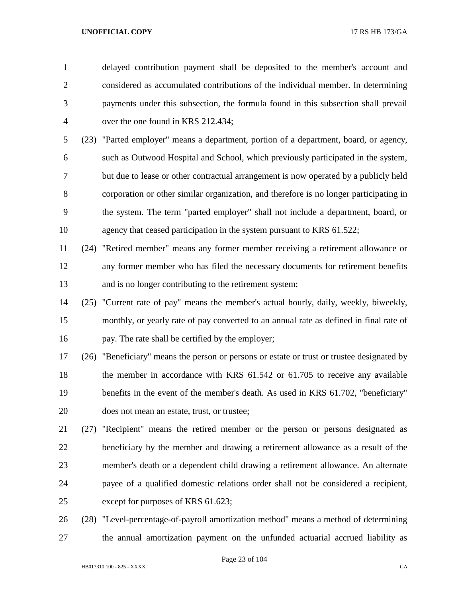delayed contribution payment shall be deposited to the member's account and considered as accumulated contributions of the individual member. In determining payments under this subsection, the formula found in this subsection shall prevail over the one found in KRS 212.434;

 (23) "Parted employer" means a department, portion of a department, board, or agency, such as Outwood Hospital and School, which previously participated in the system, but due to lease or other contractual arrangement is now operated by a publicly held corporation or other similar organization, and therefore is no longer participating in the system. The term "parted employer" shall not include a department, board, or 10 agency that ceased participation in the system pursuant to KRS 61.522;

 (24) "Retired member" means any former member receiving a retirement allowance or any former member who has filed the necessary documents for retirement benefits and is no longer contributing to the retirement system;

 (25) "Current rate of pay" means the member's actual hourly, daily, weekly, biweekly, monthly, or yearly rate of pay converted to an annual rate as defined in final rate of pay. The rate shall be certified by the employer;

 (26) "Beneficiary" means the person or persons or estate or trust or trustee designated by 18 the member in accordance with KRS 61.542 or 61.705 to receive any available benefits in the event of the member's death. As used in KRS 61.702, "beneficiary" does not mean an estate, trust, or trustee;

 (27) "Recipient" means the retired member or the person or persons designated as beneficiary by the member and drawing a retirement allowance as a result of the member's death or a dependent child drawing a retirement allowance. An alternate payee of a qualified domestic relations order shall not be considered a recipient, except for purposes of KRS 61.623;

 (28) "Level-percentage-of-payroll amortization method" means a method of determining the annual amortization payment on the unfunded actuarial accrued liability as

Page 23 of 104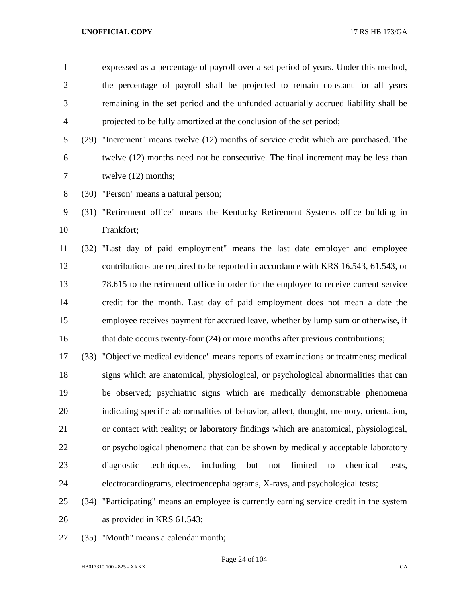expressed as a percentage of payroll over a set period of years. Under this method, the percentage of payroll shall be projected to remain constant for all years remaining in the set period and the unfunded actuarially accrued liability shall be projected to be fully amortized at the conclusion of the set period;

- (29) "Increment" means twelve (12) months of service credit which are purchased. The twelve (12) months need not be consecutive. The final increment may be less than twelve (12) months;
- (30) "Person" means a natural person;

 (31) "Retirement office" means the Kentucky Retirement Systems office building in Frankfort;

 (32) "Last day of paid employment" means the last date employer and employee contributions are required to be reported in accordance with KRS 16.543, 61.543, or 78.615 to the retirement office in order for the employee to receive current service credit for the month. Last day of paid employment does not mean a date the employee receives payment for accrued leave, whether by lump sum or otherwise, if 16 that date occurs twenty-four (24) or more months after previous contributions;

 (33) "Objective medical evidence" means reports of examinations or treatments; medical signs which are anatomical, physiological, or psychological abnormalities that can be observed; psychiatric signs which are medically demonstrable phenomena indicating specific abnormalities of behavior, affect, thought, memory, orientation, or contact with reality; or laboratory findings which are anatomical, physiological, or psychological phenomena that can be shown by medically acceptable laboratory diagnostic techniques, including but not limited to chemical tests, electrocardiograms, electroencephalograms, X-rays, and psychological tests;

- (34) "Participating" means an employee is currently earning service credit in the system as provided in KRS 61.543;
- (35) "Month" means a calendar month;

Page 24 of 104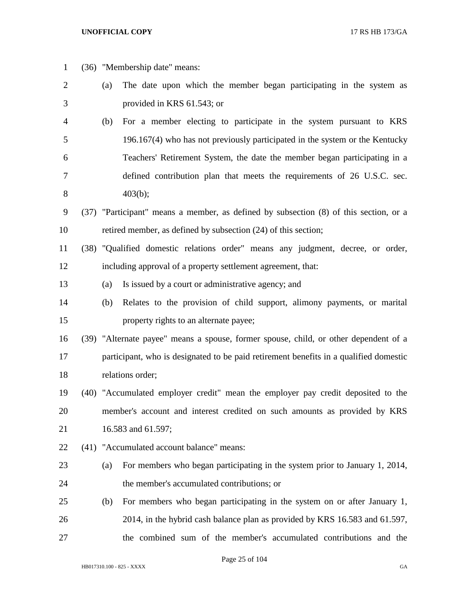| $\mathbf{1}$ |     | (36) "Membership date" means:                                                         |
|--------------|-----|---------------------------------------------------------------------------------------|
| 2            | (a) | The date upon which the member began participating in the system as                   |
| 3            |     | provided in KRS 61.543; or                                                            |
| 4            | (b) | For a member electing to participate in the system pursuant to KRS                    |
| 5            |     | 196.167(4) who has not previously participated in the system or the Kentucky          |
| 6            |     | Teachers' Retirement System, the date the member began participating in a             |
| 7            |     | defined contribution plan that meets the requirements of 26 U.S.C. sec.               |
| 8            |     | 403(b);                                                                               |
| 9            |     | (37) "Participant" means a member, as defined by subsection (8) of this section, or a |
| 10           |     | retired member, as defined by subsection (24) of this section;                        |
| 11           |     | (38) "Qualified domestic relations order" means any judgment, decree, or order,       |
| 12           |     | including approval of a property settlement agreement, that:                          |
| 13           | (a) | Is issued by a court or administrative agency; and                                    |
| 14           | (b) | Relates to the provision of child support, alimony payments, or marital               |
| 15           |     | property rights to an alternate payee;                                                |
| 16           |     | (39) "Alternate payee" means a spouse, former spouse, child, or other dependent of a  |
| 17           |     | participant, who is designated to be paid retirement benefits in a qualified domestic |
| 18           |     | relations order;                                                                      |
| 19           |     | (40) "Accumulated employer credit" mean the employer pay credit deposited to the      |
| 20           |     | member's account and interest credited on such amounts as provided by KRS             |
| 21           |     | 16.583 and 61.597;                                                                    |
| 22           |     | (41) "Accumulated account balance" means:                                             |
| 23           | (a) | For members who began participating in the system prior to January 1, 2014,           |
| 24           |     | the member's accumulated contributions; or                                            |
| 25           | (b) | For members who began participating in the system on or after January 1,              |
| 26           |     | 2014, in the hybrid cash balance plan as provided by KRS 16.583 and 61.597,           |
| 27           |     | the combined sum of the member's accumulated contributions and the                    |

Page 25 of 104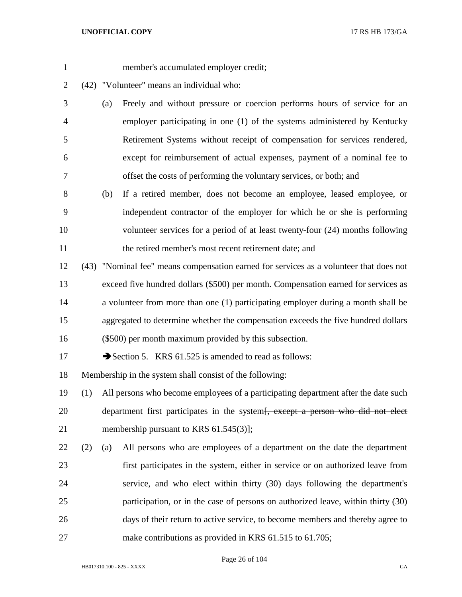- member's accumulated employer credit;
- (42) "Volunteer" means an individual who:
- (a) Freely and without pressure or coercion performs hours of service for an employer participating in one (1) of the systems administered by Kentucky Retirement Systems without receipt of compensation for services rendered, except for reimbursement of actual expenses, payment of a nominal fee to offset the costs of performing the voluntary services, or both; and
- (b) If a retired member, does not become an employee, leased employee, or independent contractor of the employer for which he or she is performing volunteer services for a period of at least twenty-four (24) months following 11 the retired member's most recent retirement date; and
- (43) "Nominal fee" means compensation earned for services as a volunteer that does not exceed five hundred dollars (\$500) per month. Compensation earned for services as a volunteer from more than one (1) participating employer during a month shall be aggregated to determine whether the compensation exceeds the five hundred dollars (\$500) per month maximum provided by this subsection.
- 17 Section 5. KRS 61.525 is amended to read as follows:

Membership in the system shall consist of the following:

- (1) All persons who become employees of a participating department after the date such 20 department first participates in the system<del>[, except a person who did not elect</del> 21 membership pursuant to KRS 61.545(3)];
- (2) (a) All persons who are employees of a department on the date the department first participates in the system, either in service or on authorized leave from service, and who elect within thirty (30) days following the department's participation, or in the case of persons on authorized leave, within thirty (30) days of their return to active service, to become members and thereby agree to 27 make contributions as provided in KRS 61.515 to 61.705;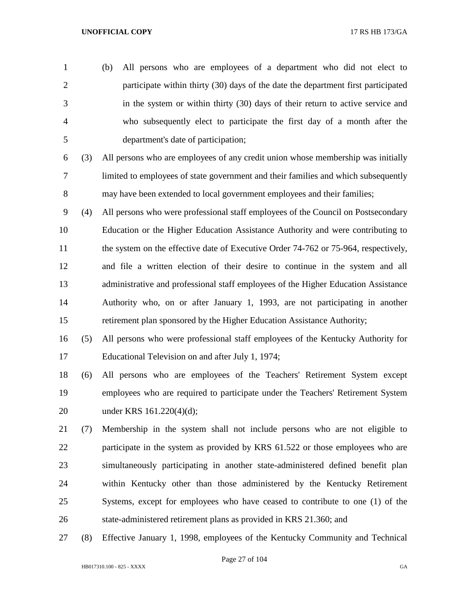- (b) All persons who are employees of a department who did not elect to participate within thirty (30) days of the date the department first participated in the system or within thirty (30) days of their return to active service and who subsequently elect to participate the first day of a month after the department's date of participation;
- (3) All persons who are employees of any credit union whose membership was initially limited to employees of state government and their families and which subsequently may have been extended to local government employees and their families;
- (4) All persons who were professional staff employees of the Council on Postsecondary Education or the Higher Education Assistance Authority and were contributing to 11 the system on the effective date of Executive Order 74-762 or 75-964, respectively, and file a written election of their desire to continue in the system and all administrative and professional staff employees of the Higher Education Assistance Authority who, on or after January 1, 1993, are not participating in another retirement plan sponsored by the Higher Education Assistance Authority;
- (5) All persons who were professional staff employees of the Kentucky Authority for Educational Television on and after July 1, 1974;
- (6) All persons who are employees of the Teachers' Retirement System except employees who are required to participate under the Teachers' Retirement System under KRS 161.220(4)(d);
- (7) Membership in the system shall not include persons who are not eligible to 22 participate in the system as provided by KRS 61.522 or those employees who are simultaneously participating in another state-administered defined benefit plan within Kentucky other than those administered by the Kentucky Retirement Systems, except for employees who have ceased to contribute to one (1) of the state-administered retirement plans as provided in KRS 21.360; and
- (8) Effective January 1, 1998, employees of the Kentucky Community and Technical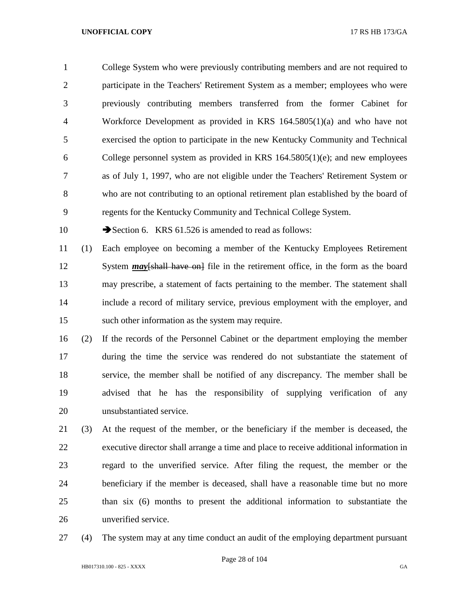College System who were previously contributing members and are not required to participate in the Teachers' Retirement System as a member; employees who were previously contributing members transferred from the former Cabinet for Workforce Development as provided in KRS 164.5805(1)(a) and who have not exercised the option to participate in the new Kentucky Community and Technical College personnel system as provided in KRS 164.5805(1)(e); and new employees as of July 1, 1997, who are not eligible under the Teachers' Retirement System or who are not contributing to an optional retirement plan established by the board of regents for the Kentucky Community and Technical College System.

10 Section 6. KRS 61.526 is amended to read as follows:

 (1) Each employee on becoming a member of the Kentucky Employees Retirement 12 System *may*[shall have on] file in the retirement office, in the form as the board may prescribe, a statement of facts pertaining to the member. The statement shall include a record of military service, previous employment with the employer, and such other information as the system may require.

 (2) If the records of the Personnel Cabinet or the department employing the member during the time the service was rendered do not substantiate the statement of service, the member shall be notified of any discrepancy. The member shall be advised that he has the responsibility of supplying verification of any unsubstantiated service.

 (3) At the request of the member, or the beneficiary if the member is deceased, the executive director shall arrange a time and place to receive additional information in regard to the unverified service. After filing the request, the member or the beneficiary if the member is deceased, shall have a reasonable time but no more than six (6) months to present the additional information to substantiate the unverified service.

(4) The system may at any time conduct an audit of the employing department pursuant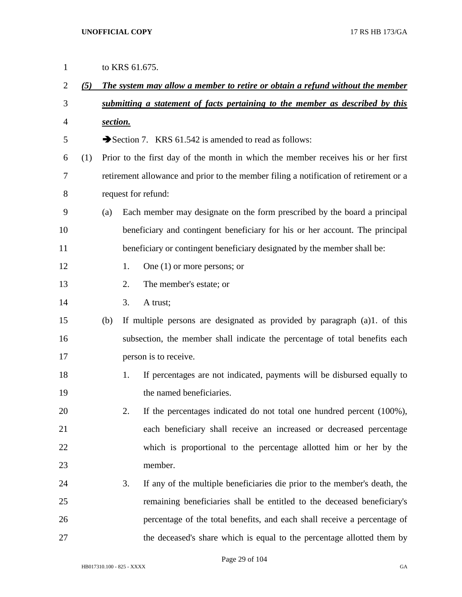| $\mathbf{1}$   |     |                                                                               |    | to KRS 61.675.                                                                        |  |  |
|----------------|-----|-------------------------------------------------------------------------------|----|---------------------------------------------------------------------------------------|--|--|
| $\overline{2}$ | (5) | The system may allow a member to retire or obtain a refund without the member |    |                                                                                       |  |  |
| 3              |     |                                                                               |    | submitting a statement of facts pertaining to the member as described by this         |  |  |
| $\overline{4}$ |     | section.                                                                      |    |                                                                                       |  |  |
| 5              |     |                                                                               |    | Section 7. KRS 61.542 is amended to read as follows:                                  |  |  |
| 6              | (1) |                                                                               |    | Prior to the first day of the month in which the member receives his or her first     |  |  |
| 7              |     |                                                                               |    | retirement allowance and prior to the member filing a notification of retirement or a |  |  |
| 8              |     |                                                                               |    | request for refund:                                                                   |  |  |
| 9              |     | (a)                                                                           |    | Each member may designate on the form prescribed by the board a principal             |  |  |
| 10             |     |                                                                               |    | beneficiary and contingent beneficiary for his or her account. The principal          |  |  |
| 11             |     |                                                                               |    | beneficiary or contingent beneficiary designated by the member shall be:              |  |  |
| 12             |     |                                                                               | 1. | One $(1)$ or more persons; or                                                         |  |  |
| 13             |     |                                                                               | 2. | The member's estate; or                                                               |  |  |
| 14             |     |                                                                               | 3. | A trust;                                                                              |  |  |
| 15             |     | (b)                                                                           |    | If multiple persons are designated as provided by paragraph (a)1. of this             |  |  |
| 16             |     |                                                                               |    | subsection, the member shall indicate the percentage of total benefits each           |  |  |
| 17             |     |                                                                               |    | person is to receive.                                                                 |  |  |
| 18             |     |                                                                               | 1. | If percentages are not indicated, payments will be disbursed equally to               |  |  |
| 19             |     |                                                                               |    | the named beneficiaries.                                                              |  |  |
| 20             |     |                                                                               | 2. | If the percentages indicated do not total one hundred percent (100%),                 |  |  |
| 21             |     |                                                                               |    | each beneficiary shall receive an increased or decreased percentage                   |  |  |
| 22             |     |                                                                               |    | which is proportional to the percentage allotted him or her by the                    |  |  |
| 23             |     |                                                                               |    | member.                                                                               |  |  |
| 24             |     |                                                                               | 3. | If any of the multiple beneficiaries die prior to the member's death, the             |  |  |
| 25             |     |                                                                               |    | remaining beneficiaries shall be entitled to the deceased beneficiary's               |  |  |
| 26             |     |                                                                               |    | percentage of the total benefits, and each shall receive a percentage of              |  |  |
| 27             |     |                                                                               |    | the deceased's share which is equal to the percentage allotted them by                |  |  |

Page 29 of 104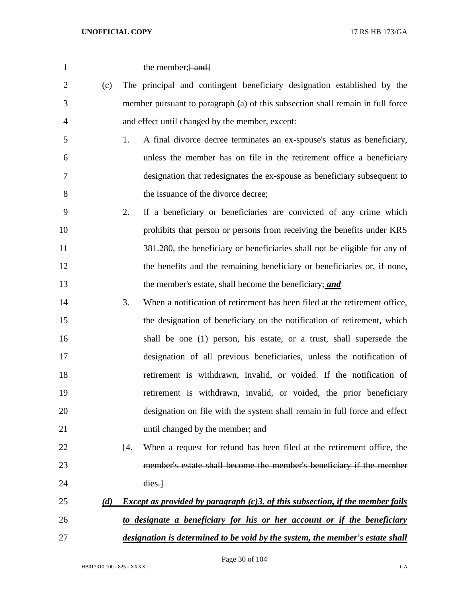| 1              |     | the member; [ and]                                                                                |
|----------------|-----|---------------------------------------------------------------------------------------------------|
| $\overline{2}$ | (c) | The principal and contingent beneficiary designation established by the                           |
| 3              |     | member pursuant to paragraph (a) of this subsection shall remain in full force                    |
| $\overline{4}$ |     | and effect until changed by the member, except:                                                   |
| 5              |     | A final divorce decree terminates an ex-spouse's status as beneficiary,<br>1.                     |
| 6              |     | unless the member has on file in the retirement office a beneficiary                              |
| 7              |     | designation that redesignates the ex-spouse as beneficiary subsequent to                          |
| 8              |     | the issuance of the divorce decree;                                                               |
| 9              |     | 2.<br>If a beneficiary or beneficiaries are convicted of any crime which                          |
| 10             |     | prohibits that person or persons from receiving the benefits under KRS                            |
| 11             |     | 381.280, the beneficiary or beneficiaries shall not be eligible for any of                        |
| 12             |     | the benefits and the remaining beneficiary or beneficiaries or, if none,                          |
| 13             |     | the member's estate, shall become the beneficiary; and                                            |
| 14             |     | When a notification of retirement has been filed at the retirement office,<br>3.                  |
| 15             |     | the designation of beneficiary on the notification of retirement, which                           |
| 16             |     | shall be one (1) person, his estate, or a trust, shall supersede the                              |
| 17             |     | designation of all previous beneficiaries, unless the notification of                             |
| 18             |     | retirement is withdrawn, invalid, or voided. If the notification of                               |
| 19             |     | retirement is withdrawn, invalid, or voided, the prior beneficiary                                |
| 20             |     | designation on file with the system shall remain in full force and effect                         |
| 21             |     | until changed by the member; and                                                                  |
| 22             |     | When a request for refund has been filed at the retirement office, the<br>H.                      |
| 23             |     | member's estate shall become the member's beneficiary if the member                               |
| 24             |     | dies.                                                                                             |
| 25             | (d) | <i>Except as provided by paragraph <math>(c)</math>3. of this subsection, if the member fails</i> |
| 26             |     | to designate a beneficiary for his or her account or if the beneficiary                           |
| 27             |     | designation is determined to be void by the system, the member's estate shall                     |

Page 30 of 104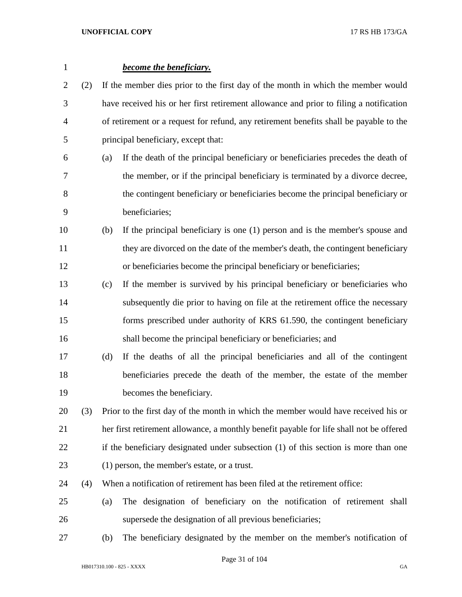| $\mathbf{1}$ |     |     | become the beneficiary.                                                                 |  |  |
|--------------|-----|-----|-----------------------------------------------------------------------------------------|--|--|
| 2            | (2) |     | If the member dies prior to the first day of the month in which the member would        |  |  |
| 3            |     |     | have received his or her first retirement allowance and prior to filing a notification  |  |  |
| 4            |     |     | of retirement or a request for refund, any retirement benefits shall be payable to the  |  |  |
| 5            |     |     | principal beneficiary, except that:                                                     |  |  |
| 6            |     | (a) | If the death of the principal beneficiary or beneficiaries precedes the death of        |  |  |
| 7            |     |     | the member, or if the principal beneficiary is terminated by a divorce decree,          |  |  |
| 8            |     |     | the contingent beneficiary or beneficiaries become the principal beneficiary or         |  |  |
| 9            |     |     | beneficiaries;                                                                          |  |  |
| 10           |     | (b) | If the principal beneficiary is one (1) person and is the member's spouse and           |  |  |
| 11           |     |     | they are divorced on the date of the member's death, the contingent beneficiary         |  |  |
| 12           |     |     | or beneficiaries become the principal beneficiary or beneficiaries;                     |  |  |
| 13           |     | (c) | If the member is survived by his principal beneficiary or beneficiaries who             |  |  |
| 14           |     |     | subsequently die prior to having on file at the retirement office the necessary         |  |  |
| 15           |     |     | forms prescribed under authority of KRS 61.590, the contingent beneficiary              |  |  |
| 16           |     |     | shall become the principal beneficiary or beneficiaries; and                            |  |  |
| 17           |     | (d) | If the deaths of all the principal beneficiaries and all of the contingent              |  |  |
| 18           |     |     | beneficiaries precede the death of the member, the estate of the member                 |  |  |
| 19           |     |     | becomes the beneficiary.                                                                |  |  |
| 20           | (3) |     | Prior to the first day of the month in which the member would have received his or      |  |  |
| 21           |     |     | her first retirement allowance, a monthly benefit payable for life shall not be offered |  |  |
| 22           |     |     | if the beneficiary designated under subsection (1) of this section is more than one     |  |  |
| 23           |     |     | (1) person, the member's estate, or a trust.                                            |  |  |
| 24           | (4) |     | When a notification of retirement has been filed at the retirement office:              |  |  |
| 25           |     | (a) | The designation of beneficiary on the notification of retirement shall                  |  |  |
| 26           |     |     | supersede the designation of all previous beneficiaries;                                |  |  |
| 27           |     | (b) | The beneficiary designated by the member on the member's notification of                |  |  |

Page 31 of 104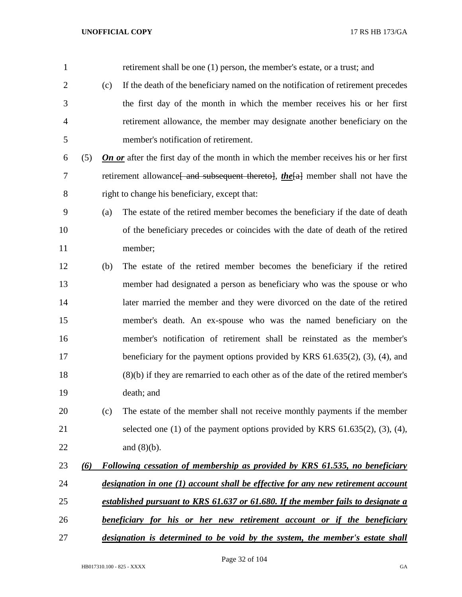| $\mathbf{1}$   |     |     | retirement shall be one (1) person, the member's estate, or a trust; and                    |
|----------------|-----|-----|---------------------------------------------------------------------------------------------|
| $\overline{2}$ |     | (c) | If the death of the beneficiary named on the notification of retirement precedes            |
| 3              |     |     | the first day of the month in which the member receives his or her first                    |
| 4              |     |     | retirement allowance, the member may designate another beneficiary on the                   |
| 5              |     |     | member's notification of retirement.                                                        |
| 6              | (5) |     | <b>On or</b> after the first day of the month in which the member receives his or her first |
| 7              |     |     | retirement allowance and subsequent thereto, the [a] member shall not have the              |
| 8              |     |     | right to change his beneficiary, except that:                                               |
| 9              |     | (a) | The estate of the retired member becomes the beneficiary if the date of death               |
| 10             |     |     | of the beneficiary precedes or coincides with the date of death of the retired              |
| 11             |     |     | member;                                                                                     |
| 12             |     | (b) | The estate of the retired member becomes the beneficiary if the retired                     |
| 13             |     |     | member had designated a person as beneficiary who was the spouse or who                     |
| 14             |     |     | later married the member and they were divorced on the date of the retired                  |
| 15             |     |     | member's death. An ex-spouse who was the named beneficiary on the                           |
| 16             |     |     | member's notification of retirement shall be reinstated as the member's                     |
| 17             |     |     | beneficiary for the payment options provided by KRS $61.635(2)$ , $(3)$ , $(4)$ , and       |
| 18             |     |     | (8)(b) if they are remarried to each other as of the date of the retired member's           |
| 19             |     |     | death; and                                                                                  |
| 20             |     | (c) | The estate of the member shall not receive monthly payments if the member                   |
| 21             |     |     | selected one $(1)$ of the payment options provided by KRS $61.635(2)$ , $(3)$ , $(4)$ ,     |
| 22             |     |     | and $(8)(b)$ .                                                                              |
| 23             | (6) |     | Following cessation of membership as provided by KRS 61.535, no beneficiary                 |
| 24             |     |     | designation in one (1) account shall be effective for any new retirement account            |
| 25             |     |     | established pursuant to KRS 61.637 or 61.680. If the member fails to designate a            |
| 26             |     |     | <b>beneficiary for his or her new retirement account or if the beneficiary</b>              |
| 27             |     |     | designation is determined to be void by the system, the member's estate shall               |

Page 32 of 104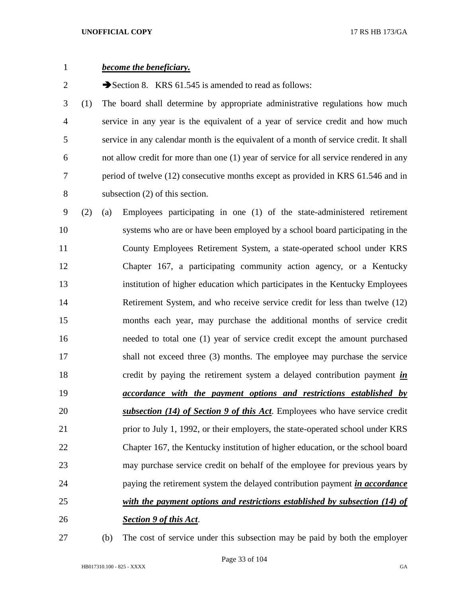| $\mathbf{1}$   |     | become the beneficiary.                                                                |
|----------------|-----|----------------------------------------------------------------------------------------|
| $\overline{c}$ |     | Section 8. KRS $61.545$ is amended to read as follows:                                 |
| 3              | (1) | The board shall determine by appropriate administrative regulations how much           |
| $\overline{4}$ |     | service in any year is the equivalent of a year of service credit and how much         |
| 5              |     | service in any calendar month is the equivalent of a month of service credit. It shall |
| 6              |     | not allow credit for more than one (1) year of service for all service rendered in any |
| 7              |     | period of twelve (12) consecutive months except as provided in KRS 61.546 and in       |
| 8              |     | subsection $(2)$ of this section.                                                      |
| 9              | (2) | Employees participating in one (1) of the state-administered retirement<br>(a)         |
| 10             |     | systems who are or have been employed by a school board participating in the           |
| 11             |     | County Employees Retirement System, a state-operated school under KRS                  |
| 12             |     | Chapter 167, a participating community action agency, or a Kentucky                    |
| 13             |     | institution of higher education which participates in the Kentucky Employees           |
| 14             |     | Retirement System, and who receive service credit for less than twelve (12)            |
| 15             |     | months each year, may purchase the additional months of service credit                 |
| 16             |     | needed to total one (1) year of service credit except the amount purchased             |
| 17             |     | shall not exceed three (3) months. The employee may purchase the service               |
| 18             |     | credit by paying the retirement system a delayed contribution payment <i>in</i>        |
| 19             |     | <i>accordance with the payment options and restrictions established by</i>             |
| 20             |     | subsection (14) of Section 9 of this Act. Employees who have service credit            |
| 21             |     | prior to July 1, 1992, or their employers, the state-operated school under KRS         |
| 22             |     | Chapter 167, the Kentucky institution of higher education, or the school board         |
| 23             |     | may purchase service credit on behalf of the employee for previous years by            |
| 24             |     | paying the retirement system the delayed contribution payment <i>in accordance</i>     |
| 25             |     | with the payment options and restrictions established by subsection (14) of            |
| 26             |     | <b>Section 9 of this Act.</b>                                                          |

(b) The cost of service under this subsection may be paid by both the employer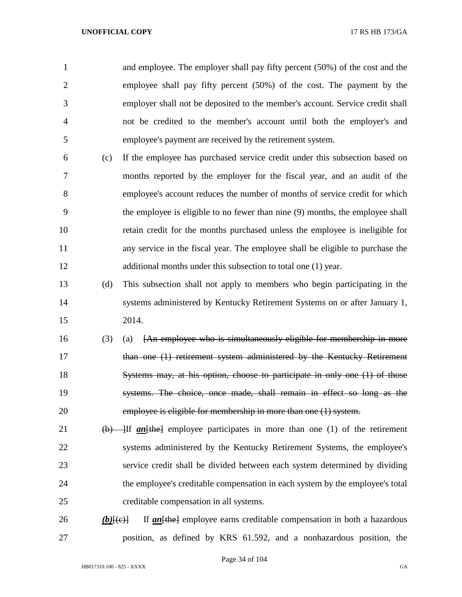and employee. The employer shall pay fifty percent (50%) of the cost and the employee shall pay fifty percent (50%) of the cost. The payment by the employer shall not be deposited to the member's account. Service credit shall not be credited to the member's account until both the employer's and employee's payment are received by the retirement system.

- (c) If the employee has purchased service credit under this subsection based on months reported by the employer for the fiscal year, and an audit of the employee's account reduces the number of months of service credit for which the employee is eligible to no fewer than nine (9) months, the employee shall retain credit for the months purchased unless the employee is ineligible for any service in the fiscal year. The employee shall be eligible to purchase the 12 additional months under this subsection to total one (1) year.
- (d) This subsection shall not apply to members who begin participating in the systems administered by Kentucky Retirement Systems on or after January 1, 2014.
- (3) (a) [An employee who is simultaneously eligible for membership in more 17 than one (1) retirement system administered by the Kentucky Retirement 18 Systems may, at his option, choose to participate in only one (1) of those systems. The choice, once made, shall remain in effect so long as the employee is eligible for membership in more than one (1) system.
- 21 (b) If *an* [the] employee participates in more than one (1) of the retirement systems administered by the Kentucky Retirement Systems, the employee's service credit shall be divided between each system determined by dividing the employee's creditable compensation in each system by the employee's total creditable compensation in all systems.
- 26 *(b)* $\{\leftrightarrow\}$  If *an* $\{\leftrightarrow\}$  employee earns creditable compensation in both a hazardous position, as defined by KRS 61.592, and a nonhazardous position, the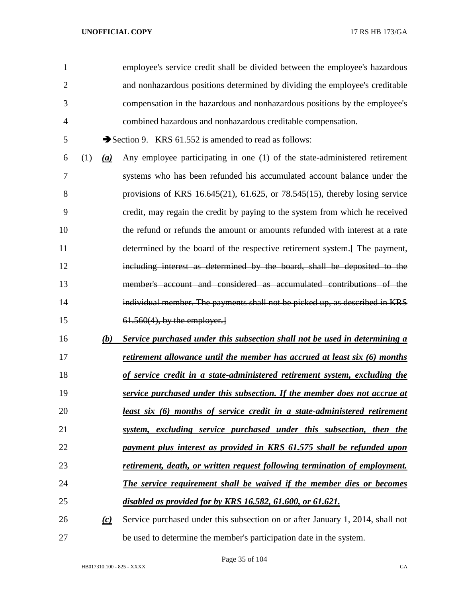| 1              |     |     | employee's service credit shall be divided between the employee's hazardous      |
|----------------|-----|-----|----------------------------------------------------------------------------------|
| $\overline{2}$ |     |     | and nonhazardous positions determined by dividing the employee's creditable      |
| 3              |     |     | compensation in the hazardous and nonhazardous positions by the employee's       |
| $\overline{4}$ |     |     | combined hazardous and nonhazardous creditable compensation.                     |
| 5              |     |     | Section 9. KRS $61.552$ is amended to read as follows:                           |
| 6              | (1) | (a) | Any employee participating in one (1) of the state-administered retirement       |
| 7              |     |     | systems who has been refunded his accumulated account balance under the          |
| 8              |     |     | provisions of KRS 16.645(21), 61.625, or 78.545(15), thereby losing service      |
| 9              |     |     | credit, may regain the credit by paying to the system from which he received     |
| 10             |     |     | the refund or refunds the amount or amounts refunded with interest at a rate     |
| 11             |     |     | determined by the board of the respective retirement system. The payment,        |
| 12             |     |     | including interest as determined by the board, shall be deposited to the         |
| 13             |     |     | member's account and considered as accumulated contributions of the              |
| 14             |     |     | individual member. The payments shall not be picked up, as described in KRS      |
| 15             |     |     | $61.560(4)$ , by the employer.                                                   |
| 16             |     | (b) | Service purchased under this subsection shall not be used in determining a       |
| 17             |     |     | retirement allowance until the member has accrued at least six (6) months        |
| 18             |     |     | of service credit in a state-administered retirement system, excluding the       |
| 19             |     |     | service purchased under this subsection. If the member does not accrue at        |
| 20             |     |     | <u>least six (6) months of service credit in a state-administered retirement</u> |
| 21             |     |     | system, excluding service purchased under this subsection, then the              |
| 22             |     |     | payment plus interest as provided in KRS 61.575 shall be refunded upon           |
| 23             |     |     | retirement, death, or written request following termination of employment.       |
| 24             |     |     | The service requirement shall be waived if the member dies or becomes            |
| 25             |     |     | <u>disabled as provided for by KRS 16.582, 61.600, or 61.621.</u>                |
| 26             |     | (c) | Service purchased under this subsection on or after January 1, 2014, shall not   |
| 27             |     |     | be used to determine the member's participation date in the system.              |

Page 35 of 104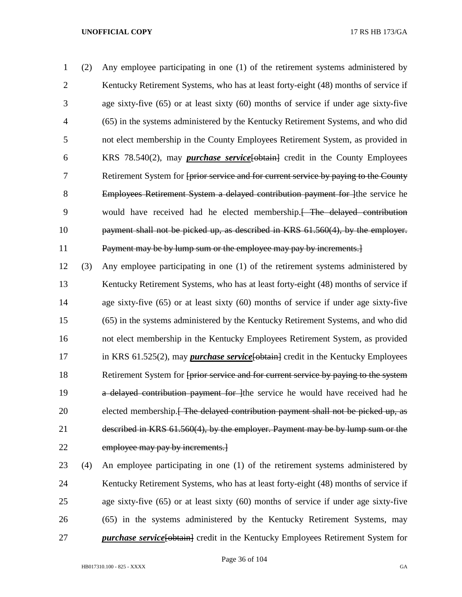(2) Any employee participating in one (1) of the retirement systems administered by Kentucky Retirement Systems, who has at least forty-eight (48) months of service if age sixty-five (65) or at least sixty (60) months of service if under age sixty-five (65) in the systems administered by the Kentucky Retirement Systems, and who did not elect membership in the County Employees Retirement System, as provided in KRS 78.540(2), may *purchase service*[obtain] credit in the County Employees Retirement System for [prior service and for current service by paying to the County 8 Employees Retirement System a delayed contribution payment for lthe service he would have received had he elected membership.[ The delayed contribution payment shall not be picked up, as described in KRS 61.560(4), by the employer. Payment may be by lump sum or the employee may pay by increments.]

 (3) Any employee participating in one (1) of the retirement systems administered by 13 Kentucky Retirement Systems, who has at least forty-eight (48) months of service if age sixty-five (65) or at least sixty (60) months of service if under age sixty-five (65) in the systems administered by the Kentucky Retirement Systems, and who did not elect membership in the Kentucky Employees Retirement System, as provided 17 in KRS 61.525(2), may *purchase service* [obtain] credit in the Kentucky Employees 18 Retirement System for <del>[prior service and for current service by paying to the system</del> 19 a delayed contribution payment for lthe service he would have received had he 20 elected membership.<del>[ The delayed contribution payment shall not be picked up, as</del> described in KRS 61.560(4), by the employer. Payment may be by lump sum or the 22 employee may pay by increments.

 (4) An employee participating in one (1) of the retirement systems administered by 24 Kentucky Retirement Systems, who has at least forty-eight (48) months of service if age sixty-five (65) or at least sixty (60) months of service if under age sixty-five (65) in the systems administered by the Kentucky Retirement Systems, may *purchase service* [obtain] credit in the Kentucky Employees Retirement System for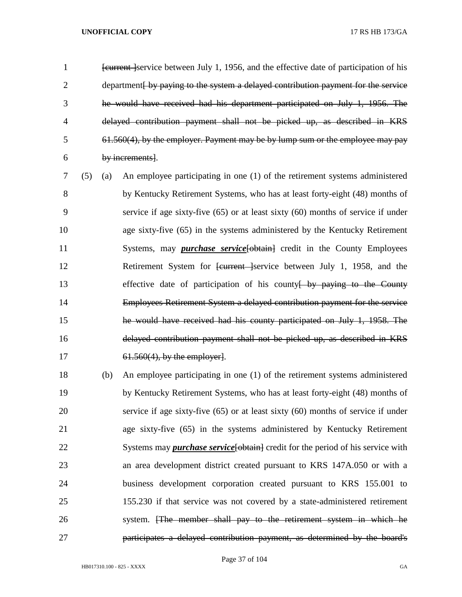*Eurrent Service between July 1, 1956, and the effective date of participation of his* 2 department by paying to the system a delayed contribution payment for the service he would have received had his department participated on July 1, 1956. The delayed contribution payment shall not be picked up, as described in KRS 61.560(4), by the employer. Payment may be by lump sum or the employee may pay by increments].

 (5) (a) An employee participating in one (1) of the retirement systems administered by Kentucky Retirement Systems, who has at least forty-eight (48) months of service if age sixty-five (65) or at least sixty (60) months of service if under age sixty-five (65) in the systems administered by the Kentucky Retirement 11 Systems, may *purchase service* [- obtain] credit in the County Employees 12 Retirement System for <del>[current ]</del>service between July 1, 1958, and the 13 effective date of participation of his county by paying to the County Employees Retirement System a delayed contribution payment for the service he would have received had his county participated on July 1, 1958. The delayed contribution payment shall not be picked up, as described in KRS 17 61.560(4), by the employer.

 (b) An employee participating in one (1) of the retirement systems administered by Kentucky Retirement Systems, who has at least forty-eight (48) months of service if age sixty-five (65) or at least sixty (60) months of service if under age sixty-five (65) in the systems administered by Kentucky Retirement 22 Systems may *purchase service* [obtain] credit for the period of his service with an area development district created pursuant to KRS 147A.050 or with a business development corporation created pursuant to KRS 155.001 to 155.230 if that service was not covered by a state-administered retirement system. [The member shall pay to the retirement system in which he participates a delayed contribution payment, as determined by the board's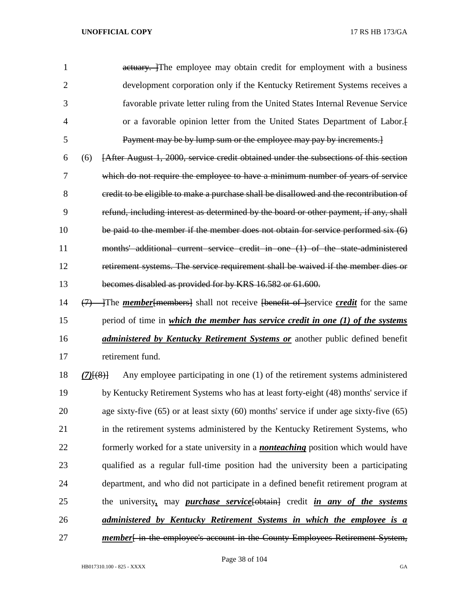1 actuary. The employee may obtain credit for employment with a business development corporation only if the Kentucky Retirement Systems receives a favorable private letter ruling from the United States Internal Revenue Service or a favorable opinion letter from the United States Department of Labor.[ Payment may be by lump sum or the employee may pay by increments.]

 (6) [After August 1, 2000, service credit obtained under the subsections of this section which do not require the employee to have a minimum number of years of service credit to be eligible to make a purchase shall be disallowed and the recontribution of refund, including interest as determined by the board or other payment, if any, shall 10 be paid to the member if the member does not obtain for service performed six  $(6)$  months' additional current service credit in one (1) of the state-administered retirement systems. The service requirement shall be waived if the member dies or becomes disabled as provided for by KRS 16.582 or 61.600.

- 14 (7) The *member* [members] shall not receive [benefit of ]service *credit* for the same period of time in *which the member has service credit in one (1) of the systems administered by Kentucky Retirement Systems or* another public defined benefit retirement fund.
- *(7)*[(8)] Any employee participating in one (1) of the retirement systems administered by Kentucky Retirement Systems who has at least forty-eight (48) months' service if age sixty-five (65) or at least sixty (60) months' service if under age sixty-five (65) in the retirement systems administered by the Kentucky Retirement Systems, who formerly worked for a state university in a *nonteaching* position which would have qualified as a regular full-time position had the university been a participating department, and who did not participate in a defined benefit retirement program at the university*,* may *purchase service*[obtain] credit *in any of the systems administered by Kentucky Retirement Systems in which the employee is a*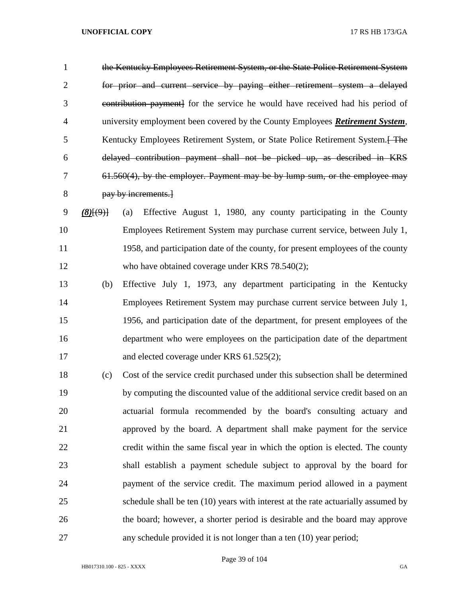the Kentucky Employees Retirement System, or the State Police Retirement System for prior and current service by paying either retirement system a delayed contribution payment] for the service he would have received had his period of university employment been covered by the County Employees *Retirement System*, 5 Kentucky Employees Retirement System, or State Police Retirement System. The delayed contribution payment shall not be picked up, as described in KRS 61.560(4), by the employer. Payment may be by lump sum, or the employee may pay by increments.]

- *(8)*[(9)] (a) Effective August 1, 1980, any county participating in the County Employees Retirement System may purchase current service, between July 1, 1958, and participation date of the county, for present employees of the county 12 who have obtained coverage under KRS 78.540(2);
- (b) Effective July 1, 1973, any department participating in the Kentucky Employees Retirement System may purchase current service between July 1, 1956, and participation date of the department, for present employees of the department who were employees on the participation date of the department 17 and elected coverage under KRS 61.525(2);
- (c) Cost of the service credit purchased under this subsection shall be determined by computing the discounted value of the additional service credit based on an actuarial formula recommended by the board's consulting actuary and approved by the board. A department shall make payment for the service credit within the same fiscal year in which the option is elected. The county shall establish a payment schedule subject to approval by the board for payment of the service credit. The maximum period allowed in a payment schedule shall be ten (10) years with interest at the rate actuarially assumed by the board; however, a shorter period is desirable and the board may approve any schedule provided it is not longer than a ten (10) year period;

Page 39 of 104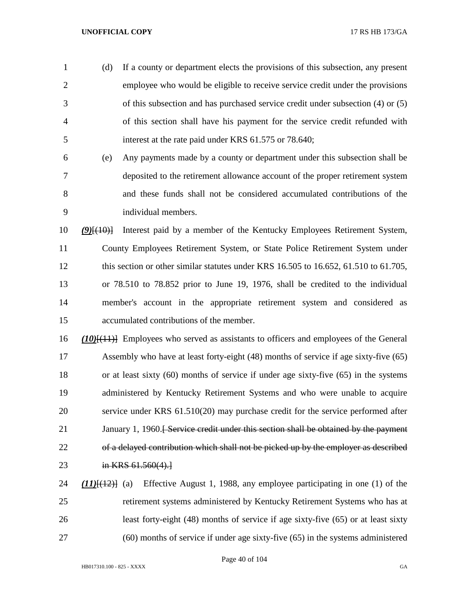(d) If a county or department elects the provisions of this subsection, any present employee who would be eligible to receive service credit under the provisions of this subsection and has purchased service credit under subsection (4) or (5) of this section shall have his payment for the service credit refunded with interest at the rate paid under KRS 61.575 or 78.640;

 (e) Any payments made by a county or department under this subsection shall be deposited to the retirement allowance account of the proper retirement system and these funds shall not be considered accumulated contributions of the individual members.

 *(9)*[(10)] Interest paid by a member of the Kentucky Employees Retirement System, County Employees Retirement System, or State Police Retirement System under 12 this section or other similar statutes under KRS 16.505 to 16.652, 61.510 to 61.705, or 78.510 to 78.852 prior to June 19, 1976, shall be credited to the individual member's account in the appropriate retirement system and considered as accumulated contributions of the member.

 *(10)*[(11)] Employees who served as assistants to officers and employees of the General Assembly who have at least forty-eight (48) months of service if age sixty-five (65) or at least sixty (60) months of service if under age sixty-five (65) in the systems administered by Kentucky Retirement Systems and who were unable to acquire service under KRS 61.510(20) may purchase credit for the service performed after 21 January 1, 1960.<del>[ Service credit under this section shall be obtained by the payment</del> of a delayed contribution which shall not be picked up by the employer as described 23 in KRS 61.560(4).

 *(11)*[(12)] (a) Effective August 1, 1988, any employee participating in one (1) of the retirement systems administered by Kentucky Retirement Systems who has at least forty-eight (48) months of service if age sixty-five (65) or at least sixty (60) months of service if under age sixty-five (65) in the systems administered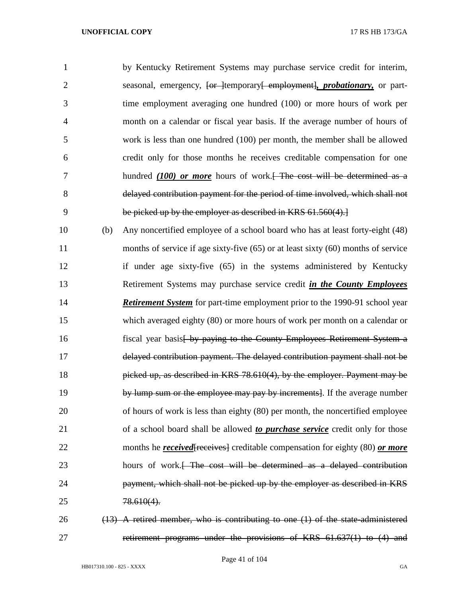| $\mathbf{1}$   |     | by Kentucky Retirement Systems may purchase service credit for interim,                                 |
|----------------|-----|---------------------------------------------------------------------------------------------------------|
| $\overline{2}$ |     | seasonal, emergency, <del>[or ]</del> temporary <del>[ employment], <i>probationary</i>,</del> or part- |
| 3              |     | time employment averaging one hundred (100) or more hours of work per                                   |
| 4              |     | month on a calendar or fiscal year basis. If the average number of hours of                             |
| 5              |     | work is less than one hundred (100) per month, the member shall be allowed                              |
| 6              |     | credit only for those months he receives creditable compensation for one                                |
| 7              |     | hundred $(100)$ or more hours of work. The cost will be determined as a                                 |
| 8              |     | delayed contribution payment for the period of time involved, which shall not                           |
| 9              |     | be picked up by the employer as described in KRS 61.560(4).                                             |
| 10             | (b) | Any noncertified employee of a school board who has at least forty-eight (48)                           |
| 11             |     | months of service if age sixty-five (65) or at least sixty (60) months of service                       |
| 12             |     | if under age sixty-five (65) in the systems administered by Kentucky                                    |
| 13             |     | Retirement Systems may purchase service credit in the County Employees                                  |
| 14             |     | <b>Retirement System</b> for part-time employment prior to the 1990-91 school year                      |
| 15             |     | which averaged eighty (80) or more hours of work per month on a calendar or                             |
| 16             |     | fiscal year basis by paying to the County Employees Retirement System a                                 |
| 17             |     | delayed contribution payment. The delayed contribution payment shall not be                             |
| 18             |     | picked up, as described in KRS 78.610(4), by the employer. Payment may be                               |
| 19             |     | by lump sum or the employee may pay by increments]. If the average number                               |
| 20             |     | of hours of work is less than eighty (80) per month, the noncertified employee                          |
| 21             |     | of a school board shall be allowed to <i>purchase service</i> credit only for those                     |
| 22             |     | months he <b>received</b> [receives] creditable compensation for eighty (80) or more                    |
| 23             |     | hours of work. The cost will be determined as a delayed contribution                                    |
| 24             |     | payment, which shall not be picked up by the employer as described in KRS                               |
| 25             |     | $78.610(4)$ .                                                                                           |
| 26             |     | $(13)$ A retired member, who is contributing to one $(1)$ of the state-administered                     |

retirement programs under the provisions of KRS 61.637(1) to (4) and

Page 41 of 104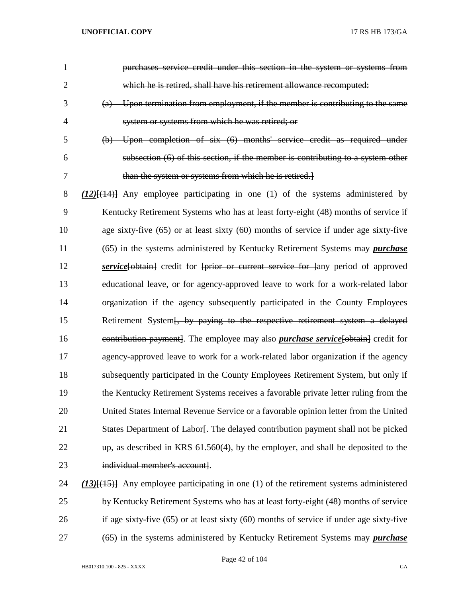| $\mathbf{1}$   | purchases service credit under this section in the system or systems from                      |
|----------------|------------------------------------------------------------------------------------------------|
| $\overline{2}$ | which he is retired, shall have his retirement allowance recomputed:                           |
| 3              | $(a)$ Upon termination from employment, if the member is contributing to the same              |
| 4              | system or systems from which he was retired; or                                                |
| 5              | (b) Upon completion of six (6) months' service credit as required under                        |
| 6              | subsection (6) of this section, if the member is contributing to a system other                |
| 7              | than the system or systems from which he is retired.                                           |
| 8              | $(12)$ [ $(14)$ ] Any employee participating in one (1) of the systems administered by         |
| 9              | Kentucky Retirement Systems who has at least forty-eight (48) months of service if             |
| 10             | age sixty-five (65) or at least sixty (60) months of service if under age sixty-five           |
| 11             | (65) in the systems administered by Kentucky Retirement Systems may <i>purchase</i>            |
| 12             | service [obtain] credit for [prior or current service for ]any period of approved              |
| 13             | educational leave, or for agency-approved leave to work for a work-related labor               |
| 14             | organization if the agency subsequently participated in the County Employees                   |
| 15             | Retirement System [, by paying to the respective retirement system a delayed                   |
| 16             | eontribution payment]. The employee may also <i>purchase service</i> [obtain] credit for       |
| 17             | agency-approved leave to work for a work-related labor organization if the agency              |
| 18             | subsequently participated in the County Employees Retirement System, but only if               |
| 19             | the Kentucky Retirement Systems receives a favorable private letter ruling from the            |
| 20             | United States Internal Revenue Service or a favorable opinion letter from the United           |
| 21             | States Department of Labor. The delayed contribution payment shall not be picked               |
| 22             | up, as described in KRS 61.560(4), by the employer, and shall be deposited to the              |
| 23             | individual member's account].                                                                  |
| 24             | $(13)$ { $(15)$ } Any employee participating in one (1) of the retirement systems administered |
| 25             | by Kentucky Retirement Systems who has at least forty-eight (48) months of service             |

(65) in the systems administered by Kentucky Retirement Systems may *purchase* 

Page 42 of 104

if age sixty-five (65) or at least sixty (60) months of service if under age sixty-five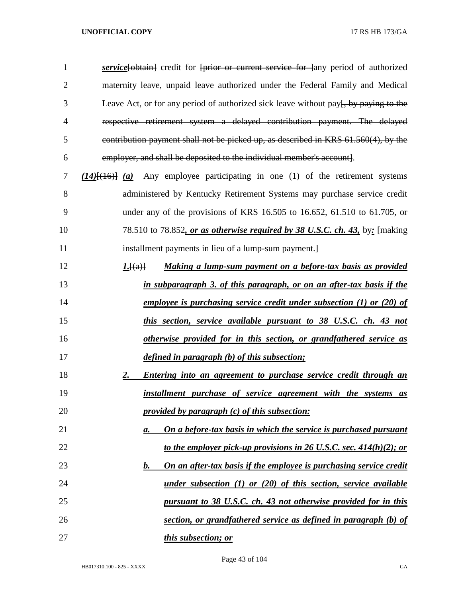| $\mathbf{1}$   | service [obtain] credit for [prior or current service for ]any period of authorized              |
|----------------|--------------------------------------------------------------------------------------------------|
| $\overline{2}$ | maternity leave, unpaid leave authorized under the Federal Family and Medical                    |
| 3              | Leave Act, or for any period of authorized sick leave without pay <del>[, by paying to the</del> |
| 4              | respective retirement system a delayed contribution payment. The delayed                         |
| 5              | contribution payment shall not be picked up, as described in KRS 61.560(4), by the               |
| 6              | employer, and shall be deposited to the individual member's account].                            |
| 7              | $(14)$ [(16)] (a) Any employee participating in one (1) of the retirement systems                |
| 8              | administered by Kentucky Retirement Systems may purchase service credit                          |
| 9              | under any of the provisions of KRS 16.505 to 16.652, 61.510 to 61.705, or                        |
| 10             | 78.510 to 78.852, or as otherwise required by 38 U.S.C. ch. 43, by: [making                      |
| 11             | installment payments in lieu of a lump sum payment.                                              |
| 12             | Making a lump-sum payment on a before-tax basis as provided<br><u><i>I</i>.</u> $[(a)]$          |
| 13             | in subparagraph 3. of this paragraph, or on an after-tax basis if the                            |
| 14             | <u>employee is purchasing service credit under subsection (1) or (20) of</u>                     |
| 15             | this section, service available pursuant to 38 U.S.C. ch. 43 not                                 |
| 16             | otherwise provided for in this section, or grandfathered service as                              |
| 17             | defined in paragraph (b) of this subsection;                                                     |
| 18             | <b>Entering into an agreement to purchase service credit through an</b><br>2.                    |
| 19             | installment purchase of service agreement with the systems as                                    |
| 20             | provided by paragraph $(c)$ of this subsection:                                                  |
| 21             | On a before-tax basis in which the service is purchased pursuant<br>$\mathbf{a}$ .               |
| 22             | <u>to the employer pick-up provisions in 26 U.S.C. sec. 414(h)(2); or</u>                        |
| 23             | On an after-tax basis if the employee is purchasing service credit<br><u>b.</u>                  |
| 24             | under subsection $(1)$ or $(20)$ of this section, service available                              |
| 25             | pursuant to 38 U.S.C. ch. 43 not otherwise provided for in this                                  |
| 26             | section, or grandfathered service as defined in paragraph (b) of                                 |
| 27             | <i>this subsection; or</i>                                                                       |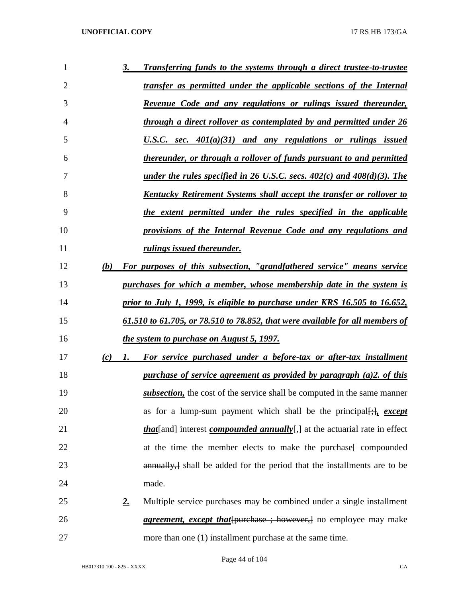| 1              |     | <u>3.</u>   | Transferring funds to the systems through a direct trustee-to-trustee                                    |
|----------------|-----|-------------|----------------------------------------------------------------------------------------------------------|
| $\overline{2}$ |     |             | transfer as permitted under the applicable sections of the Internal                                      |
| 3              |     |             | Revenue Code and any regulations or rulings issued thereunder,                                           |
| 4              |     |             | <u>through a direct rollover as contemplated by and permitted under 26</u>                               |
| 5              |     |             | U.S.C. sec. $401(a)(31)$ and any regulations or rulings issued                                           |
| 6              |     |             | thereunder, or through a rollover of funds pursuant to and permitted                                     |
| 7              |     |             | <u>under the rules specified in 26 U.S.C. secs. <math>402(c)</math> and <math>408(d)(3)</math>. The </u> |
| 8              |     |             | <u>Kentucky Retirement Systems shall accept the transfer or rollover to</u>                              |
| 9              |     |             | the extent permitted under the rules specified in the applicable                                         |
| 10             |     |             | provisions of the Internal Revenue Code and any regulations and                                          |
| 11             |     |             | <i>rulings issued thereunder.</i>                                                                        |
| 12             | (b) |             | For purposes of this subsection, "grandfathered service" means service                                   |
| 13             |     |             | purchases for which a member, whose membership date in the system is                                     |
| 14             |     |             | prior to July 1, 1999, is eligible to purchase under KRS 16.505 to 16.652,                               |
| 15             |     |             | <u>61.510 to 61.705, or 78.510 to 78.852, that were available for all members of</u>                     |
| 16             |     |             | the system to purchase on August 5, 1997.                                                                |
| 17             | (c) | 1.          | For service purchased under a before-tax or after-tax installment                                        |
| 18             |     |             | <u>purchase of service agreement as provided by paragraph (a)2. of this</u>                              |
| 19             |     |             | subsection, the cost of the service shall be computed in the same manner                                 |
| 20             |     |             | as for a lump-sum payment which shall be the principal $[\cdot]_1$ except                                |
| 21             |     |             | <i>that</i> { <i>and</i> } interest <i>compounded annually</i> { <i>filteral setural rate in effect</i>  |
| 22             |     |             | at the time the member elects to make the purchase [ compounded                                          |
| 23             |     |             | annually, shall be added for the period that the installments are to be                                  |
| 24             |     |             | made.                                                                                                    |
| 25             |     | $2_{\cdot}$ | Multiple service purchases may be combined under a single installment                                    |
| 26             |     |             | <i>agreement, except that</i> [purchase ; however,] no employee may make                                 |
| 27             |     |             | more than one (1) installment purchase at the same time.                                                 |

Page 44 of 104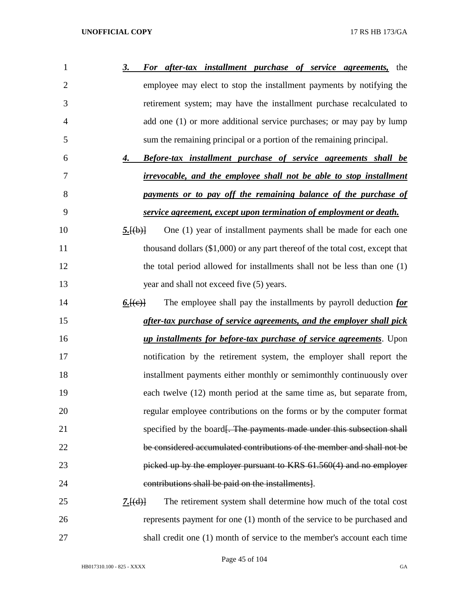| 1              | For after-tax installment purchase of service agreements,<br><u>3.</u><br>the   |
|----------------|---------------------------------------------------------------------------------|
| $\overline{2}$ | employee may elect to stop the installment payments by notifying the            |
| 3              | retirement system; may have the installment purchase recalculated to            |
| 4              | add one (1) or more additional service purchases; or may pay by lump            |
| 5              | sum the remaining principal or a portion of the remaining principal.            |
| 6              | <b>Before-tax installment purchase of service agreements shall be</b><br>4.     |
| 7              | <i>irrevocable, and the employee shall not be able to stop installment</i>      |
| 8              | payments or to pay off the remaining balance of the purchase of                 |
| 9              | service agreement, except upon termination of employment or death.              |
| 10             | One (1) year of installment payments shall be made for each one<br>5.[(b)]      |
| 11             | thousand dollars $(\$1,000)$ or any part thereof of the total cost, except that |
| 12             | the total period allowed for installments shall not be less than one (1)        |
| 13             | year and shall not exceed five (5) years.                                       |
| 14             | The employee shall pay the installments by payroll deduction for<br>6. (e)      |
| 15             | after-tax purchase of service agreements, and the employer shall pick           |
| 16             | <i>up installments for before-tax purchase of service agreements</i> . Upon     |
| 17             | notification by the retirement system, the employer shall report the            |
| 18             | installment payments either monthly or semimonthly continuously over            |
| 19             | each twelve (12) month period at the same time as, but separate from,           |
| 20             | regular employee contributions on the forms or by the computer format           |
| 21             | specified by the board. The payments made under this subsection shall           |
| 22             | be considered accumulated contributions of the member and shall not be          |
| 23             | picked up by the employer pursuant to KRS 61.560(4) and no employer             |
| 24             | contributions shall be paid on the installments].                               |
| 25             | The retirement system shall determine how much of the total cost<br>7.[(d)]     |
| 26             | represents payment for one (1) month of the service to be purchased and         |
| 27             | shall credit one (1) month of service to the member's account each time         |

Page 45 of 104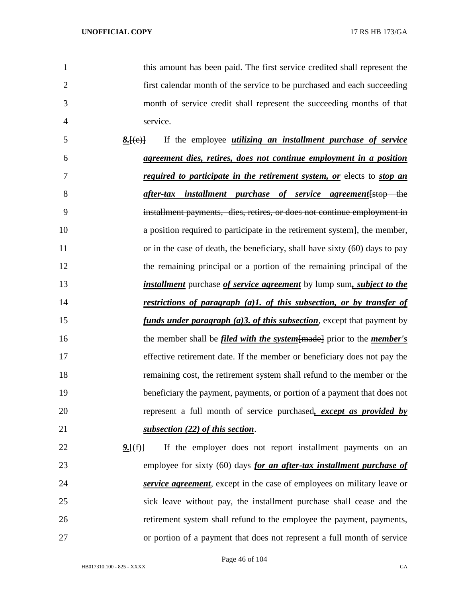this amount has been paid. The first service credited shall represent the first calendar month of the service to be purchased and each succeeding month of service credit shall represent the succeeding months of that service. *8.*[(e)] If the employee *utilizing an installment purchase of service agreement dies, retires, does not continue employment in a position required to participate in the retirement system, or* elects to *stop an after-tax installment purchase of service agreement*[stop the installment payments, dies, retires, or does not continue employment in **a position required to participate in the retirement system**, the member, 11 or in the case of death, the beneficiary, shall have sixty (60) days to pay the remaining principal or a portion of the remaining principal of the *installment* purchase *of service agreement* by lump sum*, subject to the restrictions of paragraph (a)1. of this subsection, or by transfer of funds under paragraph (a)3. of this subsection*, except that payment by 16 the member shall be *filed with the system* {made} prior to the *member's*  effective retirement date. If the member or beneficiary does not pay the remaining cost, the retirement system shall refund to the member or the beneficiary the payment, payments, or portion of a payment that does not represent a full month of service purchased*, except as provided by subsection (22) of this section*. 22 9.<del>[(f)]</del> If the employer does not report installment payments on an employee for sixty (60) days *for an after-tax installment purchase of service agreement*, except in the case of employees on military leave or sick leave without pay, the installment purchase shall cease and the retirement system shall refund to the employee the payment, payments, or portion of a payment that does not represent a full month of service

Page 46 of 104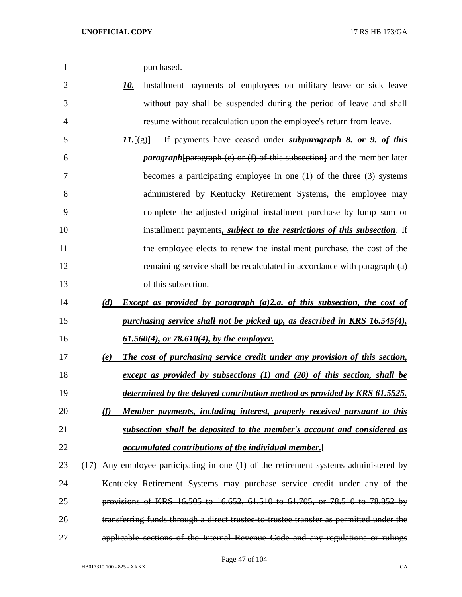| purchased. |
|------------|
|            |

 *10.* Installment payments of employees on military leave or sick leave without pay shall be suspended during the period of leave and shall resume without recalculation upon the employee's return from leave.

 *11.*[(g)] If payments have ceased under *subparagraph 8. or 9. of this paragraph*[paragraph (e) or (f) of this subsection] and the member later becomes a participating employee in one (1) of the three (3) systems administered by Kentucky Retirement Systems, the employee may complete the adjusted original installment purchase by lump sum or installment payments*, subject to the restrictions of this subsection*. If the employee elects to renew the installment purchase, the cost of the 12 remaining service shall be recalculated in accordance with paragraph (a) of this subsection.

- *(d) Except as provided by paragraph (a)2.a. of this subsection, the cost of purchasing service shall not be picked up, as described in KRS 16.545(4), 61.560(4), or 78.610(4), by the employer.*
- *(e) The cost of purchasing service credit under any provision of this section, except as provided by subsections (1) and (20) of this section, shall be determined by the delayed contribution method as provided by KRS 61.5525.*
- *(f) Member payments, including interest, properly received pursuant to this subsection shall be deposited to the member's account and considered as*
- *accumulated contributions of the individual member.*[
- 23 (17) Any employee participating in one (1) of the retirement systems administered by 24 Kentucky Retirement Systems may purchase service credit under any of the provisions of KRS 16.505 to 16.652, 61.510 to 61.705, or 78.510 to 78.852 by transferring funds through a direct trustee-to-trustee transfer as permitted under the applicable sections of the Internal Revenue Code and any regulations or rulings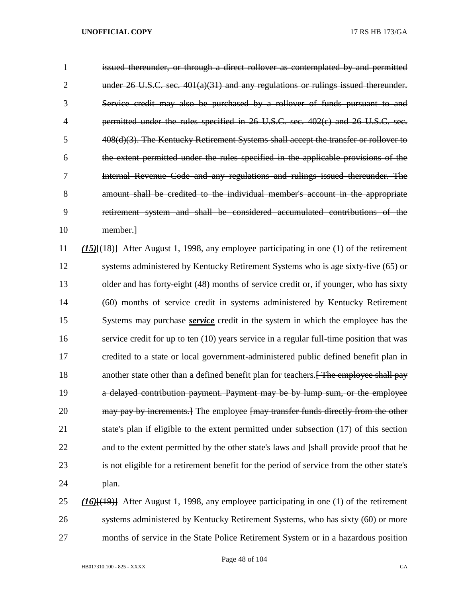issued thereunder, or through a direct rollover as contemplated by and permitted under 26 U.S.C. sec. 401(a)(31) and any regulations or rulings issued thereunder. Service credit may also be purchased by a rollover of funds pursuant to and permitted under the rules specified in 26 U.S.C. sec. 402(c) and 26 U.S.C. sec. 408(d)(3). The Kentucky Retirement Systems shall accept the transfer or rollover to the extent permitted under the rules specified in the applicable provisions of the Internal Revenue Code and any regulations and rulings issued thereunder. The amount shall be credited to the individual member's account in the appropriate retirement system and shall be considered accumulated contributions of the member.] *(15)*[(18)] After August 1, 1998, any employee participating in one (1) of the retirement systems administered by Kentucky Retirement Systems who is age sixty-five (65) or 13 older and has forty-eight (48) months of service credit or, if younger, who has sixty (60) months of service credit in systems administered by Kentucky Retirement Systems may purchase *service* credit in the system in which the employee has the service credit for up to ten (10) years service in a regular full-time position that was credited to a state or local government-administered public defined benefit plan in 18 another state other than a defined benefit plan for teachers. The employee shall pay a delayed contribution payment. Payment may be by lump sum, or the employee 20 may pay by increments. The employee fmay transfer funds directly from the other state's plan if eligible to the extent permitted under subsection (17) of this section 22 and to the extent permitted by the other state's laws and label provide proof that he is not eligible for a retirement benefit for the period of service from the other state's plan. *(16)*[(19)] After August 1, 1998, any employee participating in one (1) of the retirement systems administered by Kentucky Retirement Systems, who has sixty (60) or more

months of service in the State Police Retirement System or in a hazardous position

Page 48 of 104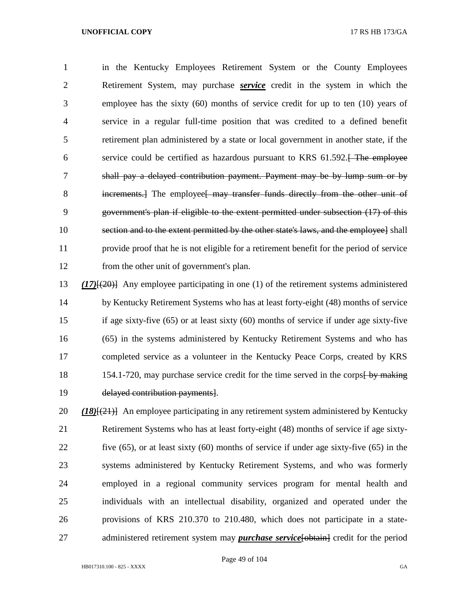in the Kentucky Employees Retirement System or the County Employees Retirement System, may purchase *service* credit in the system in which the employee has the sixty (60) months of service credit for up to ten (10) years of service in a regular full-time position that was credited to a defined benefit retirement plan administered by a state or local government in another state, if the 6 service could be certified as hazardous pursuant to KRS 61.592. The employee shall pay a delayed contribution payment. Payment may be by lump sum or by 8 increments.] The employee may transfer funds directly from the other unit of government's plan if eligible to the extent permitted under subsection (17) of this section and to the extent permitted by the other state's laws, and the employee] shall provide proof that he is not eligible for a retirement benefit for the period of service from the other unit of government's plan.

 *(17)*[(20)] Any employee participating in one (1) of the retirement systems administered by Kentucky Retirement Systems who has at least forty-eight (48) months of service if age sixty-five (65) or at least sixty (60) months of service if under age sixty-five (65) in the systems administered by Kentucky Retirement Systems and who has completed service as a volunteer in the Kentucky Peace Corps, created by KRS 18 154.1-720, may purchase service credit for the time served in the corps by making delayed contribution payments].

 *(18)*[(21)] An employee participating in any retirement system administered by Kentucky Retirement Systems who has at least forty-eight (48) months of service if age sixty- five (65), or at least sixty (60) months of service if under age sixty-five (65) in the systems administered by Kentucky Retirement Systems, and who was formerly employed in a regional community services program for mental health and individuals with an intellectual disability, organized and operated under the provisions of KRS 210.370 to 210.480, which does not participate in a state-27 administered retirement system may *purchase service* [obtain] credit for the period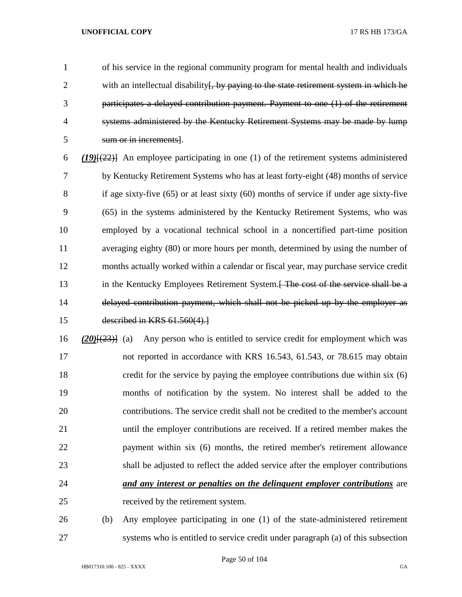of his service in the regional community program for mental health and individuals 2 with an intellectual disability. by paying to the state retirement system in which he participates a delayed contribution payment. Payment to one (1) of the retirement systems administered by the Kentucky Retirement Systems may be made by lump sum or in increments].

 *(19)*[(22)] An employee participating in one (1) of the retirement systems administered by Kentucky Retirement Systems who has at least forty-eight (48) months of service if age sixty-five (65) or at least sixty (60) months of service if under age sixty-five (65) in the systems administered by the Kentucky Retirement Systems, who was employed by a vocational technical school in a noncertified part-time position averaging eighty (80) or more hours per month, determined by using the number of months actually worked within a calendar or fiscal year, may purchase service credit 13 in the Kentucky Employees Retirement System.<del>[ The cost of the service shall be a</del> delayed contribution payment, which shall not be picked up by the employer as described in KRS 61.560(4).]

 *(20)*[(23)] (a) Any person who is entitled to service credit for employment which was not reported in accordance with KRS 16.543, 61.543, or 78.615 may obtain credit for the service by paying the employee contributions due within six (6) months of notification by the system. No interest shall be added to the contributions. The service credit shall not be credited to the member's account until the employer contributions are received. If a retired member makes the 22 payment within six (6) months, the retired member's retirement allowance shall be adjusted to reflect the added service after the employer contributions *and any interest or penalties on the delinquent employer contributions* are received by the retirement system.

 (b) Any employee participating in one (1) of the state-administered retirement systems who is entitled to service credit under paragraph (a) of this subsection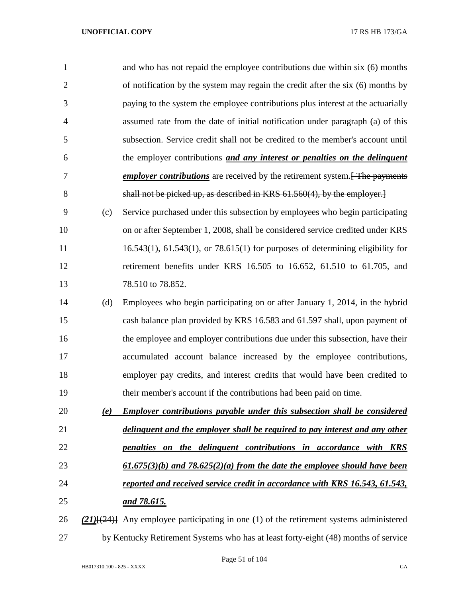| $\mathbf{1}$   |     | and who has not repaid the employee contributions due within six (6) months                    |
|----------------|-----|------------------------------------------------------------------------------------------------|
| $\overline{2}$ |     | of notification by the system may regain the credit after the six (6) months by                |
| 3              |     | paying to the system the employee contributions plus interest at the actuarially               |
| $\overline{4}$ |     | assumed rate from the date of initial notification under paragraph (a) of this                 |
| 5              |     | subsection. Service credit shall not be credited to the member's account until                 |
| 6              |     | the employer contributions and any interest or penalties on the delinquent                     |
| 7              |     | <i>employer contributions</i> are received by the retirement system. <del>[ The payments</del> |
| 8              |     | shall not be picked up, as described in KRS 61.560(4), by the employer.]                       |
| 9              | (c) | Service purchased under this subsection by employees who begin participating                   |
| 10             |     | on or after September 1, 2008, shall be considered service credited under KRS                  |
| 11             |     | $16.543(1)$ , $61.543(1)$ , or $78.615(1)$ for purposes of determining eligibility for         |
| 12             |     | retirement benefits under KRS 16.505 to 16.652, 61.510 to 61.705, and                          |
| 13             |     | 78.510 to 78.852.                                                                              |
| 14             | (d) | Employees who begin participating on or after January 1, 2014, in the hybrid                   |
| 15             |     | cash balance plan provided by KRS 16.583 and 61.597 shall, upon payment of                     |
| 16             |     | the employee and employer contributions due under this subsection, have their                  |
| 17             |     | accumulated account balance increased by the employee contributions,                           |
| 18             |     | employer pay credits, and interest credits that would have been credited to                    |
| 19             |     | their member's account if the contributions had been paid on time.                             |
| 20             | (e) | <b>Employer contributions payable under this subsection shall be considered</b>                |
| 21             |     | delinguent and the employer shall be required to pay interest and any other                    |
| 22             |     | penalties on the delinguent contributions in accordance with KRS                               |
| 23             |     | $(61.675(3)(b)$ and $78.625(2)(a)$ from the date the employee should have been                 |
| 24             |     | reported and received service credit in accordance with KRS 16.543, 61.543,                    |
| 25             |     | and 78.615.                                                                                    |
| 26             |     | $(21)$ { $(24)$ } Any employee participating in one (1) of the retirement systems administered |
| 27             |     | by Kentucky Retirement Systems who has at least forty-eight (48) months of service             |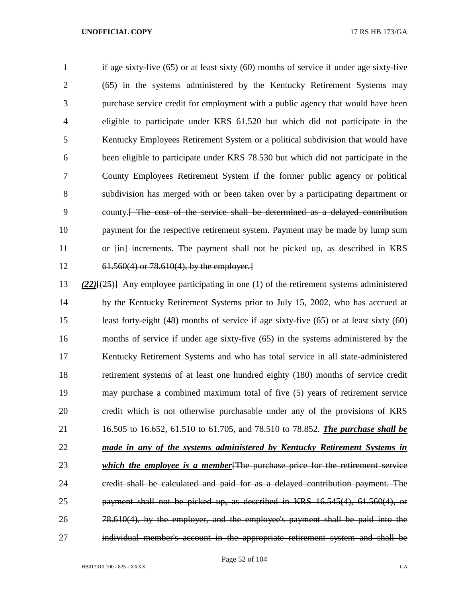if age sixty-five (65) or at least sixty (60) months of service if under age sixty-five (65) in the systems administered by the Kentucky Retirement Systems may purchase service credit for employment with a public agency that would have been eligible to participate under KRS 61.520 but which did not participate in the Kentucky Employees Retirement System or a political subdivision that would have been eligible to participate under KRS 78.530 but which did not participate in the County Employees Retirement System if the former public agency or political subdivision has merged with or been taken over by a participating department or county.[ The cost of the service shall be determined as a delayed contribution payment for the respective retirement system. Payment may be made by lump sum or [in] increments. The payment shall not be picked up, as described in KRS 61.560(4) or 78.610(4), by the employer.]

 *(22)*[(25)] Any employee participating in one (1) of the retirement systems administered by the Kentucky Retirement Systems prior to July 15, 2002, who has accrued at least forty-eight (48) months of service if age sixty-five (65) or at least sixty (60) months of service if under age sixty-five (65) in the systems administered by the Kentucky Retirement Systems and who has total service in all state-administered retirement systems of at least one hundred eighty (180) months of service credit may purchase a combined maximum total of five (5) years of retirement service credit which is not otherwise purchasable under any of the provisions of KRS 16.505 to 16.652, 61.510 to 61.705, and 78.510 to 78.852. *The purchase shall be made in any of the systems administered by Kentucky Retirement Systems in which the employee is a member*[The purchase price for the retirement service credit shall be calculated and paid for as a delayed contribution payment. The payment shall not be picked up, as described in KRS 16.545(4), 61.560(4), or 78.610(4), by the employer, and the employee's payment shall be paid into the individual member's account in the appropriate retirement system and shall be

Page 52 of 104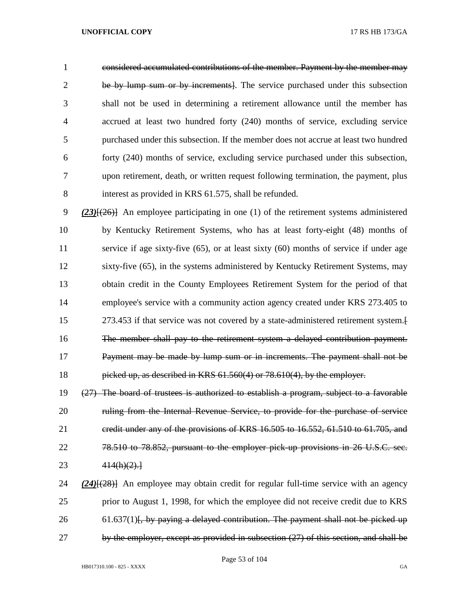considered accumulated contributions of the member. Payment by the member may be by lump sum or by increments]. The service purchased under this subsection shall not be used in determining a retirement allowance until the member has accrued at least two hundred forty (240) months of service, excluding service purchased under this subsection. If the member does not accrue at least two hundred forty (240) months of service, excluding service purchased under this subsection, upon retirement, death, or written request following termination, the payment, plus interest as provided in KRS 61.575, shall be refunded.

 *(23)*[(26)] An employee participating in one (1) of the retirement systems administered by Kentucky Retirement Systems, who has at least forty-eight (48) months of service if age sixty-five (65), or at least sixty (60) months of service if under age sixty-five (65), in the systems administered by Kentucky Retirement Systems, may obtain credit in the County Employees Retirement System for the period of that employee's service with a community action agency created under KRS 273.405 to 273.453 if that service was not covered by a state-administered retirement system.[ The member shall pay to the retirement system a delayed contribution payment. Payment may be made by lump sum or in increments. The payment shall not be picked up, as described in KRS 61.560(4) or 78.610(4), by the employer.

 (27) The board of trustees is authorized to establish a program, subject to a favorable 20 ruling from the Internal Revenue Service, to provide for the purchase of service credit under any of the provisions of KRS 16.505 to 16.552, 61.510 to 61.705, and 78.510 to 78.852, pursuant to the employer pick-up provisions in 26 U.S.C. sec. 414(h)(2).]

 *(24)*[(28)] An employee may obtain credit for regular full-time service with an agency prior to August 1, 1998, for which the employee did not receive credit due to KRS 26 61.637(1)<del>, by paying a delayed contribution. The payment shall not be picked up</del> by the employer, except as provided in subsection (27) of this section, and shall be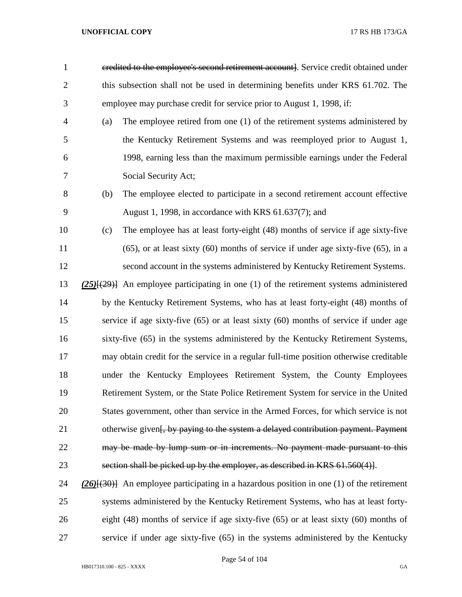- credited to the employee's second retirement account]. Service credit obtained under 2 this subsection shall not be used in determining benefits under KRS 61.702. The employee may purchase credit for service prior to August 1, 1998, if:
- (a) The employee retired from one (1) of the retirement systems administered by the Kentucky Retirement Systems and was reemployed prior to August 1, 1998, earning less than the maximum permissible earnings under the Federal Social Security Act;
- (b) The employee elected to participate in a second retirement account effective August 1, 1998, in accordance with KRS 61.637(7); and
- (c) The employee has at least forty-eight (48) months of service if age sixty-five (65), or at least sixty (60) months of service if under age sixty-five (65), in a second account in the systems administered by Kentucky Retirement Systems.
- *(25)*[(29)] An employee participating in one (1) of the retirement systems administered by the Kentucky Retirement Systems, who has at least forty-eight (48) months of service if age sixty-five (65) or at least sixty (60) months of service if under age sixty-five (65) in the systems administered by the Kentucky Retirement Systems, may obtain credit for the service in a regular full-time position otherwise creditable under the Kentucky Employees Retirement System, the County Employees Retirement System, or the State Police Retirement System for service in the United States government, other than service in the Armed Forces, for which service is not 21 otherwise given<del>[, by paying to the system a delayed contribution payment. Payment</del> 22 may be made by lump sum or in increments. No payment made pursuant to this section shall be picked up by the employer, as described in KRS 61.560(4)].
- *(26)*[(30)] An employee participating in a hazardous position in one (1) of the retirement systems administered by the Kentucky Retirement Systems, who has at least forty- eight (48) months of service if age sixty-five (65) or at least sixty (60) months of service if under age sixty-five (65) in the systems administered by the Kentucky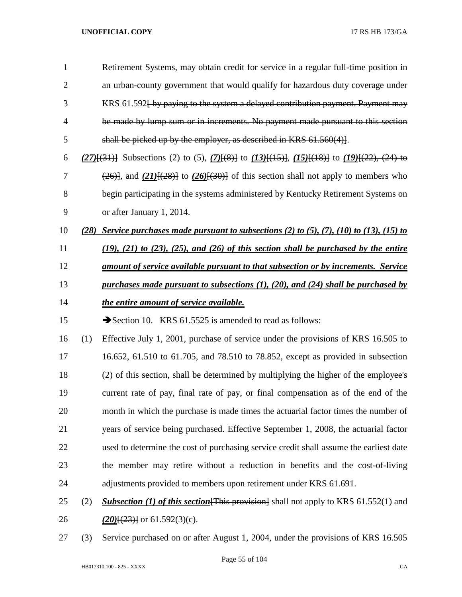| $\mathbf{1}$   |      | Retirement Systems, may obtain credit for service in a regular full-time position in                                        |
|----------------|------|-----------------------------------------------------------------------------------------------------------------------------|
| $\overline{2}$ |      | an urban-county government that would qualify for hazardous duty coverage under                                             |
| 3              |      | KRS 61.592 by paying to the system a delayed contribution payment. Payment may                                              |
| $\overline{4}$ |      | be made by lump sum or in increments. No payment made pursuant to this section                                              |
| 5              |      | shall be picked up by the employer, as described in KRS $61.560(4)$ .                                                       |
| 6              |      | $(27)$ [(31)] Subsections (2) to (5), $(7)$ [(8)] to $(13)$ [(15)], $(15)$ [(18)] to $(19)$ [(22), (24) to                  |
| 7              |      | $\left(\frac{26}{1}, \frac{21}{128}\right)$ to $\left(\frac{26}{130}\right)$ of this section shall not apply to members who |
| 8              |      | begin participating in the systems administered by Kentucky Retirement Systems on                                           |
| 9              |      | or after January 1, 2014.                                                                                                   |
| 10             | (28) | Service purchases made pursuant to subsections (2) to (5), (7), (10) to (13), (15) to                                       |
| 11             |      | $(19)$ , $(21)$ to $(23)$ , $(25)$ , and $(26)$ of this section shall be purchased by the entire                            |
| 12             |      | <u>amount of service available pursuant to that subsection or by increments. Service</u>                                    |
| 13             |      | purchases made pursuant to subsections $(1)$ , $(20)$ , and $(24)$ shall be purchased by                                    |
| 14             |      | the entire amount of service available.                                                                                     |
| 15             |      |                                                                                                                             |
|                |      | Section 10. KRS $61.5525$ is amended to read as follows:                                                                    |
| 16             | (1)  | Effective July 1, 2001, purchase of service under the provisions of KRS 16.505 to                                           |
| 17             |      | 16.652, 61.510 to 61.705, and 78.510 to 78.852, except as provided in subsection                                            |
| 18             |      | (2) of this section, shall be determined by multiplying the higher of the employee's                                        |
| 19             |      | current rate of pay, final rate of pay, or final compensation as of the end of the                                          |
| 20             |      | month in which the purchase is made times the actuarial factor times the number of                                          |
| 21             |      | years of service being purchased. Effective September 1, 2008, the actuarial factor                                         |
| 22             |      | used to determine the cost of purchasing service credit shall assume the earliest date                                      |

- adjustments provided to members upon retirement under KRS 61.691.
- (2) *Subsection (1) of this section*[This provision] shall not apply to KRS 61.552(1) and **(20)**[(23)] or 61.592(3)(c).
- (3) Service purchased on or after August 1, 2004, under the provisions of KRS 16.505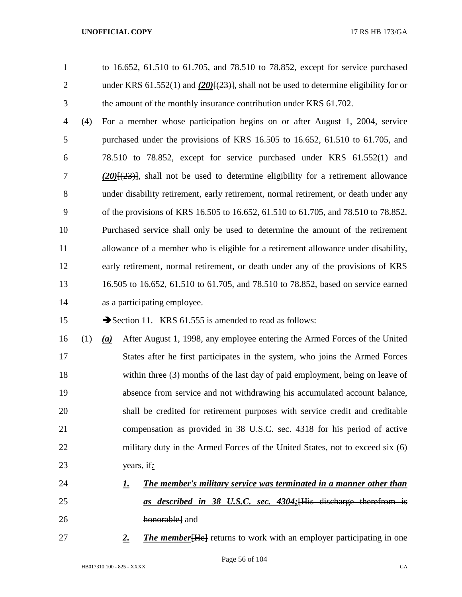to 16.652, 61.510 to 61.705, and 78.510 to 78.852, except for service purchased 2 under KRS 61.552(1) and  $(20)$ <del>[(23)]</del>, shall not be used to determine eligibility for or the amount of the monthly insurance contribution under KRS 61.702.

 (4) For a member whose participation begins on or after August 1, 2004, service purchased under the provisions of KRS 16.505 to 16.652, 61.510 to 61.705, and 78.510 to 78.852, except for service purchased under KRS 61.552(1) and *(20)*[(23)], shall not be used to determine eligibility for a retirement allowance under disability retirement, early retirement, normal retirement, or death under any of the provisions of KRS 16.505 to 16.652, 61.510 to 61.705, and 78.510 to 78.852. Purchased service shall only be used to determine the amount of the retirement allowance of a member who is eligible for a retirement allowance under disability, early retirement, normal retirement, or death under any of the provisions of KRS 16.505 to 16.652, 61.510 to 61.705, and 78.510 to 78.852, based on service earned as a participating employee.

15 Section 11. KRS 61.555 is amended to read as follows:

- (1) *(a)* After August 1, 1998, any employee entering the Armed Forces of the United States after he first participates in the system, who joins the Armed Forces within three (3) months of the last day of paid employment, being on leave of absence from service and not withdrawing his accumulated account balance, shall be credited for retirement purposes with service credit and creditable compensation as provided in 38 U.S.C. sec. 4318 for his period of active 22 military duty in the Armed Forces of the United States, not to exceed six (6) years, if*:*
- *1. The member's military service was terminated in a manner other than as described in 38 U.S.C. sec. 4304;*[His discharge therefrom is honorable] and
- 27 2. *Zhe member* [He ] returns to work with an employer participating in one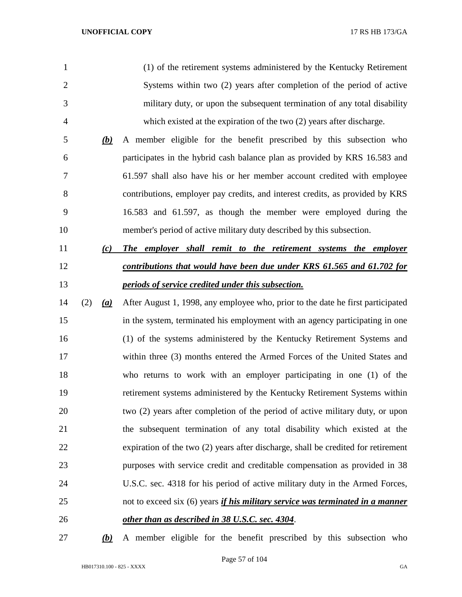| $\mathbf{1}$   |     |                  | (1) of the retirement systems administered by the Kentucky Retirement                 |
|----------------|-----|------------------|---------------------------------------------------------------------------------------|
| $\overline{2}$ |     |                  | Systems within two (2) years after completion of the period of active                 |
| 3              |     |                  | military duty, or upon the subsequent termination of any total disability             |
| 4              |     |                  | which existed at the expiration of the two (2) years after discharge.                 |
| 5              |     | (b)              | A member eligible for the benefit prescribed by this subsection who                   |
| 6              |     |                  | participates in the hybrid cash balance plan as provided by KRS 16.583 and            |
| 7              |     |                  | 61.597 shall also have his or her member account credited with employee               |
| 8              |     |                  | contributions, employer pay credits, and interest credits, as provided by KRS         |
| 9              |     |                  | 16.583 and 61.597, as though the member were employed during the                      |
| 10             |     |                  | member's period of active military duty described by this subsection.                 |
| 11             |     | (c)              | The employer shall remit to the retirement systems the employer                       |
| 12             |     |                  | contributions that would have been due under KRS 61.565 and 61.702 for                |
| 13             |     |                  | periods of service credited under this subsection.                                    |
| 14             | (2) | $\left(a\right)$ | After August 1, 1998, any employee who, prior to the date he first participated       |
| 15             |     |                  | in the system, terminated his employment with an agency participating in one          |
| 16             |     |                  | (1) of the systems administered by the Kentucky Retirement Systems and                |
| 17             |     |                  | within three (3) months entered the Armed Forces of the United States and             |
| 18             |     |                  | who returns to work with an employer participating in one (1) of the                  |
| 19             |     |                  | retirement systems administered by the Kentucky Retirement Systems within             |
| 20             |     |                  | two (2) years after completion of the period of active military duty, or upon         |
| 21             |     |                  | the subsequent termination of any total disability which existed at the               |
| 22             |     |                  | expiration of the two (2) years after discharge, shall be credited for retirement     |
| 23             |     |                  | purposes with service credit and creditable compensation as provided in 38            |
| 24             |     |                  | U.S.C. sec. 4318 for his period of active military duty in the Armed Forces,          |
| 25             |     |                  | not to exceed six (6) years <i>if his military service was terminated in a manner</i> |
| 26             |     |                  | other than as described in 38 U.S.C. sec. 4304.                                       |
|                |     |                  |                                                                                       |

*(b)* A member eligible for the benefit prescribed by this subsection who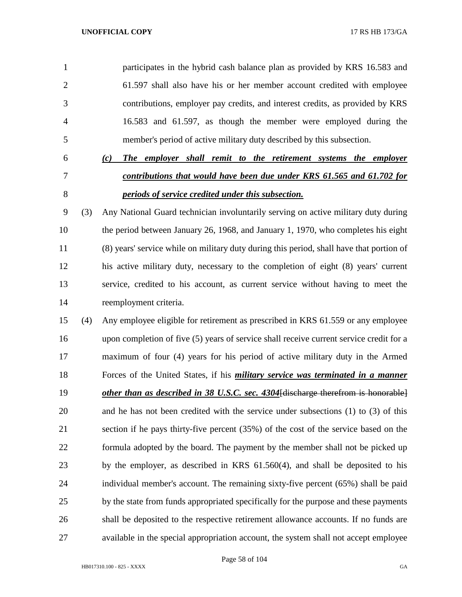participates in the hybrid cash balance plan as provided by KRS 16.583 and 61.597 shall also have his or her member account credited with employee contributions, employer pay credits, and interest credits, as provided by KRS 16.583 and 61.597, as though the member were employed during the member's period of active military duty described by this subsection.

# *(c) The employer shall remit to the retirement systems the employer contributions that would have been due under KRS 61.565 and 61.702 for periods of service credited under this subsection.*

 (3) Any National Guard technician involuntarily serving on active military duty during the period between January 26, 1968, and January 1, 1970, who completes his eight (8) years' service while on military duty during this period, shall have that portion of his active military duty, necessary to the completion of eight (8) years' current service, credited to his account, as current service without having to meet the reemployment criteria.

 (4) Any employee eligible for retirement as prescribed in KRS 61.559 or any employee upon completion of five (5) years of service shall receive current service credit for a maximum of four (4) years for his period of active military duty in the Armed Forces of the United States, if his *military service was terminated in a manner other than as described in 38 U.S.C. sec. 4304*[discharge therefrom is honorable] and he has not been credited with the service under subsections (1) to (3) of this section if he pays thirty-five percent (35%) of the cost of the service based on the formula adopted by the board. The payment by the member shall not be picked up by the employer, as described in KRS 61.560(4), and shall be deposited to his individual member's account. The remaining sixty-five percent (65%) shall be paid by the state from funds appropriated specifically for the purpose and these payments shall be deposited to the respective retirement allowance accounts. If no funds are available in the special appropriation account, the system shall not accept employee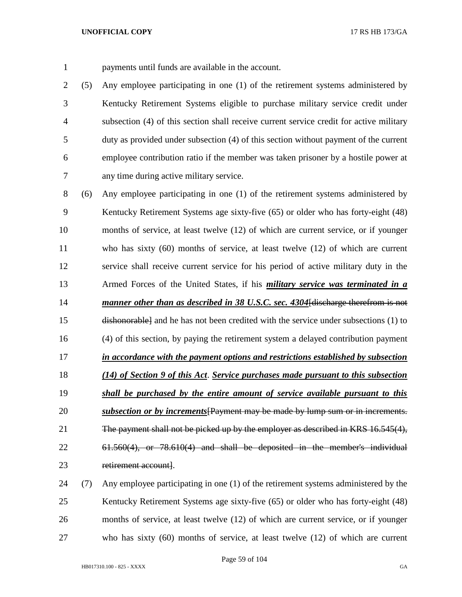payments until funds are available in the account.

 (5) Any employee participating in one (1) of the retirement systems administered by Kentucky Retirement Systems eligible to purchase military service credit under subsection (4) of this section shall receive current service credit for active military duty as provided under subsection (4) of this section without payment of the current employee contribution ratio if the member was taken prisoner by a hostile power at any time during active military service.

 (6) Any employee participating in one (1) of the retirement systems administered by Kentucky Retirement Systems age sixty-five (65) or older who has forty-eight (48) months of service, at least twelve (12) of which are current service, or if younger who has sixty (60) months of service, at least twelve (12) of which are current service shall receive current service for his period of active military duty in the Armed Forces of the United States, if his *military service was terminated in a manner other than as described in 38 U.S.C. sec. 4304*[discharge therefrom is not dishonorable] and he has not been credited with the service under subsections (1) to (4) of this section, by paying the retirement system a delayed contribution payment *in accordance with the payment options and restrictions established by subsection (14) of Section 9 of this Act*. *Service purchases made pursuant to this subsection shall be purchased by the entire amount of service available pursuant to this subsection or by increments*[Payment may be made by lump sum or in increments. The payment shall not be picked up by the employer as described in KRS 16.545(4), 61.560(4), or 78.610(4) and shall be deposited in the member's individual 23 retirement account.

 (7) Any employee participating in one (1) of the retirement systems administered by the Kentucky Retirement Systems age sixty-five (65) or older who has forty-eight (48) months of service, at least twelve (12) of which are current service, or if younger who has sixty (60) months of service, at least twelve (12) of which are current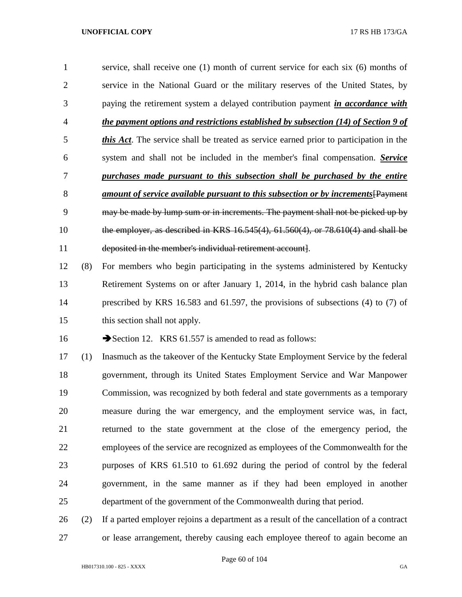service, shall receive one (1) month of current service for each six (6) months of service in the National Guard or the military reserves of the United States, by paying the retirement system a delayed contribution payment *in accordance with the payment options and restrictions established by subsection (14) of Section 9 of this Act*. The service shall be treated as service earned prior to participation in the system and shall not be included in the member's final compensation. *Service purchases made pursuant to this subsection shall be purchased by the entire amount of service available pursuant to this subsection or by increments*[Payment may be made by lump sum or in increments. The payment shall not be picked up by the employer, as described in KRS 16.545(4), 61.560(4), or 78.610(4) and shall be deposited in the member's individual retirement account].

 (8) For members who begin participating in the systems administered by Kentucky Retirement Systems on or after January 1, 2014, in the hybrid cash balance plan prescribed by KRS 16.583 and 61.597, the provisions of subsections (4) to (7) of this section shall not apply.

16 Section 12. KRS 61.557 is amended to read as follows:

 (1) Inasmuch as the takeover of the Kentucky State Employment Service by the federal government, through its United States Employment Service and War Manpower Commission, was recognized by both federal and state governments as a temporary measure during the war emergency, and the employment service was, in fact, returned to the state government at the close of the emergency period, the employees of the service are recognized as employees of the Commonwealth for the purposes of KRS 61.510 to 61.692 during the period of control by the federal government, in the same manner as if they had been employed in another department of the government of the Commonwealth during that period.

 (2) If a parted employer rejoins a department as a result of the cancellation of a contract or lease arrangement, thereby causing each employee thereof to again become an

Page 60 of 104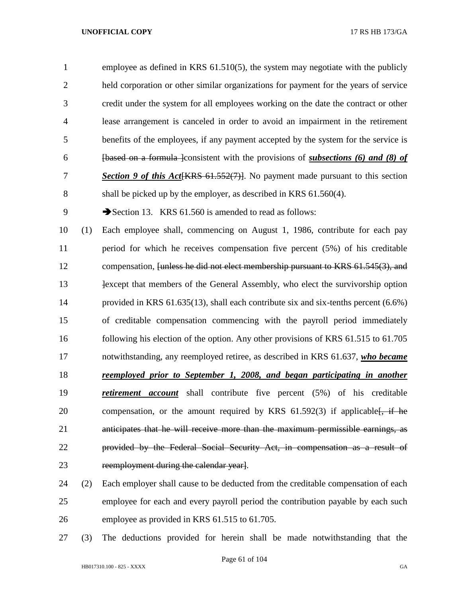employee as defined in KRS 61.510(5), the system may negotiate with the publicly held corporation or other similar organizations for payment for the years of service credit under the system for all employees working on the date the contract or other lease arrangement is canceled in order to avoid an impairment in the retirement benefits of the employees, if any payment accepted by the system for the service is [based on a formula ]consistent with the provisions of *subsections (6) and (8) of Section 9 of this Act*[KRS 61.552(7)]. No payment made pursuant to this section shall be picked up by the employer, as described in KRS 61.560(4).

9 Section 13. KRS 61.560 is amended to read as follows:

 (1) Each employee shall, commencing on August 1, 1986, contribute for each pay period for which he receives compensation five percent (5%) of his creditable compensation, [unless he did not elect membership pursuant to KRS 61.545(3), and **Example 1** lexcept that members of the General Assembly, who elect the survivorship option provided in KRS 61.635(13), shall each contribute six and six-tenths percent (6.6%) of creditable compensation commencing with the payroll period immediately following his election of the option. Any other provisions of KRS 61.515 to 61.705 notwithstanding, any reemployed retiree, as described in KRS 61.637, *who became reemployed prior to September 1, 2008, and began participating in another retirement account* shall contribute five percent (5%) of his creditable 20 compensation, or the amount required by KRS  $61.592(3)$  if applicable. if he anticipates that he will receive more than the maximum permissible earnings, as provided by the Federal Social Security Act, in compensation as a result of reemployment during the calendar year].

 (2) Each employer shall cause to be deducted from the creditable compensation of each employee for each and every payroll period the contribution payable by each such employee as provided in KRS 61.515 to 61.705.

(3) The deductions provided for herein shall be made notwithstanding that the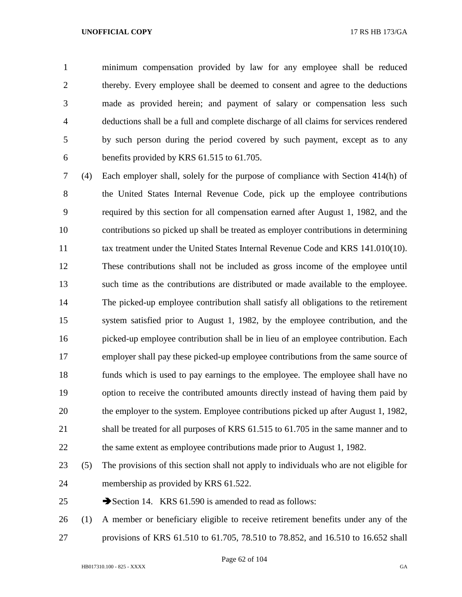minimum compensation provided by law for any employee shall be reduced thereby. Every employee shall be deemed to consent and agree to the deductions made as provided herein; and payment of salary or compensation less such deductions shall be a full and complete discharge of all claims for services rendered by such person during the period covered by such payment, except as to any benefits provided by KRS 61.515 to 61.705.

 (4) Each employer shall, solely for the purpose of compliance with Section 414(h) of the United States Internal Revenue Code, pick up the employee contributions required by this section for all compensation earned after August 1, 1982, and the contributions so picked up shall be treated as employer contributions in determining 11 tax treatment under the United States Internal Revenue Code and KRS 141.010(10). These contributions shall not be included as gross income of the employee until such time as the contributions are distributed or made available to the employee. The picked-up employee contribution shall satisfy all obligations to the retirement system satisfied prior to August 1, 1982, by the employee contribution, and the picked-up employee contribution shall be in lieu of an employee contribution. Each employer shall pay these picked-up employee contributions from the same source of funds which is used to pay earnings to the employee. The employee shall have no option to receive the contributed amounts directly instead of having them paid by the employer to the system. Employee contributions picked up after August 1, 1982, 21 shall be treated for all purposes of KRS 61.515 to 61.705 in the same manner and to 22 the same extent as employee contributions made prior to August 1, 1982.

 (5) The provisions of this section shall not apply to individuals who are not eligible for membership as provided by KRS 61.522.

25 Section 14. KRS 61.590 is amended to read as follows:

 (1) A member or beneficiary eligible to receive retirement benefits under any of the provisions of KRS 61.510 to 61.705, 78.510 to 78.852, and 16.510 to 16.652 shall

Page 62 of 104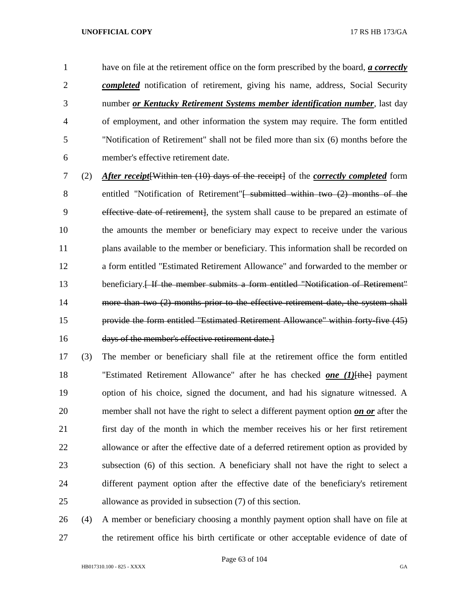have on file at the retirement office on the form prescribed by the board, *a correctly completed* notification of retirement, giving his name, address, Social Security number *or Kentucky Retirement Systems member identification number*, last day of employment, and other information the system may require. The form entitled "Notification of Retirement" shall not be filed more than six (6) months before the member's effective retirement date.

 (2) *After receipt*[Within ten (10) days of the receipt] of the *correctly completed* form 8 entitled "Notification of Retirement"<del>[ submitted within two (2) months of the</del> effective date of retirement], the system shall cause to be prepared an estimate of the amounts the member or beneficiary may expect to receive under the various plans available to the member or beneficiary. This information shall be recorded on a form entitled "Estimated Retirement Allowance" and forwarded to the member or 13 beneficiary.<del>[If the member submits a form entitled "Notification of Retirement"</del> more than two (2) months prior to the effective retirement date, the system shall provide the form entitled "Estimated Retirement Allowance" within forty-five (45) days of the member's effective retirement date.]

 (3) The member or beneficiary shall file at the retirement office the form entitled "Estimated Retirement Allowance" after he has checked *one (1)*[the] payment option of his choice, signed the document, and had his signature witnessed. A member shall not have the right to select a different payment option *on or* after the first day of the month in which the member receives his or her first retirement allowance or after the effective date of a deferred retirement option as provided by subsection (6) of this section. A beneficiary shall not have the right to select a different payment option after the effective date of the beneficiary's retirement allowance as provided in subsection (7) of this section.

 (4) A member or beneficiary choosing a monthly payment option shall have on file at the retirement office his birth certificate or other acceptable evidence of date of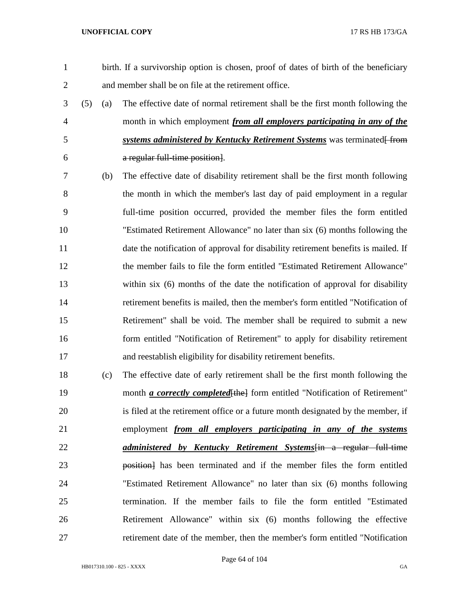- birth. If a survivorship option is chosen, proof of dates of birth of the beneficiary and member shall be on file at the retirement office. (5) (a) The effective date of normal retirement shall be the first month following the month in which employment *from all employers participating in any of the*  5 *systems administered by Kentucky Retirement Systems* was terminated from a regular full-time position]. (b) The effective date of disability retirement shall be the first month following the month in which the member's last day of paid employment in a regular full-time position occurred, provided the member files the form entitled "Estimated Retirement Allowance" no later than six (6) months following the date the notification of approval for disability retirement benefits is mailed. If the member fails to file the form entitled "Estimated Retirement Allowance" within six (6) months of the date the notification of approval for disability retirement benefits is mailed, then the member's form entitled "Notification of Retirement" shall be void. The member shall be required to submit a new form entitled "Notification of Retirement" to apply for disability retirement and reestablish eligibility for disability retirement benefits.
- (c) The effective date of early retirement shall be the first month following the 19 month *a correctly completed* [the] form entitled "Notification of Retirement" is filed at the retirement office or a future month designated by the member, if employment *from all employers participating in any of the systems administered by Kentucky Retirement Systems*[in a regular full-time **position** has been terminated and if the member files the form entitled "Estimated Retirement Allowance" no later than six (6) months following termination. If the member fails to file the form entitled "Estimated Retirement Allowance" within six (6) months following the effective retirement date of the member, then the member's form entitled "Notification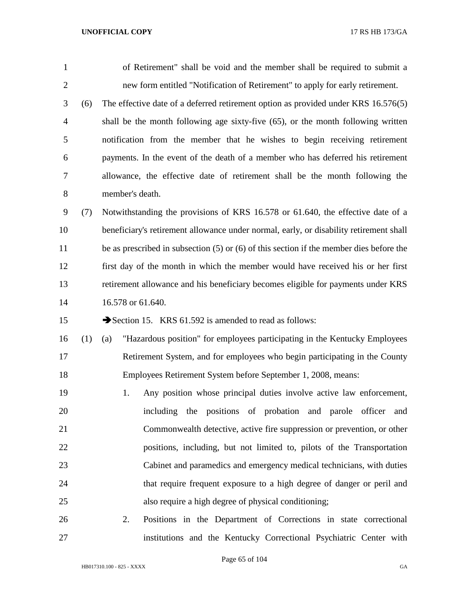- of Retirement" shall be void and the member shall be required to submit a new form entitled "Notification of Retirement" to apply for early retirement.
- (6) The effective date of a deferred retirement option as provided under KRS 16.576(5) shall be the month following age sixty-five (65), or the month following written notification from the member that he wishes to begin receiving retirement payments. In the event of the death of a member who has deferred his retirement allowance, the effective date of retirement shall be the month following the member's death.
- (7) Notwithstanding the provisions of KRS 16.578 or 61.640, the effective date of a beneficiary's retirement allowance under normal, early, or disability retirement shall 11 be as prescribed in subsection (5) or (6) of this section if the member dies before the first day of the month in which the member would have received his or her first retirement allowance and his beneficiary becomes eligible for payments under KRS 14 16.578 or 61.640.

15 Section 15. KRS 61.592 is amended to read as follows:

- (1) (a) "Hazardous position" for employees participating in the Kentucky Employees Retirement System, and for employees who begin participating in the County Employees Retirement System before September 1, 2008, means:
- 1. Any position whose principal duties involve active law enforcement, including the positions of probation and parole officer and Commonwealth detective, active fire suppression or prevention, or other positions, including, but not limited to, pilots of the Transportation Cabinet and paramedics and emergency medical technicians, with duties that require frequent exposure to a high degree of danger or peril and also require a high degree of physical conditioning;
- 2. Positions in the Department of Corrections in state correctional institutions and the Kentucky Correctional Psychiatric Center with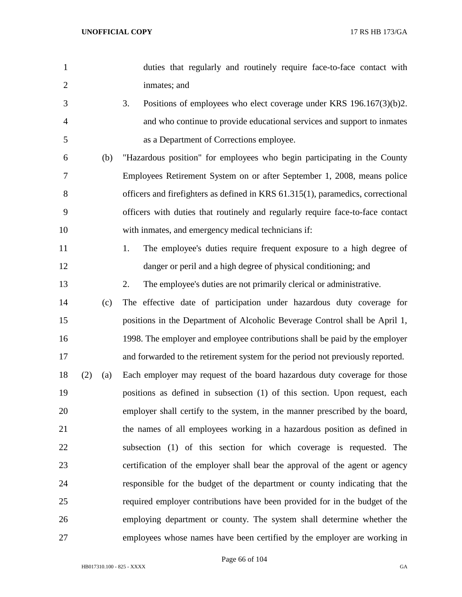| $\mathbf{1}$   |     |     | duties that regularly and routinely require face-to-face contact with           |
|----------------|-----|-----|---------------------------------------------------------------------------------|
| $\overline{2}$ |     |     | inmates; and                                                                    |
| 3              |     |     | 3.<br>Positions of employees who elect coverage under KRS $196.167(3)(b)2$ .    |
| $\overline{4}$ |     |     | and who continue to provide educational services and support to inmates         |
| 5              |     |     | as a Department of Corrections employee.                                        |
| 6              |     | (b) | "Hazardous position" for employees who begin participating in the County        |
| 7              |     |     | Employees Retirement System on or after September 1, 2008, means police         |
| 8              |     |     | officers and firefighters as defined in KRS 61.315(1), paramedics, correctional |
| 9              |     |     | officers with duties that routinely and regularly require face-to-face contact  |
| 10             |     |     | with inmates, and emergency medical technicians if:                             |
| 11             |     |     | The employee's duties require frequent exposure to a high degree of<br>1.       |
| 12             |     |     | danger or peril and a high degree of physical conditioning; and                 |
| 13             |     |     | 2.<br>The employee's duties are not primarily clerical or administrative.       |
| 14             |     | (c) | The effective date of participation under hazardous duty coverage for           |
| 15             |     |     | positions in the Department of Alcoholic Beverage Control shall be April 1,     |
| 16             |     |     | 1998. The employer and employee contributions shall be paid by the employer     |
| 17             |     |     | and forwarded to the retirement system for the period not previously reported.  |
| 18             | (2) | (a) | Each employer may request of the board hazardous duty coverage for those        |
| 19             |     |     | positions as defined in subsection (1) of this section. Upon request, each      |
| 20             |     |     | employer shall certify to the system, in the manner prescribed by the board,    |
| 21             |     |     | the names of all employees working in a hazardous position as defined in        |
| 22             |     |     | subsection (1) of this section for which coverage is requested. The             |
| 23             |     |     | certification of the employer shall bear the approval of the agent or agency    |
| 24             |     |     | responsible for the budget of the department or county indicating that the      |
| 25             |     |     | required employer contributions have been provided for in the budget of the     |
| 26             |     |     | employing department or county. The system shall determine whether the          |
| 27             |     |     | employees whose names have been certified by the employer are working in        |

Page 66 of 104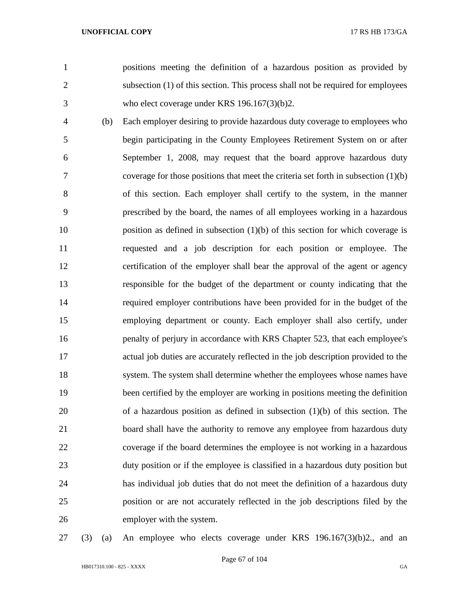positions meeting the definition of a hazardous position as provided by subsection (1) of this section. This process shall not be required for employees who elect coverage under KRS 196.167(3)(b)2.

 (b) Each employer desiring to provide hazardous duty coverage to employees who begin participating in the County Employees Retirement System on or after September 1, 2008, may request that the board approve hazardous duty coverage for those positions that meet the criteria set forth in subsection (1)(b) of this section. Each employer shall certify to the system, in the manner prescribed by the board, the names of all employees working in a hazardous position as defined in subsection (1)(b) of this section for which coverage is requested and a job description for each position or employee. The certification of the employer shall bear the approval of the agent or agency responsible for the budget of the department or county indicating that the required employer contributions have been provided for in the budget of the employing department or county. Each employer shall also certify, under 16 penalty of perjury in accordance with KRS Chapter 523, that each employee's actual job duties are accurately reflected in the job description provided to the system. The system shall determine whether the employees whose names have been certified by the employer are working in positions meeting the definition of a hazardous position as defined in subsection (1)(b) of this section. The board shall have the authority to remove any employee from hazardous duty coverage if the board determines the employee is not working in a hazardous duty position or if the employee is classified in a hazardous duty position but has individual job duties that do not meet the definition of a hazardous duty position or are not accurately reflected in the job descriptions filed by the employer with the system.

(3) (a) An employee who elects coverage under KRS 196.167(3)(b)2., and an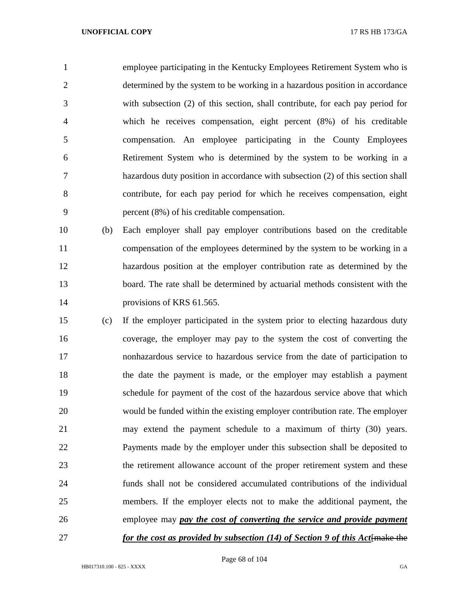employee participating in the Kentucky Employees Retirement System who is determined by the system to be working in a hazardous position in accordance with subsection (2) of this section, shall contribute, for each pay period for which he receives compensation, eight percent (8%) of his creditable compensation. An employee participating in the County Employees Retirement System who is determined by the system to be working in a hazardous duty position in accordance with subsection (2) of this section shall contribute, for each pay period for which he receives compensation, eight percent (8%) of his creditable compensation.

- (b) Each employer shall pay employer contributions based on the creditable compensation of the employees determined by the system to be working in a hazardous position at the employer contribution rate as determined by the board. The rate shall be determined by actuarial methods consistent with the 14 provisions of KRS 61.565.
- (c) If the employer participated in the system prior to electing hazardous duty coverage, the employer may pay to the system the cost of converting the nonhazardous service to hazardous service from the date of participation to the date the payment is made, or the employer may establish a payment schedule for payment of the cost of the hazardous service above that which would be funded within the existing employer contribution rate. The employer may extend the payment schedule to a maximum of thirty (30) years. Payments made by the employer under this subsection shall be deposited to the retirement allowance account of the proper retirement system and these funds shall not be considered accumulated contributions of the individual members. If the employer elects not to make the additional payment, the employee may *pay the cost of converting the service and provide payment for the cost as provided by subsection (14) of Section 9 of this Act* **final the**

Page 68 of 104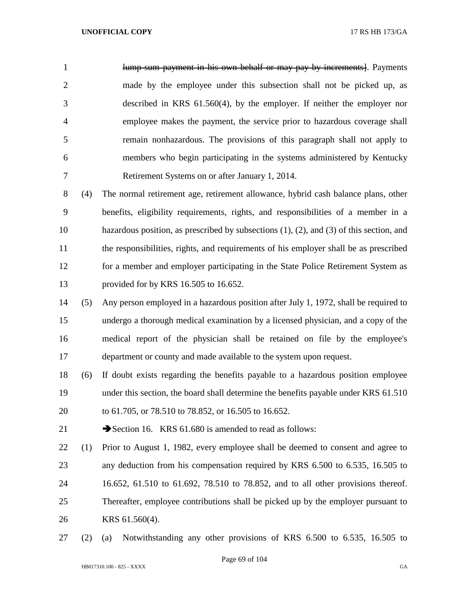1 lump-sum payment in his own behalf or may pay by increments. Payments made by the employee under this subsection shall not be picked up, as described in KRS 61.560(4), by the employer. If neither the employer nor employee makes the payment, the service prior to hazardous coverage shall remain nonhazardous. The provisions of this paragraph shall not apply to members who begin participating in the systems administered by Kentucky Retirement Systems on or after January 1, 2014.

 (4) The normal retirement age, retirement allowance, hybrid cash balance plans, other benefits, eligibility requirements, rights, and responsibilities of a member in a hazardous position, as prescribed by subsections (1), (2), and (3) of this section, and the responsibilities, rights, and requirements of his employer shall be as prescribed for a member and employer participating in the State Police Retirement System as provided for by KRS 16.505 to 16.652.

 (5) Any person employed in a hazardous position after July 1, 1972, shall be required to undergo a thorough medical examination by a licensed physician, and a copy of the medical report of the physician shall be retained on file by the employee's department or county and made available to the system upon request.

 (6) If doubt exists regarding the benefits payable to a hazardous position employee 19 under this section, the board shall determine the benefits payable under KRS 61.510 to 61.705, or 78.510 to 78.852, or 16.505 to 16.652.

21 Section 16. KRS 61.680 is amended to read as follows:

 (1) Prior to August 1, 1982, every employee shall be deemed to consent and agree to any deduction from his compensation required by KRS 6.500 to 6.535, 16.505 to 16.652, 61.510 to 61.692, 78.510 to 78.852, and to all other provisions thereof. Thereafter, employee contributions shall be picked up by the employer pursuant to KRS 61.560(4).

(2) (a) Notwithstanding any other provisions of KRS 6.500 to 6.535, 16.505 to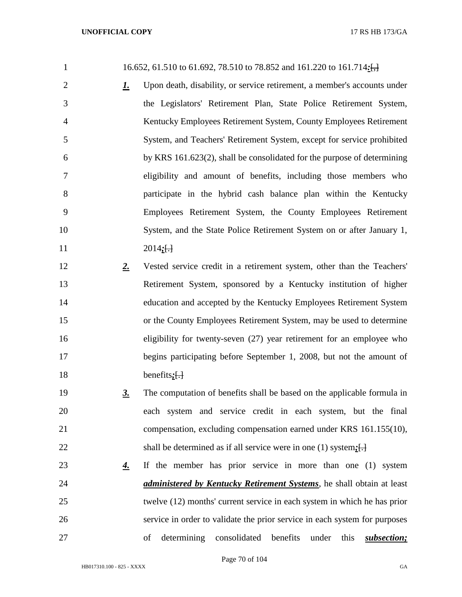| $\mathbf{1}$   |             | 16.652, 61.510 to 61.692, 78.510 to 78.852 and 161.220 to 161.714:                         |
|----------------|-------------|--------------------------------------------------------------------------------------------|
| $\overline{2}$ | <u>1.</u>   | Upon death, disability, or service retirement, a member's accounts under                   |
| 3              |             | the Legislators' Retirement Plan, State Police Retirement System,                          |
| 4              |             | Kentucky Employees Retirement System, County Employees Retirement                          |
| 5              |             | System, and Teachers' Retirement System, except for service prohibited                     |
| 6              |             | by KRS 161.623(2), shall be consolidated for the purpose of determining                    |
| 7              |             | eligibility and amount of benefits, including those members who                            |
| 8              |             | participate in the hybrid cash balance plan within the Kentucky                            |
| 9              |             | Employees Retirement System, the County Employees Retirement                               |
| 10             |             | System, and the State Police Retirement System on or after January 1,                      |
| 11             |             | $2014;[-]$                                                                                 |
| 12             | $2_{\cdot}$ | Vested service credit in a retirement system, other than the Teachers'                     |
| 13             |             | Retirement System, sponsored by a Kentucky institution of higher                           |
| 14             |             | education and accepted by the Kentucky Employees Retirement System                         |
| 15             |             | or the County Employees Retirement System, may be used to determine                        |
| 16             |             | eligibility for twenty-seven $(27)$ year retirement for an employee who                    |
| 17             |             | begins participating before September 1, 2008, but not the amount of                       |
| 18             |             | benefits $\left\{\frac{1}{2}\right\}$                                                      |
| 19             | <u>3.</u>   | The computation of benefits shall be based on the applicable formula in                    |
| 20             |             | each system and service credit in each system, but the final                               |
| 21             |             | compensation, excluding compensation earned under KRS 161.155(10),                         |
| 22             |             | shall be determined as if all service were in one (1) system: $\left\{\frac{1}{2}\right\}$ |
| 23             | <u>4.</u>   | If the member has prior service in more than one (1) system                                |
| 24             |             | <i>administered by Kentucky Retirement Systems</i> , he shall obtain at least              |
| 25             |             | twelve (12) months' current service in each system in which he has prior                   |
| 26             |             | service in order to validate the prior service in each system for purposes                 |
| 27             |             | determining<br>consolidated<br>benefits<br>subsection;<br>under<br>this<br>of              |

Page 70 of 104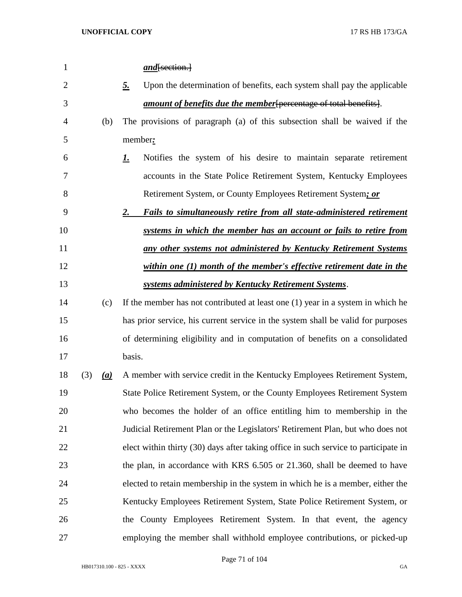| $\mathbf{1}$   |     |                   | $and$ [section.]                                                                      |
|----------------|-----|-------------------|---------------------------------------------------------------------------------------|
| $\overline{2}$ |     |                   | Upon the determination of benefits, each system shall pay the applicable<br><u>5.</u> |
| 3              |     |                   | <i>amount of benefits due the member</i> percentage of total benefits.                |
| 4              |     | (b)               | The provisions of paragraph (a) of this subsection shall be waived if the             |
| 5              |     |                   | member:                                                                               |
| 6              |     |                   | Notifies the system of his desire to maintain separate retirement<br><u>L.</u>        |
| 7              |     |                   | accounts in the State Police Retirement System, Kentucky Employees                    |
| 8              |     |                   | Retirement System, or County Employees Retirement System; or                          |
| 9              |     |                   | <b>Fails to simultaneously retire from all state-administered retirement</b><br>2.    |
| 10             |     |                   | systems in which the member has an account or fails to retire from                    |
| 11             |     |                   | any other systems not administered by Kentucky Retirement Systems                     |
| 12             |     |                   | within one (1) month of the member's effective retirement date in the                 |
| 13             |     |                   | systems administered by Kentucky Retirement Systems.                                  |
| 14             |     | (c)               | If the member has not contributed at least one $(1)$ year in a system in which he     |
| 15             |     |                   | has prior service, his current service in the system shall be valid for purposes      |
| 16             |     |                   | of determining eligibility and in computation of benefits on a consolidated           |
| 17             |     |                   | basis.                                                                                |
| 18             | (3) | $\underline{(a)}$ | A member with service credit in the Kentucky Employees Retirement System,             |
| 19             |     |                   | State Police Retirement System, or the County Employees Retirement System             |
| 20             |     |                   | who becomes the holder of an office entitling him to membership in the                |
| 21             |     |                   | Judicial Retirement Plan or the Legislators' Retirement Plan, but who does not        |
| 22             |     |                   | elect within thirty (30) days after taking office in such service to participate in   |
| 23             |     |                   | the plan, in accordance with KRS 6.505 or 21.360, shall be deemed to have             |
| 24             |     |                   | elected to retain membership in the system in which he is a member, either the        |
| 25             |     |                   | Kentucky Employees Retirement System, State Police Retirement System, or              |
| 26             |     |                   | the County Employees Retirement System. In that event, the agency                     |
| 27             |     |                   | employing the member shall withhold employee contributions, or picked-up              |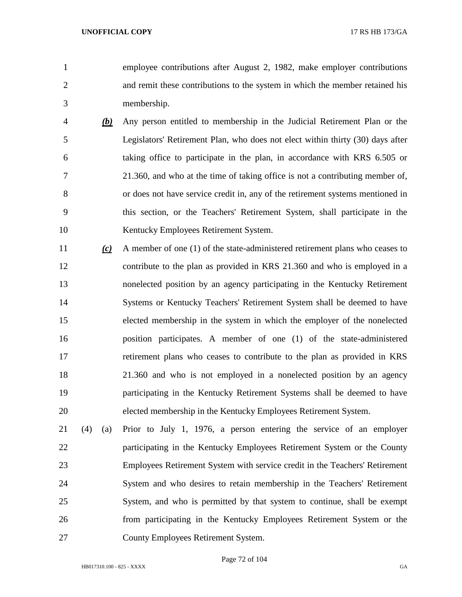employee contributions after August 2, 1982, make employer contributions and remit these contributions to the system in which the member retained his membership.

- *(b)* Any person entitled to membership in the Judicial Retirement Plan or the Legislators' Retirement Plan, who does not elect within thirty (30) days after taking office to participate in the plan, in accordance with KRS 6.505 or 21.360, and who at the time of taking office is not a contributing member of, or does not have service credit in, any of the retirement systems mentioned in this section, or the Teachers' Retirement System, shall participate in the Kentucky Employees Retirement System.
- *(c)* A member of one (1) of the state-administered retirement plans who ceases to contribute to the plan as provided in KRS 21.360 and who is employed in a nonelected position by an agency participating in the Kentucky Retirement Systems or Kentucky Teachers' Retirement System shall be deemed to have elected membership in the system in which the employer of the nonelected position participates. A member of one (1) of the state-administered retirement plans who ceases to contribute to the plan as provided in KRS 21.360 and who is not employed in a nonelected position by an agency participating in the Kentucky Retirement Systems shall be deemed to have elected membership in the Kentucky Employees Retirement System.
- (4) (a) Prior to July 1, 1976, a person entering the service of an employer participating in the Kentucky Employees Retirement System or the County Employees Retirement System with service credit in the Teachers' Retirement System and who desires to retain membership in the Teachers' Retirement System, and who is permitted by that system to continue, shall be exempt from participating in the Kentucky Employees Retirement System or the County Employees Retirement System.

Page 72 of 104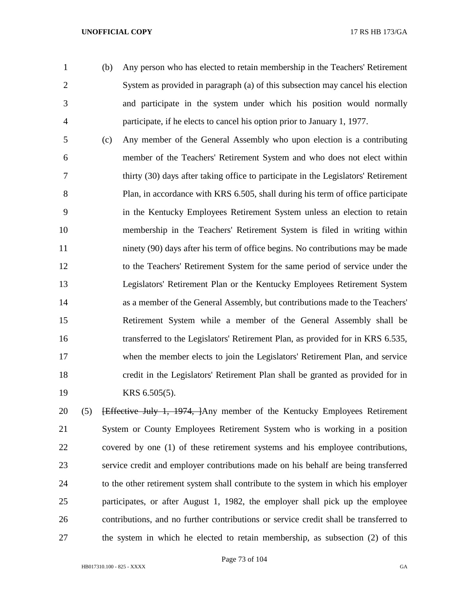- 
- (b) Any person who has elected to retain membership in the Teachers' Retirement System as provided in paragraph (a) of this subsection may cancel his election and participate in the system under which his position would normally participate, if he elects to cancel his option prior to January 1, 1977.
- (c) Any member of the General Assembly who upon election is a contributing member of the Teachers' Retirement System and who does not elect within thirty (30) days after taking office to participate in the Legislators' Retirement 8 Plan, in accordance with KRS 6.505, shall during his term of office participate in the Kentucky Employees Retirement System unless an election to retain membership in the Teachers' Retirement System is filed in writing within ninety (90) days after his term of office begins. No contributions may be made to the Teachers' Retirement System for the same period of service under the Legislators' Retirement Plan or the Kentucky Employees Retirement System as a member of the General Assembly, but contributions made to the Teachers' Retirement System while a member of the General Assembly shall be transferred to the Legislators' Retirement Plan, as provided for in KRS 6.535, when the member elects to join the Legislators' Retirement Plan, and service credit in the Legislators' Retirement Plan shall be granted as provided for in KRS 6.505(5).

20 (5) <del>Effective July 1, 1974, J</del>Any member of the Kentucky Employees Retirement System or County Employees Retirement System who is working in a position covered by one (1) of these retirement systems and his employee contributions, service credit and employer contributions made on his behalf are being transferred to the other retirement system shall contribute to the system in which his employer participates, or after August 1, 1982, the employer shall pick up the employee contributions, and no further contributions or service credit shall be transferred to the system in which he elected to retain membership, as subsection (2) of this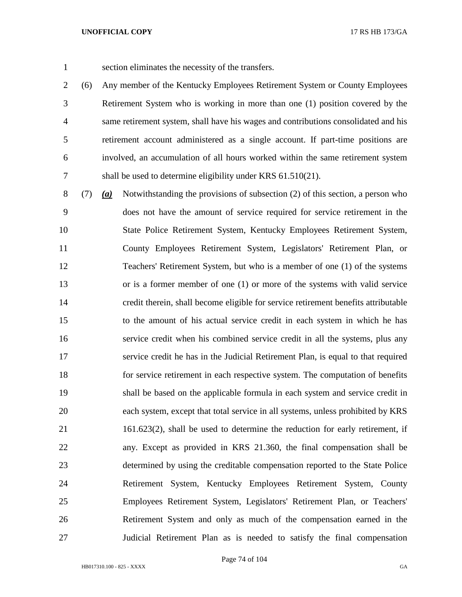section eliminates the necessity of the transfers.

 (6) Any member of the Kentucky Employees Retirement System or County Employees Retirement System who is working in more than one (1) position covered by the same retirement system, shall have his wages and contributions consolidated and his retirement account administered as a single account. If part-time positions are involved, an accumulation of all hours worked within the same retirement system shall be used to determine eligibility under KRS 61.510(21).

 (7) *(a)* Notwithstanding the provisions of subsection (2) of this section, a person who does not have the amount of service required for service retirement in the State Police Retirement System, Kentucky Employees Retirement System, County Employees Retirement System, Legislators' Retirement Plan, or Teachers' Retirement System, but who is a member of one (1) of the systems or is a former member of one (1) or more of the systems with valid service credit therein, shall become eligible for service retirement benefits attributable to the amount of his actual service credit in each system in which he has service credit when his combined service credit in all the systems, plus any service credit he has in the Judicial Retirement Plan, is equal to that required for service retirement in each respective system. The computation of benefits shall be based on the applicable formula in each system and service credit in each system, except that total service in all systems, unless prohibited by KRS 161.623(2), shall be used to determine the reduction for early retirement, if any. Except as provided in KRS 21.360, the final compensation shall be determined by using the creditable compensation reported to the State Police Retirement System, Kentucky Employees Retirement System, County Employees Retirement System, Legislators' Retirement Plan, or Teachers' Retirement System and only as much of the compensation earned in the Judicial Retirement Plan as is needed to satisfy the final compensation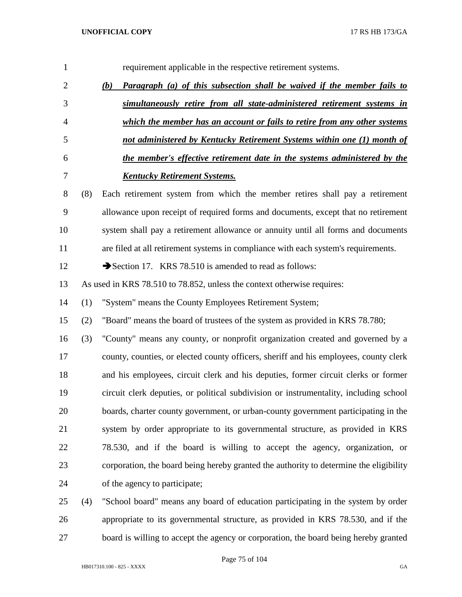| 1              |     | requirement applicable in the respective retirement systems.                           |
|----------------|-----|----------------------------------------------------------------------------------------|
| $\overline{2}$ |     | <b>Paragraph</b> (a) of this subsection shall be waived if the member fails to<br>(b)  |
| 3              |     | simultaneously retire from all state-administered retirement systems in                |
| $\overline{4}$ |     | which the member has an account or fails to retire from any other systems              |
| 5              |     | not administered by Kentucky Retirement Systems within one (1) month of                |
| 6              |     | the member's effective retirement date in the systems administered by the              |
| 7              |     | <b>Kentucky Retirement Systems.</b>                                                    |
| 8              | (8) | Each retirement system from which the member retires shall pay a retirement            |
| 9              |     | allowance upon receipt of required forms and documents, except that no retirement      |
| 10             |     | system shall pay a retirement allowance or annuity until all forms and documents       |
| 11             |     | are filed at all retirement systems in compliance with each system's requirements.     |
| 12             |     | Section 17. KRS 78.510 is amended to read as follows:                                  |
| 13             |     | As used in KRS 78.510 to 78.852, unless the context otherwise requires:                |
| 14             | (1) | "System" means the County Employees Retirement System;                                 |
| 15             | (2) | "Board" means the board of trustees of the system as provided in KRS 78.780;           |
| 16             | (3) | "County" means any county, or nonprofit organization created and governed by a         |
| 17             |     | county, counties, or elected county officers, sheriff and his employees, county clerk  |
| 18             |     | and his employees, circuit clerk and his deputies, former circuit clerks or former     |
| 19             |     | circuit clerk deputies, or political subdivision or instrumentality, including school  |
| 20             |     | boards, charter county government, or urban-county government participating in the     |
| 21             |     | system by order appropriate to its governmental structure, as provided in KRS          |
| 22             |     | 78.530, and if the board is willing to accept the agency, organization, or             |
| 23             |     | corporation, the board being hereby granted the authority to determine the eligibility |
| 24             |     | of the agency to participate;                                                          |
| 25             | (4) | "School board" means any board of education participating in the system by order       |
| 26             |     | appropriate to its governmental structure, as provided in KRS 78.530, and if the       |

board is willing to accept the agency or corporation, the board being hereby granted

Page 75 of 104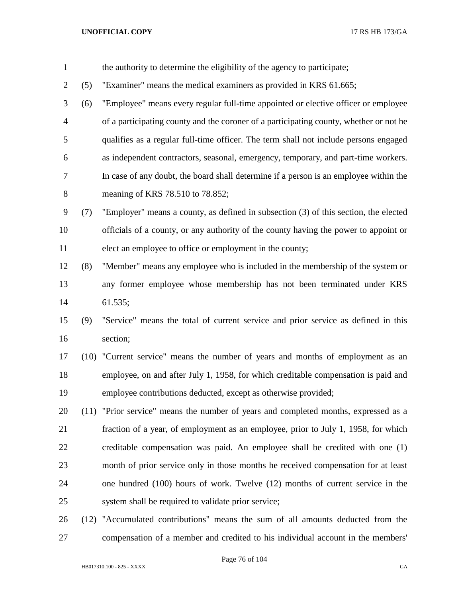- the authority to determine the eligibility of the agency to participate; (5) "Examiner" means the medical examiners as provided in KRS 61.665; (6) "Employee" means every regular full-time appointed or elective officer or employee of a participating county and the coroner of a participating county, whether or not he qualifies as a regular full-time officer. The term shall not include persons engaged as independent contractors, seasonal, emergency, temporary, and part-time workers. In case of any doubt, the board shall determine if a person is an employee within the meaning of KRS 78.510 to 78.852; (7) "Employer" means a county, as defined in subsection (3) of this section, the elected officials of a county, or any authority of the county having the power to appoint or elect an employee to office or employment in the county; (8) "Member" means any employee who is included in the membership of the system or any former employee whose membership has not been terminated under KRS 61.535; (9) "Service" means the total of current service and prior service as defined in this section; (10) "Current service" means the number of years and months of employment as an employee, on and after July 1, 1958, for which creditable compensation is paid and employee contributions deducted, except as otherwise provided; (11) "Prior service" means the number of years and completed months, expressed as a
- fraction of a year, of employment as an employee, prior to July 1, 1958, for which creditable compensation was paid. An employee shall be credited with one (1) month of prior service only in those months he received compensation for at least one hundred (100) hours of work. Twelve (12) months of current service in the system shall be required to validate prior service;
- (12) "Accumulated contributions" means the sum of all amounts deducted from the compensation of a member and credited to his individual account in the members'

Page 76 of 104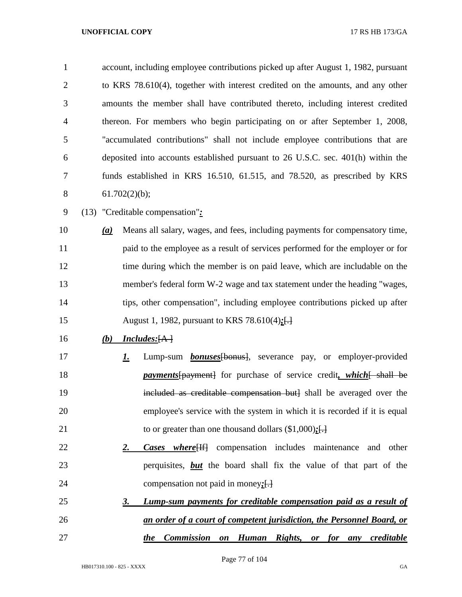| $\mathbf{1}$   |     |               | account, including employee contributions picked up after August 1, 1982, pursuant |
|----------------|-----|---------------|------------------------------------------------------------------------------------|
| $\overline{2}$ |     |               | to KRS 78.610(4), together with interest credited on the amounts, and any other    |
| 3              |     |               | amounts the member shall have contributed thereto, including interest credited     |
| $\overline{4}$ |     |               | thereon. For members who begin participating on or after September 1, 2008,        |
| 5              |     |               | "accumulated contributions" shall not include employee contributions that are      |
| 6              |     |               | deposited into accounts established pursuant to 26 U.S.C. sec. 401(h) within the   |
| 7              |     |               | funds established in KRS 16.510, 61.515, and 78.520, as prescribed by KRS          |
| 8              |     | 61.702(2)(b); |                                                                                    |
| 9              |     |               | (13) "Creditable compensation":                                                    |
| 10             | (a) |               | Means all salary, wages, and fees, including payments for compensatory time,       |
| 11             |     |               | paid to the employee as a result of services performed for the employer or for     |
| 12             |     |               | time during which the member is on paid leave, which are includable on the         |
| 13             |     |               | member's federal form W-2 wage and tax statement under the heading "wages,         |
| 14             |     |               | tips, other compensation", including employee contributions picked up after        |
| 15             |     |               | August 1, 1982, pursuant to KRS 78.610(4);[-                                       |
| 16             | (b) |               | <i>Includes:</i> [A]                                                               |
| 17             |     | <u>l.</u>     | Lump-sum <b>bonuses</b> [bonus], severance pay, or employer-provided               |
| 18             |     |               | <i>payments</i> [payment] for purchase of service credit, which [ shall be         |
| 19             |     |               | included as creditable compensation but] shall be averaged over the                |
| 20             |     |               | employee's service with the system in which it is recorded if it is equal          |
| 21             |     |               | to or greater than one thousand dollars $(\$1,000)$ :[.]                           |
| 22             |     | <u>2.</u>     | <b>Cases where</b> <sup>[14]</sup> compensation includes maintenance<br>and other  |
| 23             |     |               | perquisites, <b>but</b> the board shall fix the value of that part of the          |
| 24             |     |               | compensation not paid in money: $\left\{\frac{1}{2}\right\}$                       |
| 25             |     | <u>3.</u>     | Lump-sum payments for creditable compensation paid as a result of                  |
| 26             |     |               | an order of a court of competent jurisdiction, the Personnel Board, or             |
| 27             |     |               | <b>Commission</b><br>on Human Rights, or for any creditable<br><i>the</i>          |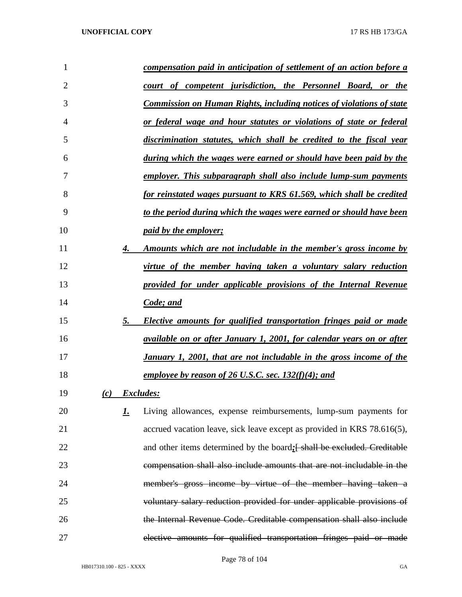| 1  |           | <u>compensation paid in anticipation of settlement of an action before a</u> |
|----|-----------|------------------------------------------------------------------------------|
| 2  |           | court of competent jurisdiction, the Personnel Board, or the                 |
| 3  |           | <b>Commission on Human Rights, including notices of violations of state</b>  |
| 4  |           | <u>or federal wage and hour statutes or violations of state or federal</u>   |
| 5  |           | discrimination statutes, which shall be credited to the fiscal year          |
| 6  |           | <u>during which the wages were earned or should have been paid by the</u>    |
| 7  |           | employer. This subparagraph shall also include lump-sum payments             |
| 8  |           | for reinstated wages pursuant to KRS 61.569, which shall be credited         |
| 9  |           | to the period during which the wages were earned or should have been         |
| 10 |           | <i>paid by the employer;</i>                                                 |
| 11 | 4.        | Amounts which are not includable in the member's gross income by             |
| 12 |           | virtue of the member having taken a voluntary salary reduction               |
| 13 |           | provided for under applicable provisions of the Internal Revenue             |
| 14 |           | Code; and                                                                    |
| 15 | 5.        | <b>Elective amounts for qualified transportation fringes paid or made</b>    |
| 16 |           | available on or after January 1, 2001, for calendar years on or after        |
| 17 |           | January 1, 2001, that are not includable in the gross income of the          |
| 18 |           | employee by reason of 26 U.S.C. sec. $132(f)(4)$ ; and                       |
| 19 | (c)       | <i>Excludes:</i>                                                             |
| 20 | <u>1.</u> | Living allowances, expense reimbursements, lump-sum payments for             |
| 21 |           | accrued vacation leave, sick leave except as provided in KRS 78.616(5),      |
| 22 |           | and other items determined by the board: [ shall be excluded. Creditable     |
| 23 |           | compensation shall also include amounts that are not includable in the       |
| 24 |           | member's gross income by virtue of the member having taken a                 |
| 25 |           | voluntary salary reduction provided for under applicable provisions of       |
| 26 |           | the Internal Revenue Code. Creditable compensation shall also include        |
| 27 |           | elective amounts for qualified transportation fringes paid or made           |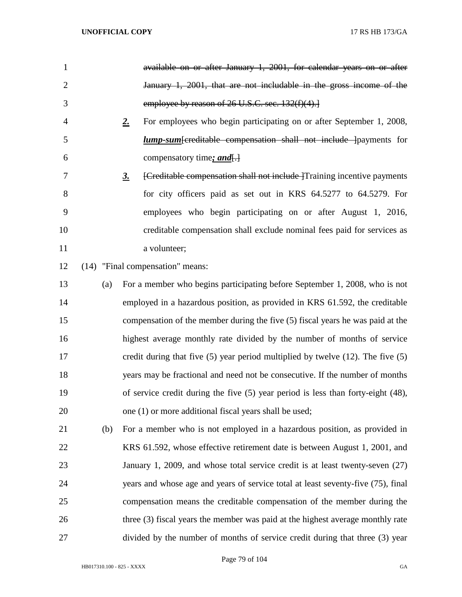| $\mathbf{1}$   |     | available on or after January 1, 2001, for calendar years on or after                         |
|----------------|-----|-----------------------------------------------------------------------------------------------|
| $\overline{2}$ |     | January 1, 2001, that are not includable in the gross income of the                           |
| 3              |     | employee by reason of 26 U.S.C. sec. 132(f)(4).                                               |
| 4              |     | For employees who begin participating on or after September 1, 2008,<br>$2_{\cdot}$           |
| 5              |     | <i>lump-sum</i> [creditable compensation shall not include ] payments for                     |
| 6              |     | compensatory time; and.                                                                       |
| 7              |     | [Creditable compensation shall not include   Training incentive payments<br>$\underline{3}$ . |
| 8              |     | for city officers paid as set out in KRS 64.5277 to 64.5279. For                              |
| 9              |     | employees who begin participating on or after August 1, 2016,                                 |
| 10             |     | creditable compensation shall exclude nominal fees paid for services as                       |
| 11             |     | a volunteer;                                                                                  |
| 12             |     | (14) "Final compensation" means:                                                              |
| 13             | (a) | For a member who begins participating before September 1, 2008, who is not                    |
| 14             |     | employed in a hazardous position, as provided in KRS 61.592, the creditable                   |
| 15             |     | compensation of the member during the five (5) fiscal years he was paid at the                |
| 16             |     | highest average monthly rate divided by the number of months of service                       |
| 17             |     | credit during that five $(5)$ year period multiplied by twelve $(12)$ . The five $(5)$        |
| 18             |     | years may be fractional and need not be consecutive. If the number of months                  |
| 19             |     | of service credit during the five $(5)$ year period is less than forty-eight $(48)$ ,         |
| 20             |     | one (1) or more additional fiscal years shall be used;                                        |
| 21             | (b) | For a member who is not employed in a hazardous position, as provided in                      |
| 22             |     | KRS 61.592, whose effective retirement date is between August 1, 2001, and                    |
| 23             |     | January 1, 2009, and whose total service credit is at least twenty-seven (27)                 |
| 24             |     | years and whose age and years of service total at least seventy-five (75), final              |
| 25             |     | compensation means the creditable compensation of the member during the                       |
| 26             |     | three (3) fiscal years the member was paid at the highest average monthly rate                |
| 27             |     | divided by the number of months of service credit during that three (3) year                  |

Page 79 of 104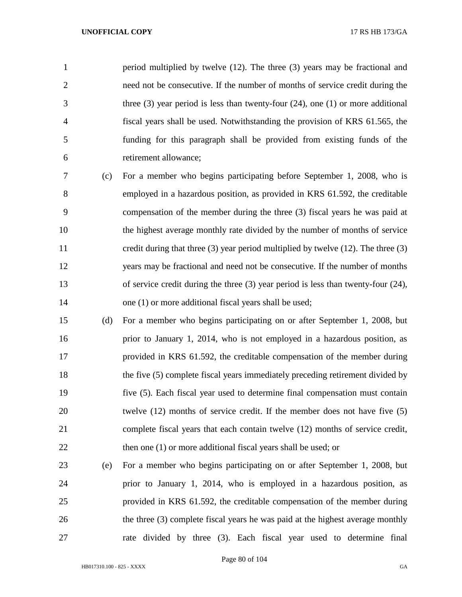period multiplied by twelve (12). The three (3) years may be fractional and need not be consecutive. If the number of months of service credit during the three (3) year period is less than twenty-four (24), one (1) or more additional fiscal years shall be used. Notwithstanding the provision of KRS 61.565, the funding for this paragraph shall be provided from existing funds of the retirement allowance;

- (c) For a member who begins participating before September 1, 2008, who is employed in a hazardous position, as provided in KRS 61.592, the creditable compensation of the member during the three (3) fiscal years he was paid at the highest average monthly rate divided by the number of months of service credit during that three (3) year period multiplied by twelve (12). The three (3) years may be fractional and need not be consecutive. If the number of months of service credit during the three (3) year period is less than twenty-four (24), 14 one (1) or more additional fiscal years shall be used;
- (d) For a member who begins participating on or after September 1, 2008, but prior to January 1, 2014, who is not employed in a hazardous position, as provided in KRS 61.592, the creditable compensation of the member during the five (5) complete fiscal years immediately preceding retirement divided by five (5). Each fiscal year used to determine final compensation must contain twelve (12) months of service credit. If the member does not have five (5) complete fiscal years that each contain twelve (12) months of service credit, 22 then one (1) or more additional fiscal years shall be used; or
- (e) For a member who begins participating on or after September 1, 2008, but prior to January 1, 2014, who is employed in a hazardous position, as provided in KRS 61.592, the creditable compensation of the member during the three (3) complete fiscal years he was paid at the highest average monthly rate divided by three (3). Each fiscal year used to determine final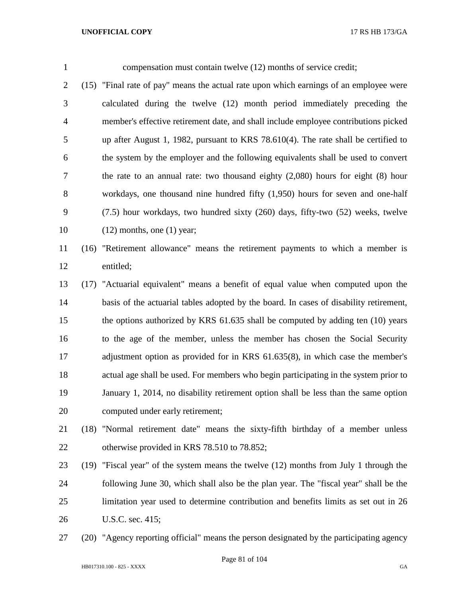compensation must contain twelve (12) months of service credit;

- (15) "Final rate of pay" means the actual rate upon which earnings of an employee were calculated during the twelve (12) month period immediately preceding the member's effective retirement date, and shall include employee contributions picked up after August 1, 1982, pursuant to KRS 78.610(4). The rate shall be certified to the system by the employer and the following equivalents shall be used to convert the rate to an annual rate: two thousand eighty (2,080) hours for eight (8) hour workdays, one thousand nine hundred fifty (1,950) hours for seven and one-half (7.5) hour workdays, two hundred sixty (260) days, fifty-two (52) weeks, twelve (12) months, one (1) year;
- (16) "Retirement allowance" means the retirement payments to which a member is entitled;
- (17) "Actuarial equivalent" means a benefit of equal value when computed upon the basis of the actuarial tables adopted by the board. In cases of disability retirement, the options authorized by KRS 61.635 shall be computed by adding ten (10) years to the age of the member, unless the member has chosen the Social Security adjustment option as provided for in KRS 61.635(8), in which case the member's actual age shall be used. For members who begin participating in the system prior to January 1, 2014, no disability retirement option shall be less than the same option computed under early retirement;
- (18) "Normal retirement date" means the sixty-fifth birthday of a member unless otherwise provided in KRS 78.510 to 78.852;
- (19) "Fiscal year" of the system means the twelve (12) months from July 1 through the following June 30, which shall also be the plan year. The "fiscal year" shall be the limitation year used to determine contribution and benefits limits as set out in 26 U.S.C. sec. 415;
- (20) "Agency reporting official" means the person designated by the participating agency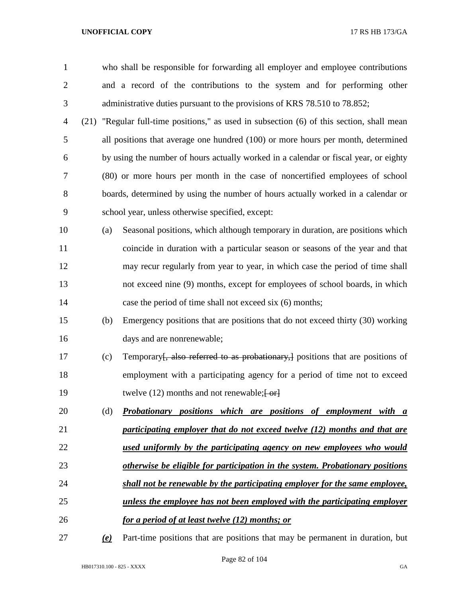| 1              |                           | who shall be responsible for forwarding all employer and employee contributions           |  |  |  |
|----------------|---------------------------|-------------------------------------------------------------------------------------------|--|--|--|
| $\overline{2}$ |                           | and a record of the contributions to the system and for performing other                  |  |  |  |
| 3              |                           | administrative duties pursuant to the provisions of KRS 78.510 to 78.852;                 |  |  |  |
| 4              |                           | (21) "Regular full-time positions," as used in subsection (6) of this section, shall mean |  |  |  |
| 5              |                           | all positions that average one hundred (100) or more hours per month, determined          |  |  |  |
| 6              |                           | by using the number of hours actually worked in a calendar or fiscal year, or eighty      |  |  |  |
| 7              |                           | (80) or more hours per month in the case of noncertified employees of school              |  |  |  |
| 8              |                           | boards, determined by using the number of hours actually worked in a calendar or          |  |  |  |
| 9              |                           | school year, unless otherwise specified, except:                                          |  |  |  |
| 10             | (a)                       | Seasonal positions, which although temporary in duration, are positions which             |  |  |  |
| 11             |                           | coincide in duration with a particular season or seasons of the year and that             |  |  |  |
| 12             |                           | may recur regularly from year to year, in which case the period of time shall             |  |  |  |
| 13             |                           | not exceed nine (9) months, except for employees of school boards, in which               |  |  |  |
| 14             |                           | case the period of time shall not exceed six (6) months;                                  |  |  |  |
| 15             | (b)                       | Emergency positions that are positions that do not exceed thirty (30) working             |  |  |  |
| 16             |                           | days and are nonrenewable;                                                                |  |  |  |
| 17             | (c)                       | Temporary, also referred to as probationary, positions that are positions of              |  |  |  |
| 18             |                           | employment with a participating agency for a period of time not to exceed                 |  |  |  |
| 19             |                           | twelve $(12)$ months and not renewable; $\frac{1}{2}$                                     |  |  |  |
| 20             | (d)                       | Probationary positions which are positions of employment with a                           |  |  |  |
| 21             |                           | participating employer that do not exceed twelve (12) months and that are                 |  |  |  |
| 22             |                           | used uniformly by the participating agency on new employees who would                     |  |  |  |
| 23             |                           | otherwise be eligible for participation in the system. Probationary positions             |  |  |  |
| 24             |                           | shall not be renewable by the participating employer for the same employee,               |  |  |  |
| 25             |                           | unless the employee has not been employed with the participating employer                 |  |  |  |
| 26             |                           | <u>for a period of at least twelve (12) months; or</u>                                    |  |  |  |
| 27             | $\left(\mathbf{e}\right)$ | Part-time positions that are positions that may be permanent in duration, but             |  |  |  |

Page 82 of 104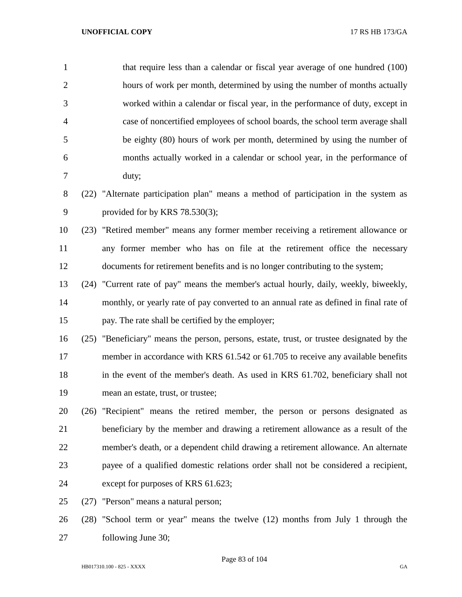| $\mathbf{1}$   | that require less than a calendar or fiscal year average of one hundred (100)             |
|----------------|-------------------------------------------------------------------------------------------|
| $\overline{2}$ | hours of work per month, determined by using the number of months actually                |
| 3              | worked within a calendar or fiscal year, in the performance of duty, except in            |
| $\overline{4}$ | case of noncertified employees of school boards, the school term average shall            |
| 5              | be eighty (80) hours of work per month, determined by using the number of                 |
| 6              | months actually worked in a calendar or school year, in the performance of                |
| 7              | duty;                                                                                     |
| 8              | (22) "Alternate participation plan" means a method of participation in the system as      |
| 9              | provided for by KRS 78.530(3);                                                            |
| 10             | (23) "Retired member" means any former member receiving a retirement allowance or         |
| 11             | any former member who has on file at the retirement office the necessary                  |
| 12             | documents for retirement benefits and is no longer contributing to the system;            |
| 13             | (24) "Current rate of pay" means the member's actual hourly, daily, weekly, biweekly,     |
| 14             | monthly, or yearly rate of pay converted to an annual rate as defined in final rate of    |
| 15             | pay. The rate shall be certified by the employer;                                         |
| 16             | (25) "Beneficiary" means the person, persons, estate, trust, or trustee designated by the |
| 17             | member in accordance with KRS 61.542 or 61.705 to receive any available benefits          |
| 18             | in the event of the member's death. As used in KRS 61.702, beneficiary shall not          |
| 19             | mean an estate, trust, or trustee;                                                        |
| 20             | (26) "Recipient" means the retired member, the person or persons designated as            |
| 21             | beneficiary by the member and drawing a retirement allowance as a result of the           |
| 22             | member's death, or a dependent child drawing a retirement allowance. An alternate         |
| 23             | payee of a qualified domestic relations order shall not be considered a recipient,        |
| 24             | except for purposes of KRS 61.623;                                                        |
| 25             | (27) "Person" means a natural person;                                                     |
| 26             | (28) "School term or year" means the twelve (12) months from July 1 through the           |
| 27             | following June 30;                                                                        |

Page 83 of 104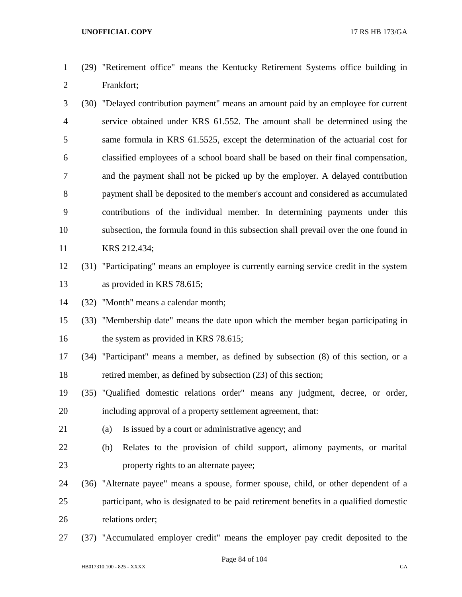- (29) "Retirement office" means the Kentucky Retirement Systems office building in Frankfort;
- (30) "Delayed contribution payment" means an amount paid by an employee for current service obtained under KRS 61.552. The amount shall be determined using the same formula in KRS 61.5525, except the determination of the actuarial cost for classified employees of a school board shall be based on their final compensation, and the payment shall not be picked up by the employer. A delayed contribution payment shall be deposited to the member's account and considered as accumulated contributions of the individual member. In determining payments under this subsection, the formula found in this subsection shall prevail over the one found in KRS 212.434;
- (31) "Participating" means an employee is currently earning service credit in the system as provided in KRS 78.615;

(32) "Month" means a calendar month;

 (33) "Membership date" means the date upon which the member began participating in 16 the system as provided in KRS 78.615;

 (34) "Participant" means a member, as defined by subsection (8) of this section, or a retired member, as defined by subsection (23) of this section;

- (35) "Qualified domestic relations order" means any judgment, decree, or order, including approval of a property settlement agreement, that:
- (a) Is issued by a court or administrative agency; and
- (b) Relates to the provision of child support, alimony payments, or marital property rights to an alternate payee;
- (36) "Alternate payee" means a spouse, former spouse, child, or other dependent of a participant, who is designated to be paid retirement benefits in a qualified domestic relations order;
- (37) "Accumulated employer credit" means the employer pay credit deposited to the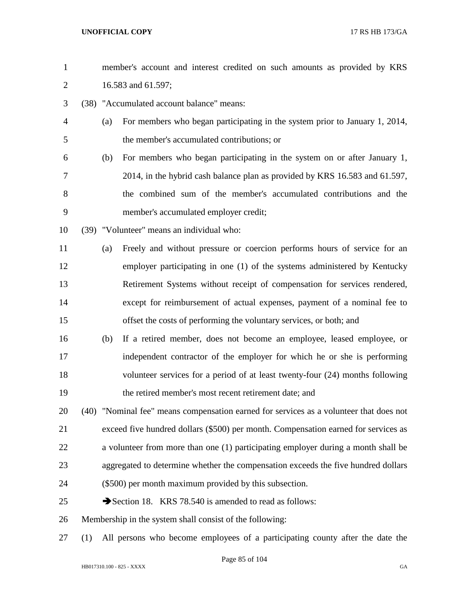| $\mathbf{1}$   |     |     | member's account and interest credited on such amounts as provided by KRS              |  |  |
|----------------|-----|-----|----------------------------------------------------------------------------------------|--|--|
| $\mathbf{2}$   |     |     | 16.583 and 61.597;                                                                     |  |  |
| 3              |     |     | (38) "Accumulated account balance" means:                                              |  |  |
| $\overline{4}$ |     | (a) | For members who began participating in the system prior to January 1, 2014,            |  |  |
| 5              |     |     | the member's accumulated contributions; or                                             |  |  |
| 6              |     | (b) | For members who began participating in the system on or after January 1,               |  |  |
| 7              |     |     | 2014, in the hybrid cash balance plan as provided by KRS 16.583 and 61.597,            |  |  |
| $8\,$          |     |     | the combined sum of the member's accumulated contributions and the                     |  |  |
| 9              |     |     | member's accumulated employer credit;                                                  |  |  |
| 10             |     |     | (39) "Volunteer" means an individual who:                                              |  |  |
| 11             |     | (a) | Freely and without pressure or coercion performs hours of service for an               |  |  |
| 12             |     |     | employer participating in one (1) of the systems administered by Kentucky              |  |  |
| 13             |     |     | Retirement Systems without receipt of compensation for services rendered,              |  |  |
| 14             |     |     | except for reimbursement of actual expenses, payment of a nominal fee to               |  |  |
| 15             |     |     | offset the costs of performing the voluntary services, or both; and                    |  |  |
| 16             |     | (b) | If a retired member, does not become an employee, leased employee, or                  |  |  |
| 17             |     |     | independent contractor of the employer for which he or she is performing               |  |  |
| 18             |     |     | volunteer services for a period of at least twenty-four (24) months following          |  |  |
| 19             |     |     | the retired member's most recent retirement date; and                                  |  |  |
| 20             |     |     | (40) "Nominal fee" means compensation earned for services as a volunteer that does not |  |  |
| 21             |     |     | exceed five hundred dollars (\$500) per month. Compensation earned for services as     |  |  |
| 22             |     |     | a volunteer from more than one (1) participating employer during a month shall be      |  |  |
| 23             |     |     | aggregated to determine whether the compensation exceeds the five hundred dollars      |  |  |
| 24             |     |     | (\$500) per month maximum provided by this subsection.                                 |  |  |
| 25             |     |     | Section 18. KRS 78.540 is amended to read as follows:                                  |  |  |
| 26             |     |     | Membership in the system shall consist of the following:                               |  |  |
| 27             | (1) |     | All persons who become employees of a participating county after the date the          |  |  |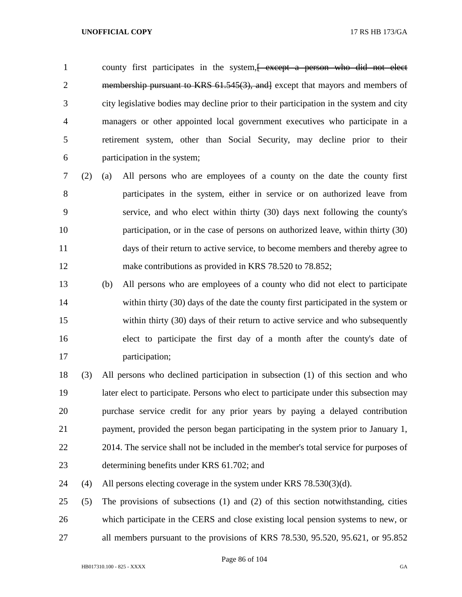1 county first participates in the system, we except a person who did not elect 2 membership pursuant to KRS 61.545(3), and except that mayors and members of city legislative bodies may decline prior to their participation in the system and city managers or other appointed local government executives who participate in a retirement system, other than Social Security, may decline prior to their participation in the system;

- (2) (a) All persons who are employees of a county on the date the county first participates in the system, either in service or on authorized leave from service, and who elect within thirty (30) days next following the county's participation, or in the case of persons on authorized leave, within thirty (30) days of their return to active service, to become members and thereby agree to 12 make contributions as provided in KRS 78.520 to 78.852;
- (b) All persons who are employees of a county who did not elect to participate 14 within thirty (30) days of the date the county first participated in the system or within thirty (30) days of their return to active service and who subsequently elect to participate the first day of a month after the county's date of participation;
- (3) All persons who declined participation in subsection (1) of this section and who later elect to participate. Persons who elect to participate under this subsection may purchase service credit for any prior years by paying a delayed contribution payment, provided the person began participating in the system prior to January 1, 22 2014. The service shall not be included in the member's total service for purposes of determining benefits under KRS 61.702; and

(4) All persons electing coverage in the system under KRS 78.530(3)(d).

 (5) The provisions of subsections (1) and (2) of this section notwithstanding, cities which participate in the CERS and close existing local pension systems to new, or all members pursuant to the provisions of KRS 78.530, 95.520, 95.621, or 95.852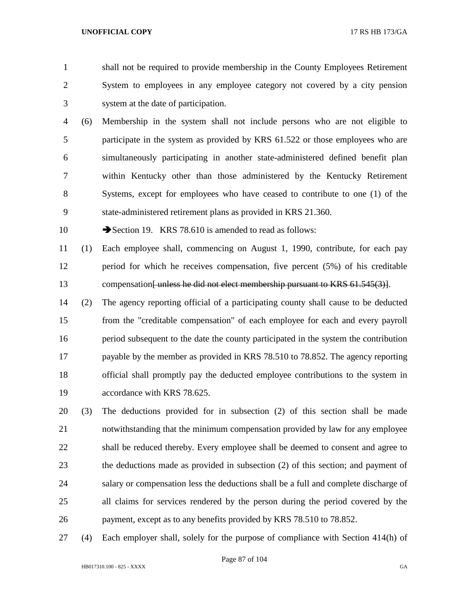shall not be required to provide membership in the County Employees Retirement System to employees in any employee category not covered by a city pension system at the date of participation.

 (6) Membership in the system shall not include persons who are not eligible to participate in the system as provided by KRS 61.522 or those employees who are simultaneously participating in another state-administered defined benefit plan within Kentucky other than those administered by the Kentucky Retirement Systems, except for employees who have ceased to contribute to one (1) of the state-administered retirement plans as provided in KRS 21.360.

10 Section 19. KRS 78.610 is amended to read as follows:

- (1) Each employee shall, commencing on August 1, 1990, contribute, for each pay period for which he receives compensation, five percent (5%) of his creditable 13 compensation<del>[unless he did not elect membership pursuant to KRS 61.545(3)]</del>.
- (2) The agency reporting official of a participating county shall cause to be deducted from the "creditable compensation" of each employee for each and every payroll period subsequent to the date the county participated in the system the contribution payable by the member as provided in KRS 78.510 to 78.852. The agency reporting official shall promptly pay the deducted employee contributions to the system in accordance with KRS 78.625.
- (3) The deductions provided for in subsection (2) of this section shall be made notwithstanding that the minimum compensation provided by law for any employee shall be reduced thereby. Every employee shall be deemed to consent and agree to the deductions made as provided in subsection (2) of this section; and payment of salary or compensation less the deductions shall be a full and complete discharge of all claims for services rendered by the person during the period covered by the payment, except as to any benefits provided by KRS 78.510 to 78.852.
- (4) Each employer shall, solely for the purpose of compliance with Section 414(h) of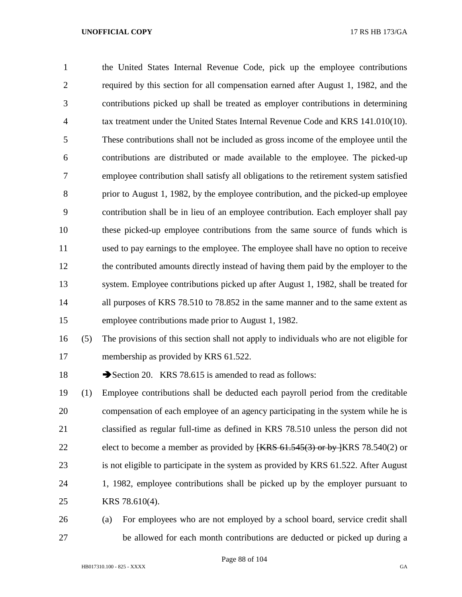the United States Internal Revenue Code, pick up the employee contributions required by this section for all compensation earned after August 1, 1982, and the contributions picked up shall be treated as employer contributions in determining tax treatment under the United States Internal Revenue Code and KRS 141.010(10). These contributions shall not be included as gross income of the employee until the contributions are distributed or made available to the employee. The picked-up employee contribution shall satisfy all obligations to the retirement system satisfied prior to August 1, 1982, by the employee contribution, and the picked-up employee contribution shall be in lieu of an employee contribution. Each employer shall pay these picked-up employee contributions from the same source of funds which is used to pay earnings to the employee. The employee shall have no option to receive the contributed amounts directly instead of having them paid by the employer to the system. Employee contributions picked up after August 1, 1982, shall be treated for 14 all purposes of KRS 78.510 to 78.852 in the same manner and to the same extent as employee contributions made prior to August 1, 1982. (5) The provisions of this section shall not apply to individuals who are not eligible for

- membership as provided by KRS 61.522.
- 18 Section 20. KRS 78.615 is amended to read as follows:
- (1) Employee contributions shall be deducted each payroll period from the creditable compensation of each employee of an agency participating in the system while he is classified as regular full-time as defined in KRS 78.510 unless the person did not 22 elect to become a member as provided by  $\{\text{KRS } 61.545(3) \text{ or by } \{\text{KRS } 78.540(2) \text{ or } \text{Cov } 20\}$  is not eligible to participate in the system as provided by KRS 61.522. After August 1, 1982, employee contributions shall be picked up by the employer pursuant to KRS 78.610(4).
- (a) For employees who are not employed by a school board, service credit shall be allowed for each month contributions are deducted or picked up during a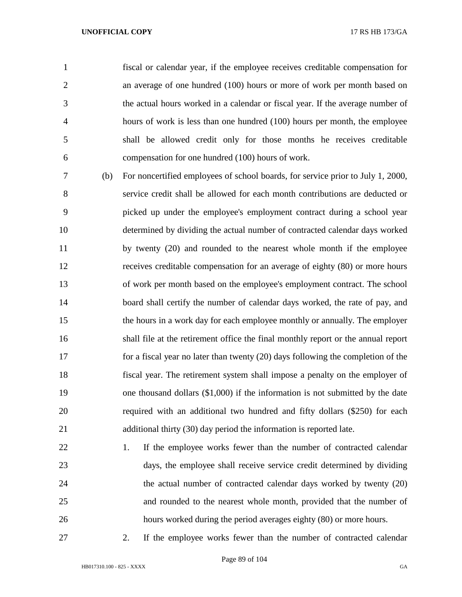fiscal or calendar year, if the employee receives creditable compensation for an average of one hundred (100) hours or more of work per month based on the actual hours worked in a calendar or fiscal year. If the average number of hours of work is less than one hundred (100) hours per month, the employee shall be allowed credit only for those months he receives creditable compensation for one hundred (100) hours of work.

 (b) For noncertified employees of school boards, for service prior to July 1, 2000, service credit shall be allowed for each month contributions are deducted or picked up under the employee's employment contract during a school year determined by dividing the actual number of contracted calendar days worked 11 by twenty (20) and rounded to the nearest whole month if the employee receives creditable compensation for an average of eighty (80) or more hours of work per month based on the employee's employment contract. The school board shall certify the number of calendar days worked, the rate of pay, and the hours in a work day for each employee monthly or annually. The employer shall file at the retirement office the final monthly report or the annual report for a fiscal year no later than twenty (20) days following the completion of the fiscal year. The retirement system shall impose a penalty on the employer of one thousand dollars (\$1,000) if the information is not submitted by the date required with an additional two hundred and fifty dollars (\$250) for each additional thirty (30) day period the information is reported late.

22 1. If the employee works fewer than the number of contracted calendar days, the employee shall receive service credit determined by dividing 24 the actual number of contracted calendar days worked by twenty (20) and rounded to the nearest whole month, provided that the number of hours worked during the period averages eighty (80) or more hours.

2. If the employee works fewer than the number of contracted calendar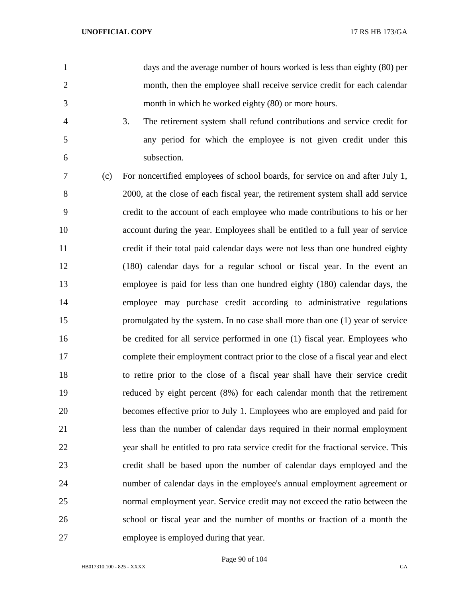days and the average number of hours worked is less than eighty (80) per month, then the employee shall receive service credit for each calendar month in which he worked eighty (80) or more hours.

 3. The retirement system shall refund contributions and service credit for any period for which the employee is not given credit under this subsection.

 (c) For noncertified employees of school boards, for service on and after July 1, 2000, at the close of each fiscal year, the retirement system shall add service credit to the account of each employee who made contributions to his or her account during the year. Employees shall be entitled to a full year of service credit if their total paid calendar days were not less than one hundred eighty (180) calendar days for a regular school or fiscal year. In the event an employee is paid for less than one hundred eighty (180) calendar days, the employee may purchase credit according to administrative regulations promulgated by the system. In no case shall more than one (1) year of service be credited for all service performed in one (1) fiscal year. Employees who complete their employment contract prior to the close of a fiscal year and elect to retire prior to the close of a fiscal year shall have their service credit reduced by eight percent (8%) for each calendar month that the retirement becomes effective prior to July 1. Employees who are employed and paid for less than the number of calendar days required in their normal employment year shall be entitled to pro rata service credit for the fractional service. This credit shall be based upon the number of calendar days employed and the 24 number of calendar days in the employee's annual employment agreement or normal employment year. Service credit may not exceed the ratio between the school or fiscal year and the number of months or fraction of a month the employee is employed during that year.

Page 90 of 104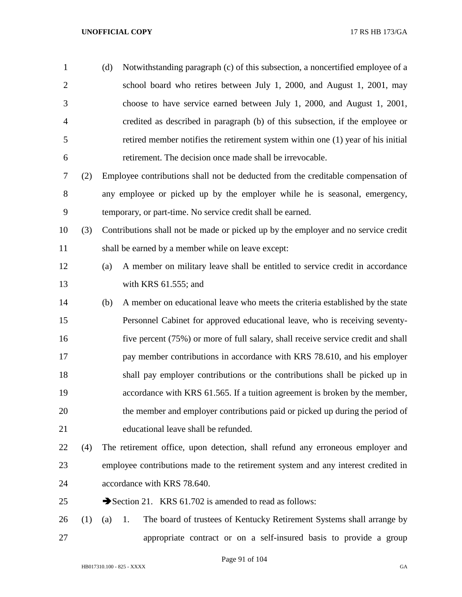| $\mathbf{1}$   |     | (d) | Notwithstanding paragraph (c) of this subsection, a noncertified employee of a     |
|----------------|-----|-----|------------------------------------------------------------------------------------|
| $\overline{2}$ |     |     | school board who retires between July 1, 2000, and August 1, 2001, may             |
| 3              |     |     | choose to have service earned between July 1, 2000, and August 1, 2001,            |
| $\overline{4}$ |     |     | credited as described in paragraph (b) of this subsection, if the employee or      |
| 5              |     |     | retired member notifies the retirement system within one (1) year of his initial   |
| 6              |     |     | retirement. The decision once made shall be irrevocable.                           |
| $\tau$         | (2) |     | Employee contributions shall not be deducted from the creditable compensation of   |
| $8\,$          |     |     | any employee or picked up by the employer while he is seasonal, emergency,         |
| 9              |     |     | temporary, or part-time. No service credit shall be earned.                        |
| 10             | (3) |     | Contributions shall not be made or picked up by the employer and no service credit |
| 11             |     |     | shall be earned by a member while on leave except:                                 |
| 12             |     | (a) | A member on military leave shall be entitled to service credit in accordance       |
| 13             |     |     | with KRS $61.555$ ; and                                                            |
| 14             |     | (b) | A member on educational leave who meets the criteria established by the state      |
| 15             |     |     | Personnel Cabinet for approved educational leave, who is receiving seventy-        |
| 16             |     |     | five percent (75%) or more of full salary, shall receive service credit and shall  |
| 17             |     |     | pay member contributions in accordance with KRS 78.610, and his employer           |
| 18             |     |     | shall pay employer contributions or the contributions shall be picked up in        |
| 19             |     |     | accordance with KRS 61.565. If a tuition agreement is broken by the member,        |
| 20             |     |     | the member and employer contributions paid or picked up during the period of       |
| 21             |     |     | educational leave shall be refunded.                                               |
| 22             | (4) |     | The retirement office, upon detection, shall refund any erroneous employer and     |
| 23             |     |     | employee contributions made to the retirement system and any interest credited in  |
| 24             |     |     | accordance with KRS 78.640.                                                        |
| 25             |     |     | Section 21. KRS 61.702 is amended to read as follows:                              |
| 26             | (1) | (a) | The board of trustees of Kentucky Retirement Systems shall arrange by<br>1.        |
| 27             |     |     | appropriate contract or on a self-insured basis to provide a group                 |

Page 91 of 104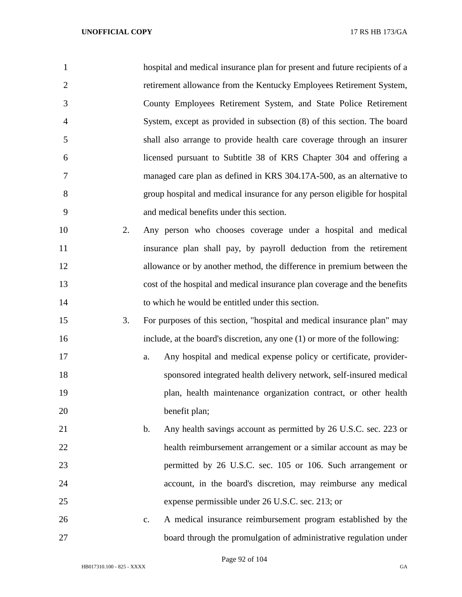| $\mathbf{1}$   |    | hospital and medical insurance plan for present and future recipients of a        |
|----------------|----|-----------------------------------------------------------------------------------|
| $\overline{2}$ |    | retirement allowance from the Kentucky Employees Retirement System,               |
| 3              |    | County Employees Retirement System, and State Police Retirement                   |
| $\overline{4}$ |    | System, except as provided in subsection (8) of this section. The board           |
| 5              |    | shall also arrange to provide health care coverage through an insurer             |
| 6              |    | licensed pursuant to Subtitle 38 of KRS Chapter 304 and offering a                |
| 7              |    | managed care plan as defined in KRS 304.17A-500, as an alternative to             |
| 8              |    | group hospital and medical insurance for any person eligible for hospital         |
| 9              |    | and medical benefits under this section.                                          |
| 10             | 2. | Any person who chooses coverage under a hospital and medical                      |
| 11             |    | insurance plan shall pay, by payroll deduction from the retirement                |
| 12             |    | allowance or by another method, the difference in premium between the             |
| 13             |    | cost of the hospital and medical insurance plan coverage and the benefits         |
| 14             |    | to which he would be entitled under this section.                                 |
| 15             | 3. | For purposes of this section, "hospital and medical insurance plan" may           |
| 16             |    | include, at the board's discretion, any one (1) or more of the following:         |
| 17             |    | Any hospital and medical expense policy or certificate, provider-<br>a.           |
| 18             |    | sponsored integrated health delivery network, self-insured medical                |
| 19             |    | plan, health maintenance organization contract, or other health                   |
| 20             |    | benefit plan;                                                                     |
| 21             |    | Any health savings account as permitted by 26 U.S.C. sec. 223 or<br>$\mathbf b$ . |
| 22             |    | health reimbursement arrangement or a similar account as may be                   |
| 23             |    | permitted by 26 U.S.C. sec. 105 or 106. Such arrangement or                       |
| 24             |    | account, in the board's discretion, may reimburse any medical                     |
| 25             |    | expense permissible under 26 U.S.C. sec. 213; or                                  |
| 26             |    | A medical insurance reimbursement program established by the<br>$C_{\bullet}$     |
| 27             |    | board through the promulgation of administrative regulation under                 |

Page 92 of 104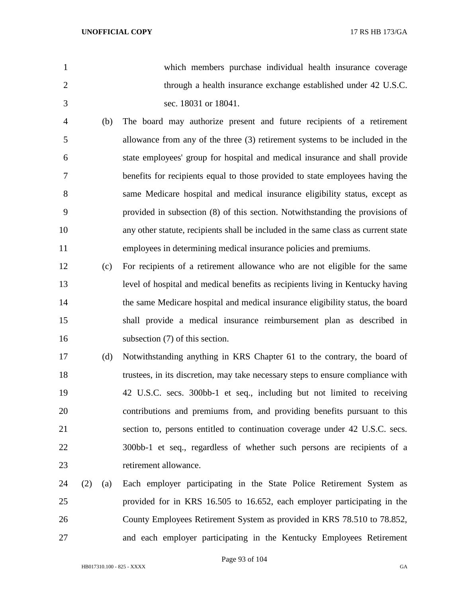which members purchase individual health insurance coverage 2 through a health insurance exchange established under 42 U.S.C. sec. 18031 or 18041. (b) The board may authorize present and future recipients of a retirement allowance from any of the three (3) retirement systems to be included in the state employees' group for hospital and medical insurance and shall provide benefits for recipients equal to those provided to state employees having the same Medicare hospital and medical insurance eligibility status, except as provided in subsection (8) of this section. Notwithstanding the provisions of any other statute, recipients shall be included in the same class as current state employees in determining medical insurance policies and premiums. (c) For recipients of a retirement allowance who are not eligible for the same level of hospital and medical benefits as recipients living in Kentucky having the same Medicare hospital and medical insurance eligibility status, the board shall provide a medical insurance reimbursement plan as described in 16 subsection (7) of this section. (d) Notwithstanding anything in KRS Chapter 61 to the contrary, the board of trustees, in its discretion, may take necessary steps to ensure compliance with 42 U.S.C. secs. 300bb-1 et seq., including but not limited to receiving contributions and premiums from, and providing benefits pursuant to this section to, persons entitled to continuation coverage under 42 U.S.C. secs. 300bb-1 et seq., regardless of whether such persons are recipients of a 23 retirement allowance. (2) (a) Each employer participating in the State Police Retirement System as provided for in KRS 16.505 to 16.652, each employer participating in the County Employees Retirement System as provided in KRS 78.510 to 78.852, and each employer participating in the Kentucky Employees Retirement

Page 93 of 104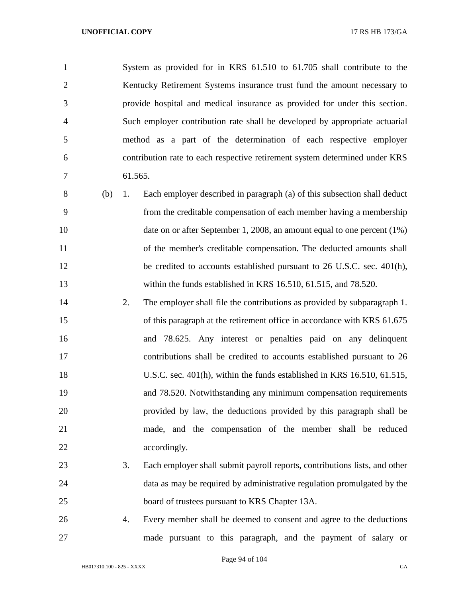System as provided for in KRS 61.510 to 61.705 shall contribute to the 2 Kentucky Retirement Systems insurance trust fund the amount necessary to provide hospital and medical insurance as provided for under this section. Such employer contribution rate shall be developed by appropriate actuarial method as a part of the determination of each respective employer contribution rate to each respective retirement system determined under KRS 61.565. (b) 1. Each employer described in paragraph (a) of this subsection shall deduct from the creditable compensation of each member having a membership 10 date on or after September 1, 2008, an amount equal to one percent (1%) 11 of the member's creditable compensation. The deducted amounts shall 12 be credited to accounts established pursuant to 26 U.S.C. sec. 401(h), within the funds established in KRS 16.510, 61.515, and 78.520. 2. The employer shall file the contributions as provided by subparagraph 1. of this paragraph at the retirement office in accordance with KRS 61.675 and 78.625. Any interest or penalties paid on any delinquent contributions shall be credited to accounts established pursuant to 26 U.S.C. sec. 401(h), within the funds established in KRS 16.510, 61.515, and 78.520. Notwithstanding any minimum compensation requirements provided by law, the deductions provided by this paragraph shall be made, and the compensation of the member shall be reduced 22 accordingly. 3. Each employer shall submit payroll reports, contributions lists, and other data as may be required by administrative regulation promulgated by the board of trustees pursuant to KRS Chapter 13A. 4. Every member shall be deemed to consent and agree to the deductions made pursuant to this paragraph, and the payment of salary or

Page 94 of 104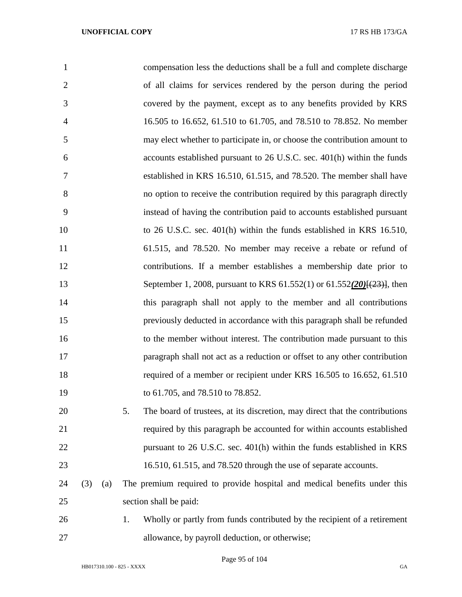| 1              |     |     | compensation less the deductions shall be a full and complete discharge             |
|----------------|-----|-----|-------------------------------------------------------------------------------------|
| $\overline{2}$ |     |     | of all claims for services rendered by the person during the period                 |
| 3              |     |     | covered by the payment, except as to any benefits provided by KRS                   |
| $\overline{4}$ |     |     | 16.505 to 16.652, 61.510 to 61.705, and 78.510 to 78.852. No member                 |
| 5              |     |     | may elect whether to participate in, or choose the contribution amount to           |
| 6              |     |     | accounts established pursuant to 26 U.S.C. sec. 401(h) within the funds             |
| 7              |     |     | established in KRS 16.510, 61.515, and 78.520. The member shall have                |
| 8              |     |     | no option to receive the contribution required by this paragraph directly           |
| 9              |     |     | instead of having the contribution paid to accounts established pursuant            |
| 10             |     |     | to 26 U.S.C. sec. 401(h) within the funds established in KRS 16.510,                |
| 11             |     |     | 61.515, and 78.520. No member may receive a rebate or refund of                     |
| 12             |     |     | contributions. If a member establishes a membership date prior to                   |
| 13             |     |     | September 1, 2008, pursuant to KRS 61.552(1) or 61.552(20) $\frac{29}{(23)}$ , then |
| 14             |     |     | this paragraph shall not apply to the member and all contributions                  |
| 15             |     |     | previously deducted in accordance with this paragraph shall be refunded             |
| 16             |     |     | to the member without interest. The contribution made pursuant to this              |
| 17             |     |     | paragraph shall not act as a reduction or offset to any other contribution          |
| 18             |     |     | required of a member or recipient under KRS 16.505 to 16.652, 61.510                |
| 19             |     |     | to 61.705, and 78.510 to 78.852.                                                    |
| 20             |     |     | 5.<br>The board of trustees, at its discretion, may direct that the contributions   |
| 21             |     |     | required by this paragraph be accounted for within accounts established             |
| 22             |     |     | pursuant to 26 U.S.C. sec. 401(h) within the funds established in KRS               |
| 23             |     |     | 16.510, 61.515, and 78.520 through the use of separate accounts.                    |
| 24             | (3) | (a) | The premium required to provide hospital and medical benefits under this            |
| 25             |     |     | section shall be paid:                                                              |
| 26             |     |     | Wholly or partly from funds contributed by the recipient of a retirement<br>1.      |
| 27             |     |     | allowance, by payroll deduction, or otherwise;                                      |

Page 95 of 104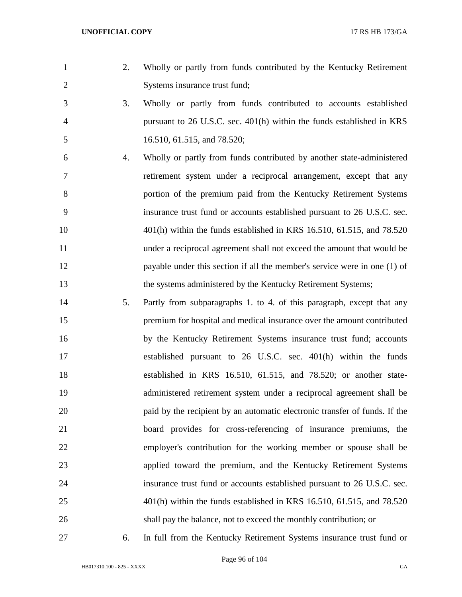- 
- 2. Wholly or partly from funds contributed by the Kentucky Retirement Systems insurance trust fund;
- 3. Wholly or partly from funds contributed to accounts established pursuant to 26 U.S.C. sec. 401(h) within the funds established in KRS 16.510, 61.515, and 78.520;
- 4. Wholly or partly from funds contributed by another state-administered retirement system under a reciprocal arrangement, except that any portion of the premium paid from the Kentucky Retirement Systems insurance trust fund or accounts established pursuant to 26 U.S.C. sec. 401(h) within the funds established in KRS 16.510, 61.515, and 78.520 under a reciprocal agreement shall not exceed the amount that would be payable under this section if all the member's service were in one (1) of the systems administered by the Kentucky Retirement Systems;
- 5. Partly from subparagraphs 1. to 4. of this paragraph, except that any premium for hospital and medical insurance over the amount contributed by the Kentucky Retirement Systems insurance trust fund; accounts established pursuant to 26 U.S.C. sec. 401(h) within the funds established in KRS 16.510, 61.515, and 78.520; or another state- administered retirement system under a reciprocal agreement shall be paid by the recipient by an automatic electronic transfer of funds. If the board provides for cross-referencing of insurance premiums, the employer's contribution for the working member or spouse shall be applied toward the premium, and the Kentucky Retirement Systems insurance trust fund or accounts established pursuant to 26 U.S.C. sec. 401(h) within the funds established in KRS 16.510, 61.515, and 78.520 shall pay the balance, not to exceed the monthly contribution; or
- 

6. In full from the Kentucky Retirement Systems insurance trust fund or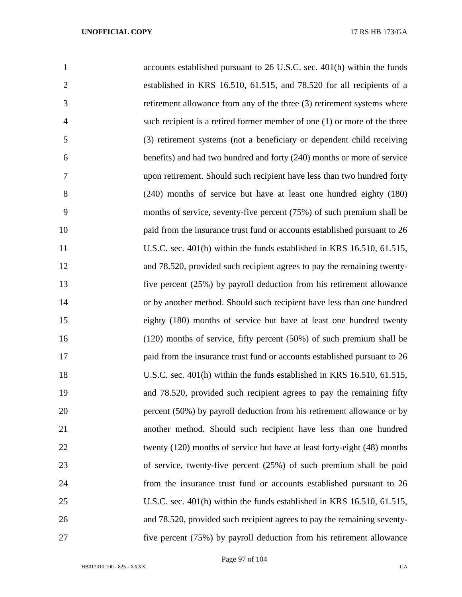| $\mathbf{1}$   | accounts established pursuant to 26 U.S.C. sec. 401(h) within the funds   |
|----------------|---------------------------------------------------------------------------|
| $\overline{2}$ | established in KRS 16.510, 61.515, and 78.520 for all recipients of a     |
| 3              | retirement allowance from any of the three (3) retirement systems where   |
| $\overline{4}$ | such recipient is a retired former member of one (1) or more of the three |
| 5              | (3) retirement systems (not a beneficiary or dependent child receiving    |
| 6              | benefits) and had two hundred and forty (240) months or more of service   |
| 7              | upon retirement. Should such recipient have less than two hundred forty   |
| 8              | (240) months of service but have at least one hundred eighty (180)        |
| 9              | months of service, seventy-five percent (75%) of such premium shall be    |
| 10             | paid from the insurance trust fund or accounts established pursuant to 26 |
| 11             | U.S.C. sec. 401(h) within the funds established in KRS 16.510, 61.515,    |
| 12             | and 78.520, provided such recipient agrees to pay the remaining twenty-   |
| 13             | five percent (25%) by payroll deduction from his retirement allowance     |
| 14             | or by another method. Should such recipient have less than one hundred    |
| 15             | eighty (180) months of service but have at least one hundred twenty       |
| 16             | $(120)$ months of service, fifty percent $(50%)$ of such premium shall be |
| 17             | paid from the insurance trust fund or accounts established pursuant to 26 |
| 18             | U.S.C. sec. 401(h) within the funds established in KRS 16.510, 61.515,    |
| 19             | and 78.520, provided such recipient agrees to pay the remaining fifty     |
| 20             | percent (50%) by payroll deduction from his retirement allowance or by    |
| 21             | another method. Should such recipient have less than one hundred          |
| 22             | twenty (120) months of service but have at least forty-eight (48) months  |
| 23             | of service, twenty-five percent $(25%)$ of such premium shall be paid     |
| 24             | from the insurance trust fund or accounts established pursuant to 26      |
| 25             | U.S.C. sec. 401(h) within the funds established in KRS 16.510, 61.515,    |
| 26             | and 78.520, provided such recipient agrees to pay the remaining seventy-  |
| 27             | five percent (75%) by payroll deduction from his retirement allowance     |

Page 97 of 104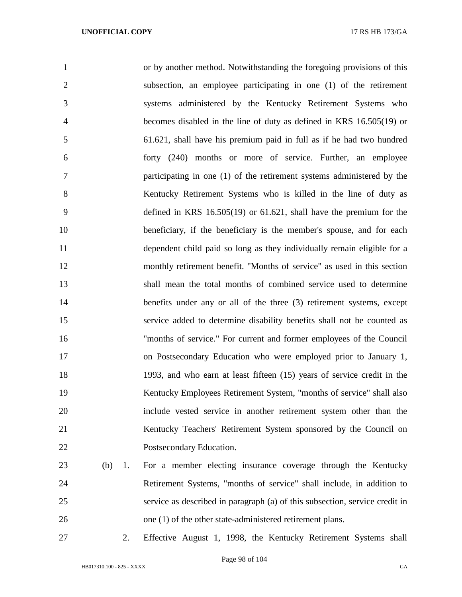| 1              |           | or by another method. Notwithstanding the foregoing provisions of this      |
|----------------|-----------|-----------------------------------------------------------------------------|
| $\overline{2}$ |           | subsection, an employee participating in one (1) of the retirement          |
| 3              |           | systems administered by the Kentucky Retirement Systems who                 |
| $\overline{4}$ |           | becomes disabled in the line of duty as defined in KRS 16.505(19) or        |
| 5              |           | 61.621, shall have his premium paid in full as if he had two hundred        |
| 6              |           | forty (240) months or more of service. Further, an employee                 |
| 7              |           | participating in one (1) of the retirement systems administered by the      |
| 8              |           | Kentucky Retirement Systems who is killed in the line of duty as            |
| 9              |           | defined in KRS $16.505(19)$ or $61.621$ , shall have the premium for the    |
| 10             |           | beneficiary, if the beneficiary is the member's spouse, and for each        |
| 11             |           | dependent child paid so long as they individually remain eligible for a     |
| 12             |           | monthly retirement benefit. "Months of service" as used in this section     |
| 13             |           | shall mean the total months of combined service used to determine           |
| 14             |           | benefits under any or all of the three (3) retirement systems, except       |
| 15             |           | service added to determine disability benefits shall not be counted as      |
| 16             |           | "months of service." For current and former employees of the Council        |
| 17             |           | on Postsecondary Education who were employed prior to January 1,            |
| 18             |           | 1993, and who earn at least fifteen (15) years of service credit in the     |
| 19             |           | Kentucky Employees Retirement System, "months of service" shall also        |
| 20             |           | include vested service in another retirement system other than the          |
| 21             |           | Kentucky Teachers' Retirement System sponsored by the Council on            |
| 22             |           | Postsecondary Education.                                                    |
| 23             | (b)<br>1. | For a member electing insurance coverage through the Kentucky               |
| 24             |           | Retirement Systems, "months of service" shall include, in addition to       |
| 25             |           | service as described in paragraph (a) of this subsection, service credit in |
| 26             |           | one (1) of the other state-administered retirement plans.                   |

2. Effective August 1, 1998, the Kentucky Retirement Systems shall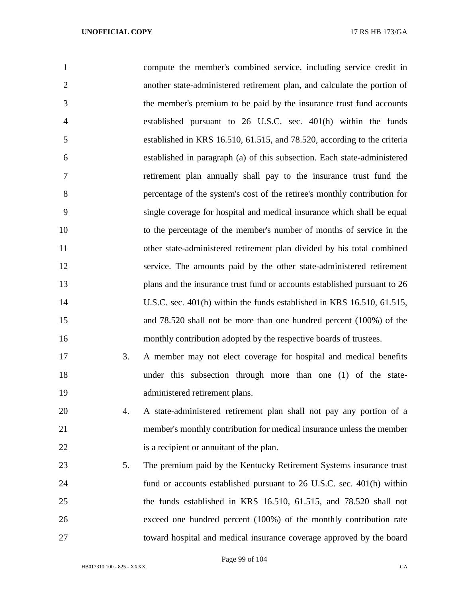| 1              |    | compute the member's combined service, including service credit in        |
|----------------|----|---------------------------------------------------------------------------|
| $\overline{2}$ |    | another state-administered retirement plan, and calculate the portion of  |
| 3              |    | the member's premium to be paid by the insurance trust fund accounts      |
| $\overline{4}$ |    | established pursuant to 26 U.S.C. sec. 401(h) within the funds            |
| 5              |    | established in KRS 16.510, 61.515, and 78.520, according to the criteria  |
| 6              |    | established in paragraph (a) of this subsection. Each state-administered  |
| 7              |    | retirement plan annually shall pay to the insurance trust fund the        |
| 8              |    | percentage of the system's cost of the retiree's monthly contribution for |
| 9              |    | single coverage for hospital and medical insurance which shall be equal   |
| 10             |    | to the percentage of the member's number of months of service in the      |
| 11             |    | other state-administered retirement plan divided by his total combined    |
| 12             |    | service. The amounts paid by the other state-administered retirement      |
| 13             |    | plans and the insurance trust fund or accounts established pursuant to 26 |
| 14             |    | U.S.C. sec. 401(h) within the funds established in KRS 16.510, 61.515,    |
| 15             |    | and 78.520 shall not be more than one hundred percent (100%) of the       |
| 16             |    | monthly contribution adopted by the respective boards of trustees.        |
| 17             | 3. | A member may not elect coverage for hospital and medical benefits         |
| 18             |    | under this subsection through more than one (1) of the state-             |
| 19             |    | administered retirement plans.                                            |
| 20             | 4. | A state-administered retirement plan shall not pay any portion of a       |
| 21             |    | member's monthly contribution for medical insurance unless the member     |
| 22             |    | is a recipient or annuitant of the plan.                                  |
| 23             | 5. | The premium paid by the Kentucky Retirement Systems insurance trust       |
| 24             |    | fund or accounts established pursuant to 26 U.S.C. sec. 401(h) within     |
| 25             |    | the funds established in KRS 16.510, 61.515, and 78.520 shall not         |
| 26             |    | exceed one hundred percent (100%) of the monthly contribution rate        |
| 27             |    | toward hospital and medical insurance coverage approved by the board      |

Page 99 of 104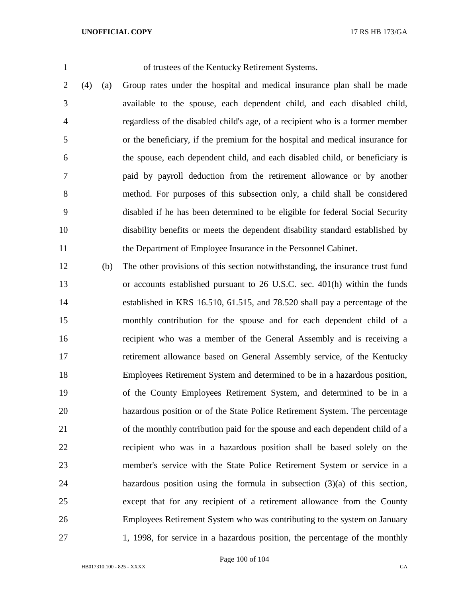of trustees of the Kentucky Retirement Systems.

 (4) (a) Group rates under the hospital and medical insurance plan shall be made available to the spouse, each dependent child, and each disabled child, regardless of the disabled child's age, of a recipient who is a former member or the beneficiary, if the premium for the hospital and medical insurance for the spouse, each dependent child, and each disabled child, or beneficiary is paid by payroll deduction from the retirement allowance or by another method. For purposes of this subsection only, a child shall be considered disabled if he has been determined to be eligible for federal Social Security disability benefits or meets the dependent disability standard established by the Department of Employee Insurance in the Personnel Cabinet.

 (b) The other provisions of this section notwithstanding, the insurance trust fund or accounts established pursuant to 26 U.S.C. sec. 401(h) within the funds established in KRS 16.510, 61.515, and 78.520 shall pay a percentage of the monthly contribution for the spouse and for each dependent child of a recipient who was a member of the General Assembly and is receiving a retirement allowance based on General Assembly service, of the Kentucky Employees Retirement System and determined to be in a hazardous position, of the County Employees Retirement System, and determined to be in a hazardous position or of the State Police Retirement System. The percentage of the monthly contribution paid for the spouse and each dependent child of a recipient who was in a hazardous position shall be based solely on the member's service with the State Police Retirement System or service in a hazardous position using the formula in subsection (3)(a) of this section, except that for any recipient of a retirement allowance from the County Employees Retirement System who was contributing to the system on January 1, 1998, for service in a hazardous position, the percentage of the monthly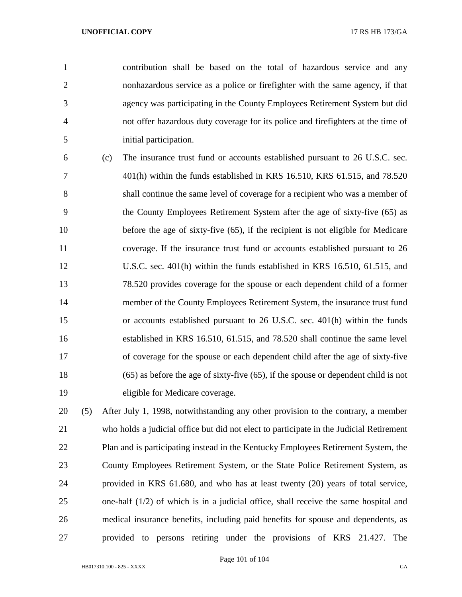contribution shall be based on the total of hazardous service and any nonhazardous service as a police or firefighter with the same agency, if that agency was participating in the County Employees Retirement System but did not offer hazardous duty coverage for its police and firefighters at the time of initial participation.

 (c) The insurance trust fund or accounts established pursuant to 26 U.S.C. sec. 401(h) within the funds established in KRS 16.510, KRS 61.515, and 78.520 shall continue the same level of coverage for a recipient who was a member of the County Employees Retirement System after the age of sixty-five (65) as before the age of sixty-five (65), if the recipient is not eligible for Medicare coverage. If the insurance trust fund or accounts established pursuant to 26 U.S.C. sec. 401(h) within the funds established in KRS 16.510, 61.515, and 78.520 provides coverage for the spouse or each dependent child of a former member of the County Employees Retirement System, the insurance trust fund or accounts established pursuant to 26 U.S.C. sec. 401(h) within the funds established in KRS 16.510, 61.515, and 78.520 shall continue the same level of coverage for the spouse or each dependent child after the age of sixty-five (65) as before the age of sixty-five (65), if the spouse or dependent child is not eligible for Medicare coverage.

 (5) After July 1, 1998, notwithstanding any other provision to the contrary, a member who holds a judicial office but did not elect to participate in the Judicial Retirement Plan and is participating instead in the Kentucky Employees Retirement System, the County Employees Retirement System, or the State Police Retirement System, as provided in KRS 61.680, and who has at least twenty (20) years of total service, one-half (1/2) of which is in a judicial office, shall receive the same hospital and medical insurance benefits, including paid benefits for spouse and dependents, as provided to persons retiring under the provisions of KRS 21.427. The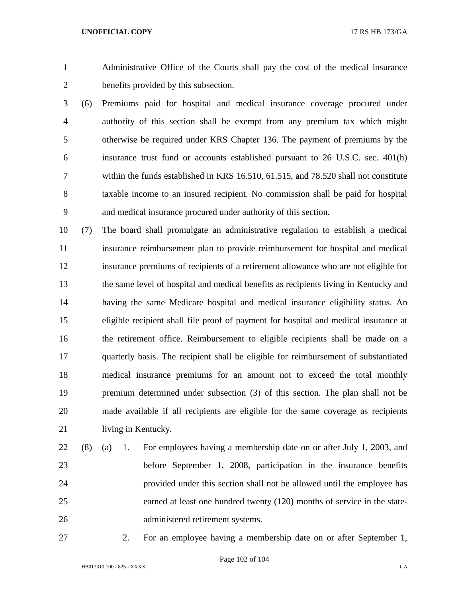Administrative Office of the Courts shall pay the cost of the medical insurance benefits provided by this subsection.

 (6) Premiums paid for hospital and medical insurance coverage procured under authority of this section shall be exempt from any premium tax which might otherwise be required under KRS Chapter 136. The payment of premiums by the insurance trust fund or accounts established pursuant to 26 U.S.C. sec. 401(h) within the funds established in KRS 16.510, 61.515, and 78.520 shall not constitute taxable income to an insured recipient. No commission shall be paid for hospital and medical insurance procured under authority of this section.

 (7) The board shall promulgate an administrative regulation to establish a medical insurance reimbursement plan to provide reimbursement for hospital and medical insurance premiums of recipients of a retirement allowance who are not eligible for the same level of hospital and medical benefits as recipients living in Kentucky and having the same Medicare hospital and medical insurance eligibility status. An eligible recipient shall file proof of payment for hospital and medical insurance at the retirement office. Reimbursement to eligible recipients shall be made on a quarterly basis. The recipient shall be eligible for reimbursement of substantiated medical insurance premiums for an amount not to exceed the total monthly premium determined under subsection (3) of this section. The plan shall not be made available if all recipients are eligible for the same coverage as recipients 21 living in Kentucky.

- (8) (a) 1. For employees having a membership date on or after July 1, 2003, and before September 1, 2008, participation in the insurance benefits provided under this section shall not be allowed until the employee has earned at least one hundred twenty (120) months of service in the state-administered retirement systems.
- 

2. For an employee having a membership date on or after September 1,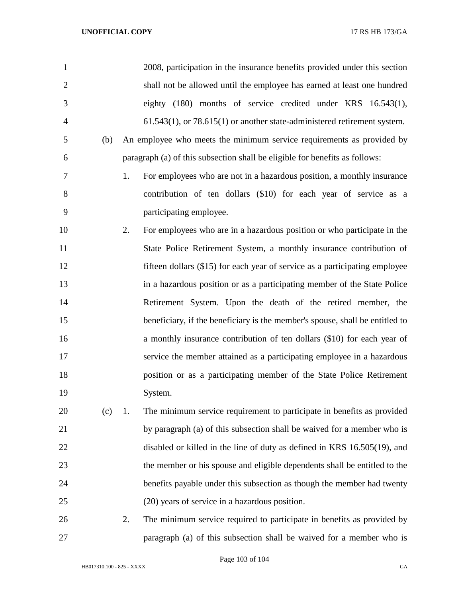| 1              |    | 2008, participation in the insurance benefits provided under this section     |
|----------------|----|-------------------------------------------------------------------------------|
| $\overline{2}$ |    | shall not be allowed until the employee has earned at least one hundred       |
| 3              |    | eighty (180) months of service credited under KRS 16.543(1),                  |
| $\overline{4}$ |    | $61.543(1)$ , or $78.615(1)$ or another state-administered retirement system. |
| 5<br>(b)       |    | An employee who meets the minimum service requirements as provided by         |
| 6              |    | paragraph (a) of this subsection shall be eligible for benefits as follows:   |
| 7              | 1. | For employees who are not in a hazardous position, a monthly insurance        |
| 8              |    | contribution of ten dollars (\$10) for each year of service as a              |
| 9              |    | participating employee.                                                       |
| 10             | 2. | For employees who are in a hazardous position or who participate in the       |
| 11             |    | State Police Retirement System, a monthly insurance contribution of           |
| 12             |    | fifteen dollars (\$15) for each year of service as a participating employee   |
| 13             |    | in a hazardous position or as a participating member of the State Police      |
| 14             |    | Retirement System. Upon the death of the retired member, the                  |
| 15             |    | beneficiary, if the beneficiary is the member's spouse, shall be entitled to  |
| 16             |    | a monthly insurance contribution of ten dollars (\$10) for each year of       |
| 17             |    | service the member attained as a participating employee in a hazardous        |
| 18             |    | position or as a participating member of the State Police Retirement          |
| 19             |    | System.                                                                       |
| 20<br>(c)      | 1. | The minimum service requirement to participate in benefits as provided        |
| 21             |    | by paragraph (a) of this subsection shall be waived for a member who is       |
| 22             |    | disabled or killed in the line of duty as defined in KRS 16.505(19), and      |
| 23             |    | the member or his spouse and eligible dependents shall be entitled to the     |
| 24             |    | benefits payable under this subsection as though the member had twenty        |
| 25             |    | (20) years of service in a hazardous position.                                |
| 26             | 2. | The minimum service required to participate in benefits as provided by        |
| 27             |    | paragraph (a) of this subsection shall be waived for a member who is          |

Page 103 of 104